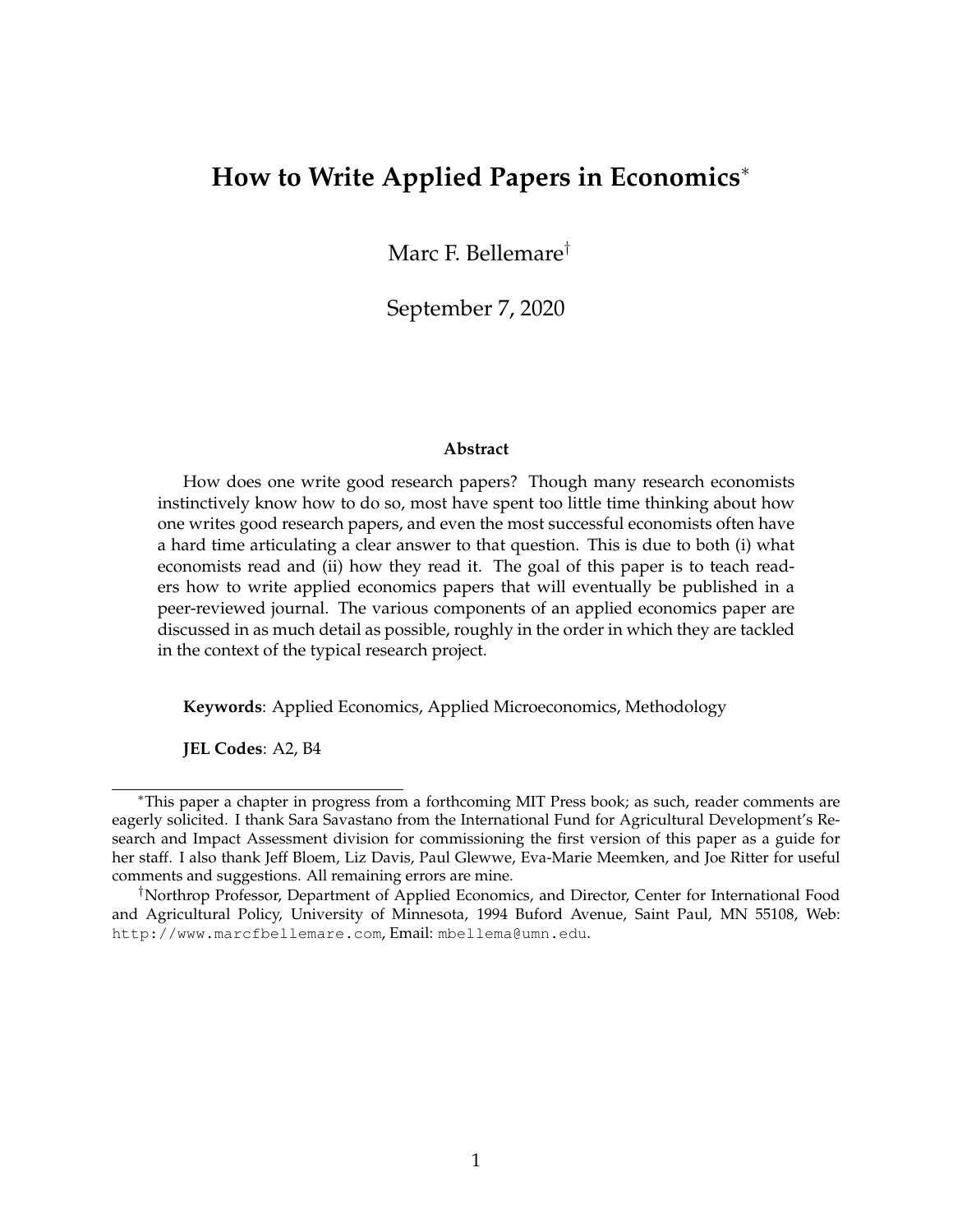# **How to Write Applied Papers in Economics**<sup>∗</sup>

Marc F. Bellemare†

September 7, 2020

#### **Abstract**

How does one write good research papers? Though many research economists instinctively know how to do so, most have spent too little time thinking about how one writes good research papers, and even the most successful economists often have a hard time articulating a clear answer to that question. This is due to both (i) what economists read and (ii) how they read it. The goal of this paper is to teach readers how to write applied economics papers that will eventually be published in a peer-reviewed journal. The various components of an applied economics paper are discussed in as much detail as possible, roughly in the order in which they are tackled in the context of the typical research project.

**Keywords**: Applied Economics, Applied Microeconomics, Methodology

**JEL Codes**: A2, B4

<sup>∗</sup>This paper a chapter in progress from a forthcoming MIT Press book; as such, reader comments are eagerly solicited. I thank Sara Savastano from the International Fund for Agricultural Development's Research and Impact Assessment division for commissioning the first version of this paper as a guide for her staff. I also thank Jeff Bloem, Liz Davis, Paul Glewwe, Eva-Marie Meemken, and Joe Ritter for useful comments and suggestions. All remaining errors are mine.

<sup>†</sup>Northrop Professor, Department of Applied Economics, and Director, Center for International Food and Agricultural Policy, University of Minnesota, 1994 Buford Avenue, Saint Paul, MN 55108, Web: http://www.marcfbellemare.com, Email: mbellema@umn.edu.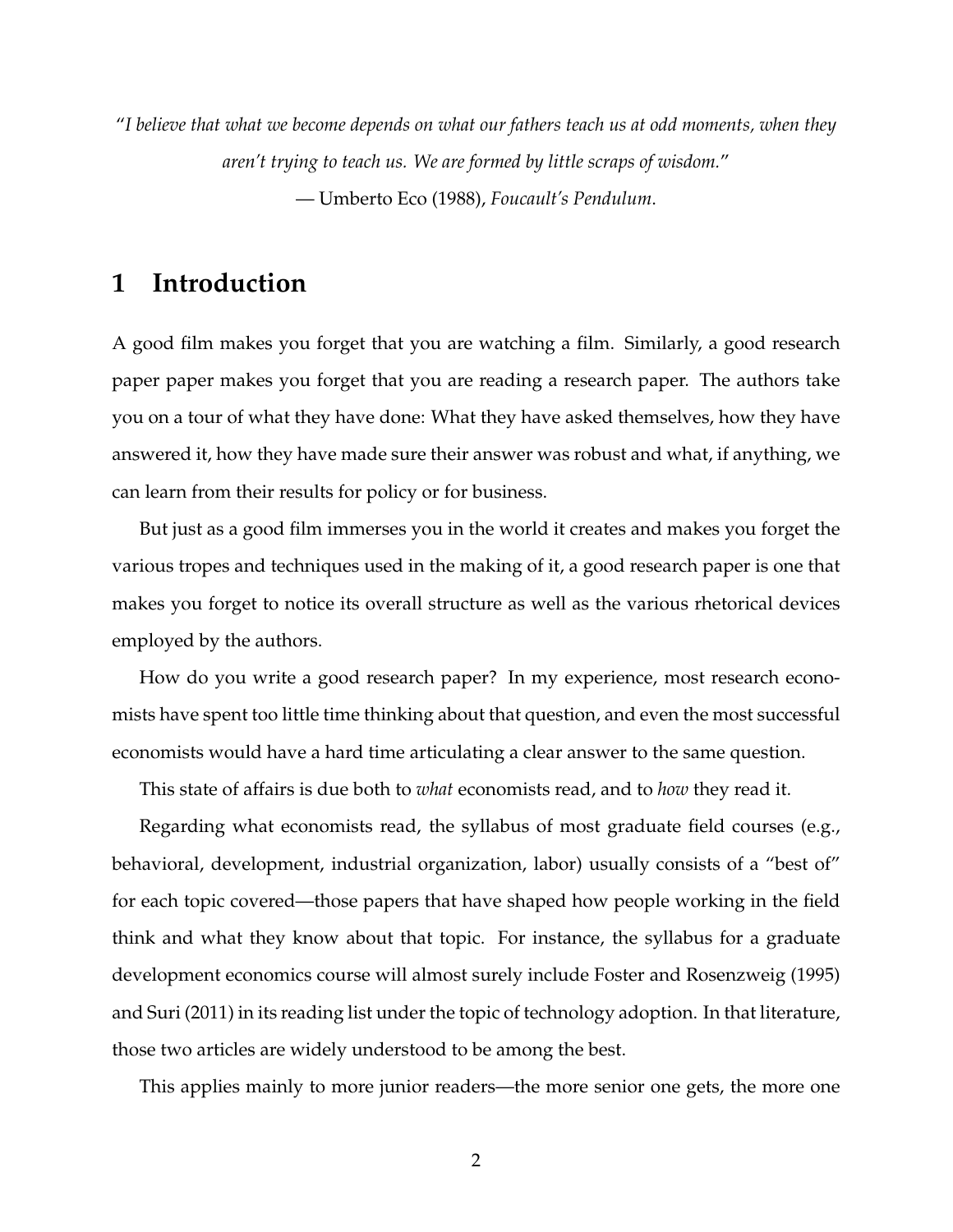"*I believe that what we become depends on what our fathers teach us at odd moments, when they aren't trying to teach us. We are formed by little scraps of wisdom.*" — Umberto Eco (1988), *Foucault's Pendulum*.

# **1 Introduction**

A good film makes you forget that you are watching a film. Similarly, a good research paper paper makes you forget that you are reading a research paper. The authors take you on a tour of what they have done: What they have asked themselves, how they have answered it, how they have made sure their answer was robust and what, if anything, we can learn from their results for policy or for business.

But just as a good film immerses you in the world it creates and makes you forget the various tropes and techniques used in the making of it, a good research paper is one that makes you forget to notice its overall structure as well as the various rhetorical devices employed by the authors.

How do you write a good research paper? In my experience, most research economists have spent too little time thinking about that question, and even the most successful economists would have a hard time articulating a clear answer to the same question.

This state of affairs is due both to *what* economists read, and to *how* they read it.

Regarding what economists read, the syllabus of most graduate field courses (e.g., behavioral, development, industrial organization, labor) usually consists of a "best of" for each topic covered—those papers that have shaped how people working in the field think and what they know about that topic. For instance, the syllabus for a graduate development economics course will almost surely include Foster and Rosenzweig (1995) and Suri (2011) in its reading list under the topic of technology adoption. In that literature, those two articles are widely understood to be among the best.

This applies mainly to more junior readers—the more senior one gets, the more one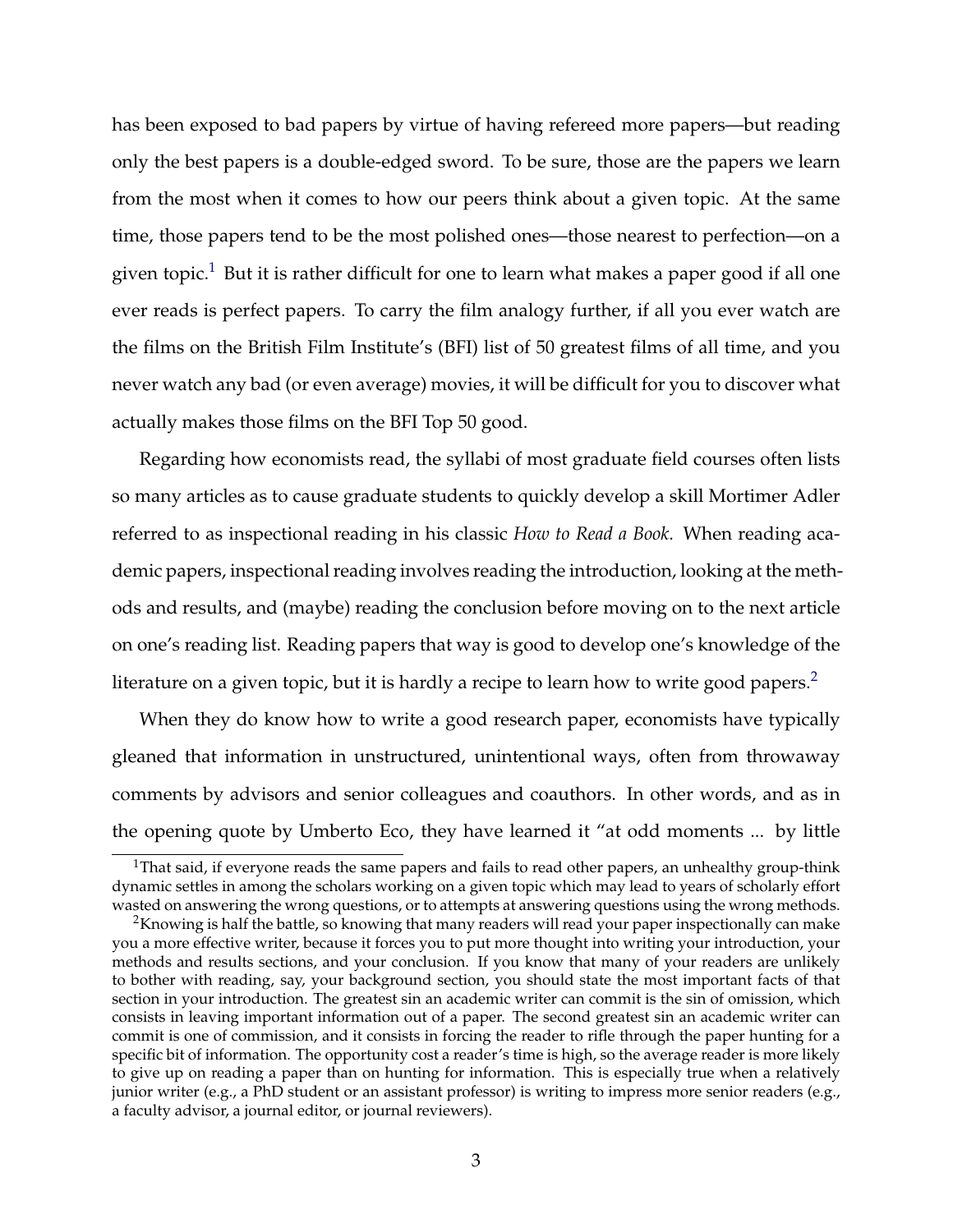has been exposed to bad papers by virtue of having refereed more papers—but reading only the best papers is a double-edged sword. To be sure, those are the papers we learn from the most when it comes to how our peers think about a given topic. At the same time, those papers tend to be the most polished ones—those nearest to perfection—on a given topic.<sup>[1](#page-2-0)</sup> But it is rather difficult for one to learn what makes a paper good if all one ever reads is perfect papers. To carry the film analogy further, if all you ever watch are the films on the British Film Institute's (BFI) list of 50 greatest films of all time, and you never watch any bad (or even average) movies, it will be difficult for you to discover what actually makes those films on the BFI Top 50 good.

Regarding how economists read, the syllabi of most graduate field courses often lists so many articles as to cause graduate students to quickly develop a skill Mortimer Adler referred to as inspectional reading in his classic *How to Read a Book*. When reading academic papers, inspectional reading involves reading the introduction, looking at the methods and results, and (maybe) reading the conclusion before moving on to the next article on one's reading list. Reading papers that way is good to develop one's knowledge of the literature on a given topic, but it is hardly a recipe to learn how to write good papers.<sup>[2](#page-2-1)</sup>

When they do know how to write a good research paper, economists have typically gleaned that information in unstructured, unintentional ways, often from throwaway comments by advisors and senior colleagues and coauthors. In other words, and as in the opening quote by Umberto Eco, they have learned it "at odd moments ... by little

<span id="page-2-0"></span><sup>&</sup>lt;sup>1</sup>That said, if everyone reads the same papers and fails to read other papers, an unhealthy group-think dynamic settles in among the scholars working on a given topic which may lead to years of scholarly effort wasted on answering the wrong questions, or to attempts at answering questions using the wrong methods.

<span id="page-2-1"></span> $2$ Knowing is half the battle, so knowing that many readers will read your paper inspectionally can make you a more effective writer, because it forces you to put more thought into writing your introduction, your methods and results sections, and your conclusion. If you know that many of your readers are unlikely to bother with reading, say, your background section, you should state the most important facts of that section in your introduction. The greatest sin an academic writer can commit is the sin of omission, which consists in leaving important information out of a paper. The second greatest sin an academic writer can commit is one of commission, and it consists in forcing the reader to rifle through the paper hunting for a specific bit of information. The opportunity cost a reader's time is high, so the average reader is more likely to give up on reading a paper than on hunting for information. This is especially true when a relatively junior writer (e.g., a PhD student or an assistant professor) is writing to impress more senior readers (e.g., a faculty advisor, a journal editor, or journal reviewers).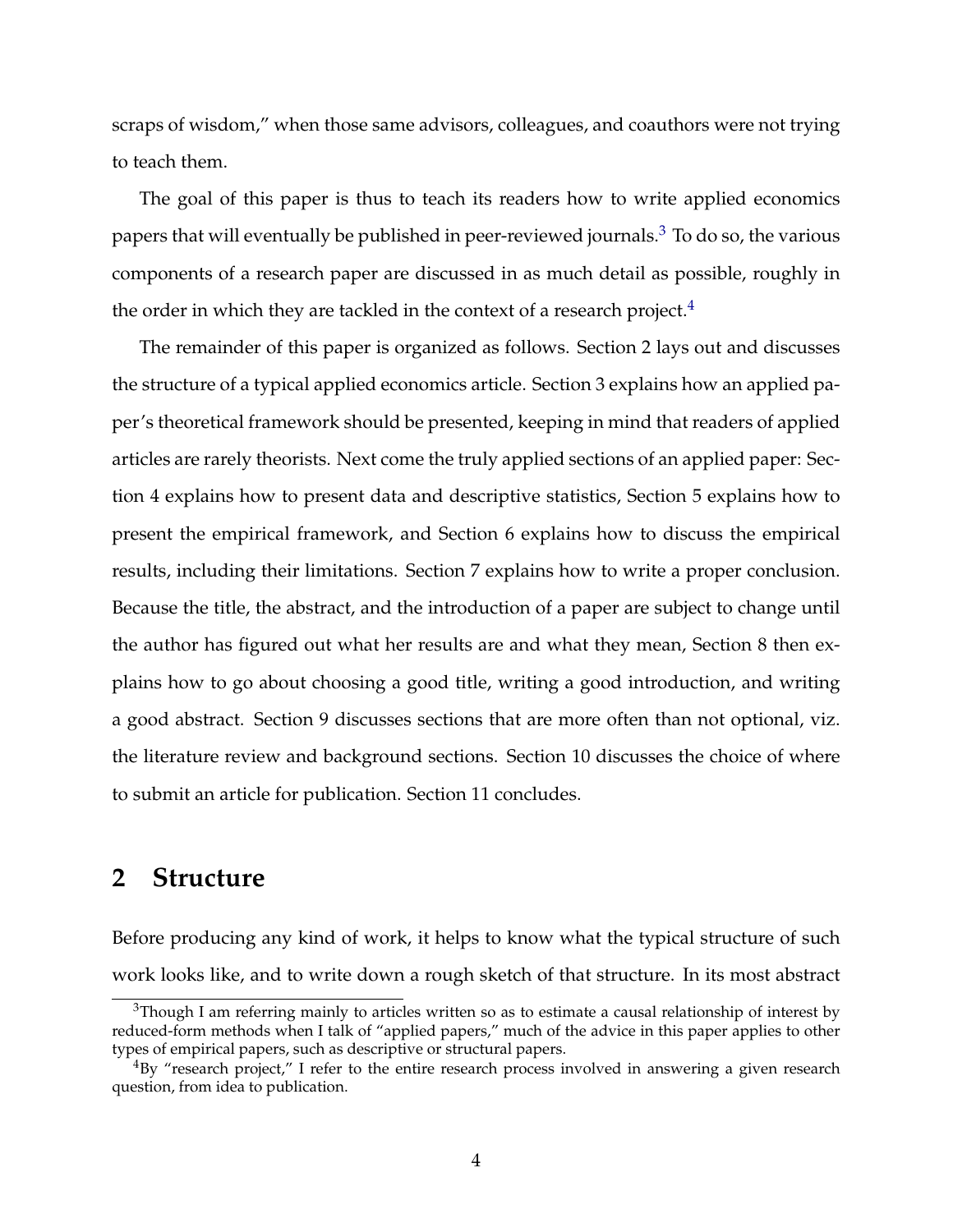scraps of wisdom," when those same advisors, colleagues, and coauthors were not trying to teach them.

The goal of this paper is thus to teach its readers how to write applied economics papers that will eventually be published in peer-reviewed journals.<sup>[3](#page-3-0)</sup> To do so, the various components of a research paper are discussed in as much detail as possible, roughly in the order in which they are tackled in the context of a research project. $4$ 

The remainder of this paper is organized as follows. Section 2 lays out and discusses the structure of a typical applied economics article. Section 3 explains how an applied paper's theoretical framework should be presented, keeping in mind that readers of applied articles are rarely theorists. Next come the truly applied sections of an applied paper: Section 4 explains how to present data and descriptive statistics, Section 5 explains how to present the empirical framework, and Section 6 explains how to discuss the empirical results, including their limitations. Section 7 explains how to write a proper conclusion. Because the title, the abstract, and the introduction of a paper are subject to change until the author has figured out what her results are and what they mean, Section 8 then explains how to go about choosing a good title, writing a good introduction, and writing a good abstract. Section 9 discusses sections that are more often than not optional, viz. the literature review and background sections. Section 10 discusses the choice of where to submit an article for publication. Section 11 concludes.

## **2 Structure**

Before producing any kind of work, it helps to know what the typical structure of such work looks like, and to write down a rough sketch of that structure. In its most abstract

<span id="page-3-0"></span> $3$ Though I am referring mainly to articles written so as to estimate a causal relationship of interest by reduced-form methods when I talk of "applied papers," much of the advice in this paper applies to other types of empirical papers, such as descriptive or structural papers.

<span id="page-3-1"></span> $^{4}$ By "research project," I refer to the entire research process involved in answering a given research question, from idea to publication.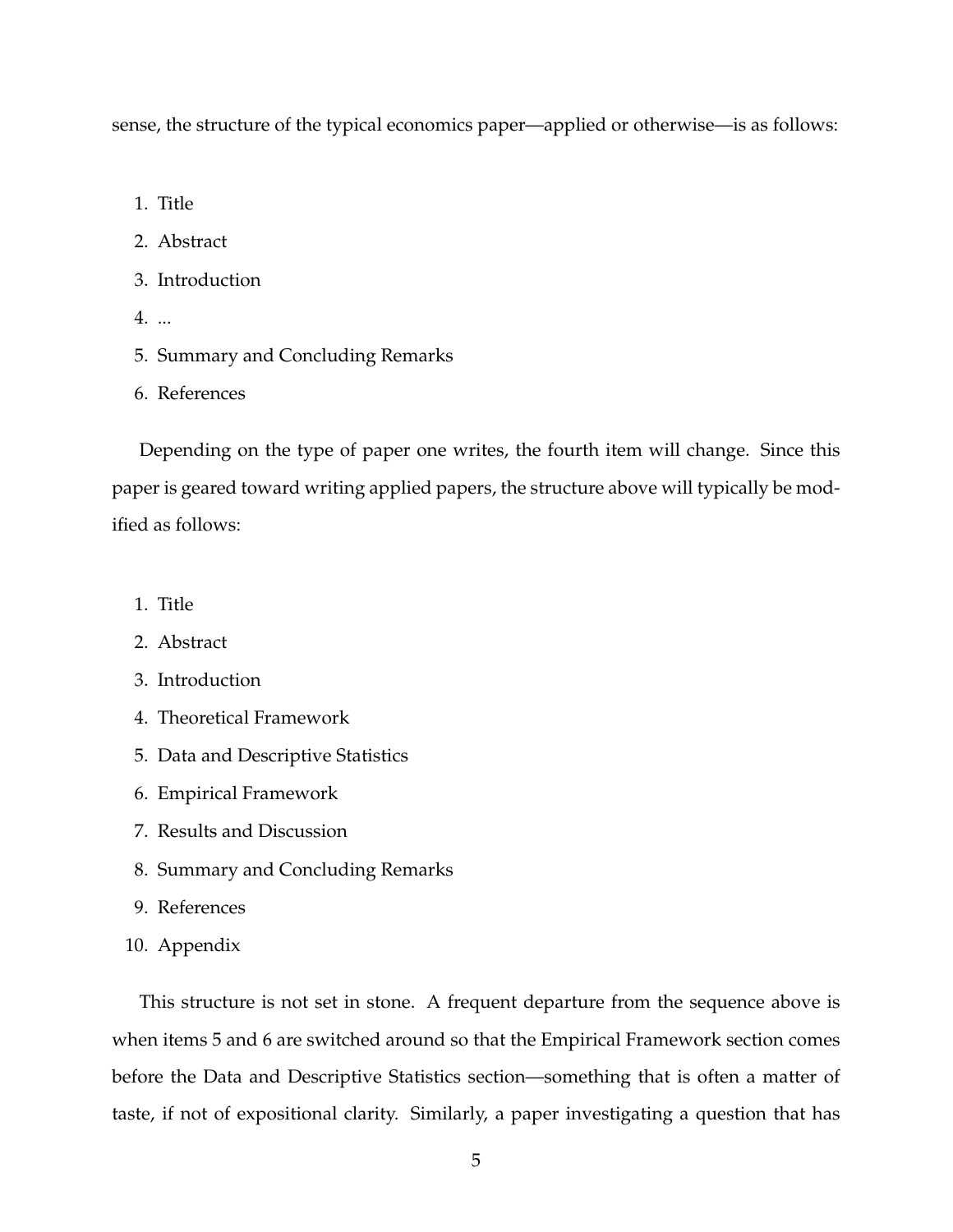sense, the structure of the typical economics paper—applied or otherwise—is as follows:

- 1. Title
- 2. Abstract
- 3. Introduction
- 4. ...
- 5. Summary and Concluding Remarks
- 6. References

Depending on the type of paper one writes, the fourth item will change. Since this paper is geared toward writing applied papers, the structure above will typically be modified as follows:

- 1. Title
- 2. Abstract
- 3. Introduction
- 4. Theoretical Framework
- 5. Data and Descriptive Statistics
- 6. Empirical Framework
- 7. Results and Discussion
- 8. Summary and Concluding Remarks
- 9. References
- 10. Appendix

This structure is not set in stone. A frequent departure from the sequence above is when items 5 and 6 are switched around so that the Empirical Framework section comes before the Data and Descriptive Statistics section—something that is often a matter of taste, if not of expositional clarity. Similarly, a paper investigating a question that has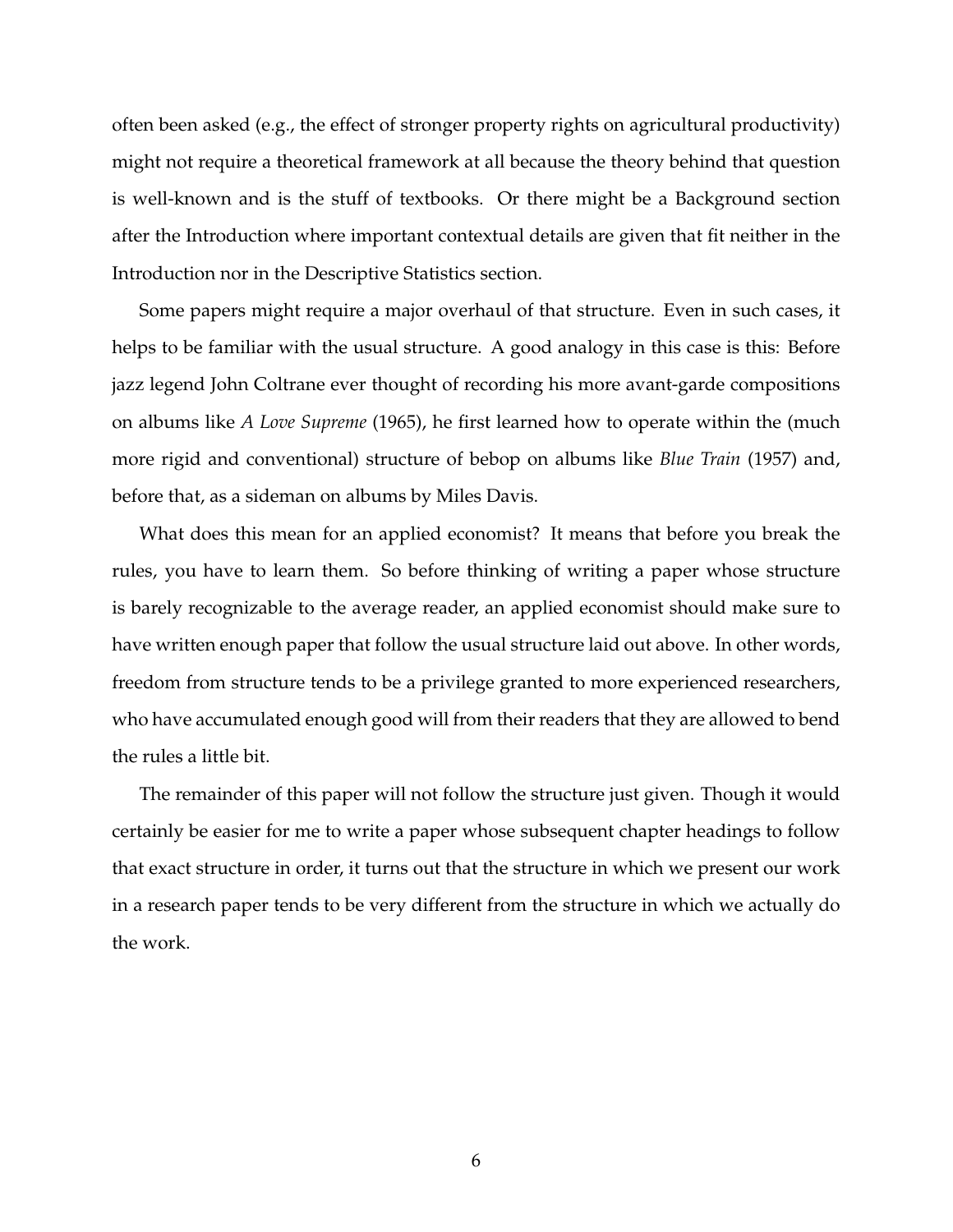often been asked (e.g., the effect of stronger property rights on agricultural productivity) might not require a theoretical framework at all because the theory behind that question is well-known and is the stuff of textbooks. Or there might be a Background section after the Introduction where important contextual details are given that fit neither in the Introduction nor in the Descriptive Statistics section.

Some papers might require a major overhaul of that structure. Even in such cases, it helps to be familiar with the usual structure. A good analogy in this case is this: Before jazz legend John Coltrane ever thought of recording his more avant-garde compositions on albums like *A Love Supreme* (1965), he first learned how to operate within the (much more rigid and conventional) structure of bebop on albums like *Blue Train* (1957) and, before that, as a sideman on albums by Miles Davis.

What does this mean for an applied economist? It means that before you break the rules, you have to learn them. So before thinking of writing a paper whose structure is barely recognizable to the average reader, an applied economist should make sure to have written enough paper that follow the usual structure laid out above. In other words, freedom from structure tends to be a privilege granted to more experienced researchers, who have accumulated enough good will from their readers that they are allowed to bend the rules a little bit.

The remainder of this paper will not follow the structure just given. Though it would certainly be easier for me to write a paper whose subsequent chapter headings to follow that exact structure in order, it turns out that the structure in which we present our work in a research paper tends to be very different from the structure in which we actually do the work.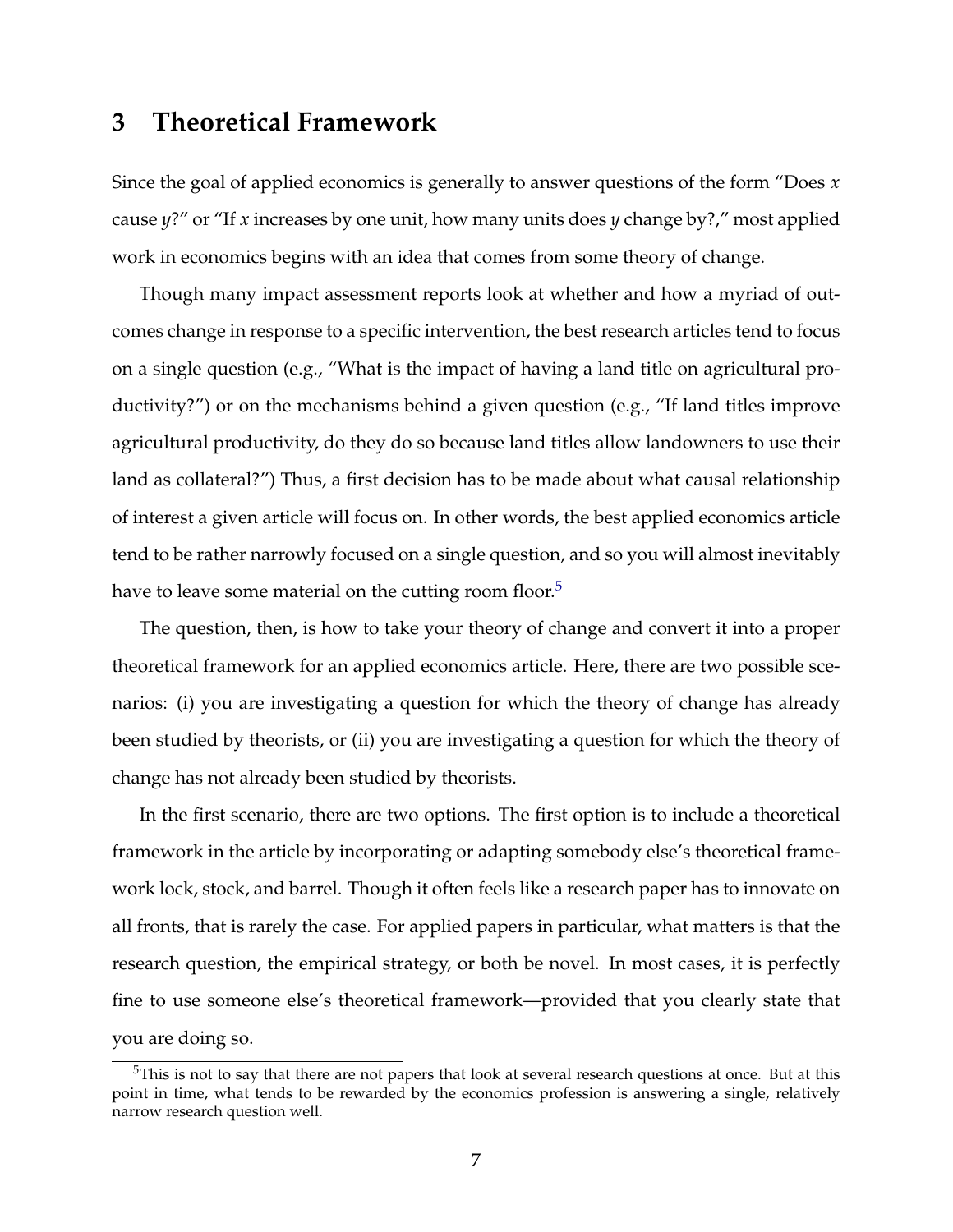# **3 Theoretical Framework**

Since the goal of applied economics is generally to answer questions of the form "Does *x* cause *y*?" or "If *x* increases by one unit, how many units does *y* change by?," most applied work in economics begins with an idea that comes from some theory of change.

Though many impact assessment reports look at whether and how a myriad of outcomes change in response to a specific intervention, the best research articles tend to focus on a single question (e.g., "What is the impact of having a land title on agricultural productivity?") or on the mechanisms behind a given question (e.g., "If land titles improve agricultural productivity, do they do so because land titles allow landowners to use their land as collateral?") Thus, a first decision has to be made about what causal relationship of interest a given article will focus on. In other words, the best applied economics article tend to be rather narrowly focused on a single question, and so you will almost inevitably have to leave some material on the cutting room floor.<sup>[5](#page-6-0)</sup>

The question, then, is how to take your theory of change and convert it into a proper theoretical framework for an applied economics article. Here, there are two possible scenarios: (i) you are investigating a question for which the theory of change has already been studied by theorists, or (ii) you are investigating a question for which the theory of change has not already been studied by theorists.

In the first scenario, there are two options. The first option is to include a theoretical framework in the article by incorporating or adapting somebody else's theoretical framework lock, stock, and barrel. Though it often feels like a research paper has to innovate on all fronts, that is rarely the case. For applied papers in particular, what matters is that the research question, the empirical strategy, or both be novel. In most cases, it is perfectly fine to use someone else's theoretical framework—provided that you clearly state that you are doing so.

<span id="page-6-0"></span><sup>&</sup>lt;sup>5</sup>This is not to say that there are not papers that look at several research questions at once. But at this point in time, what tends to be rewarded by the economics profession is answering a single, relatively narrow research question well.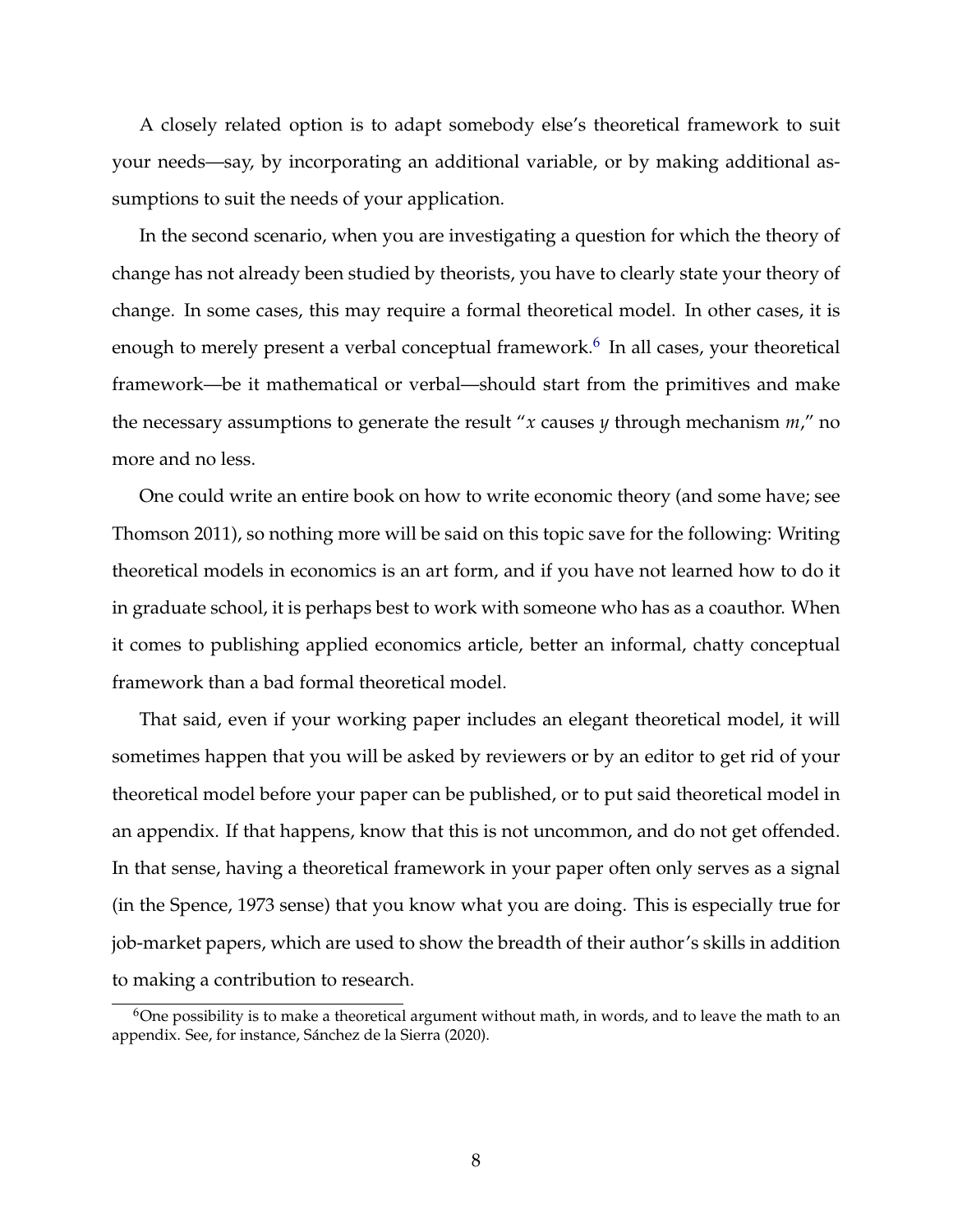A closely related option is to adapt somebody else's theoretical framework to suit your needs—say, by incorporating an additional variable, or by making additional assumptions to suit the needs of your application.

In the second scenario, when you are investigating a question for which the theory of change has not already been studied by theorists, you have to clearly state your theory of change. In some cases, this may require a formal theoretical model. In other cases, it is enough to merely present a verbal conceptual framework.<sup>[6](#page-7-0)</sup> In all cases, your theoretical framework—be it mathematical or verbal—should start from the primitives and make the necessary assumptions to generate the result "*x* causes *y* through mechanism *m*," no more and no less.

One could write an entire book on how to write economic theory (and some have; see Thomson 2011), so nothing more will be said on this topic save for the following: Writing theoretical models in economics is an art form, and if you have not learned how to do it in graduate school, it is perhaps best to work with someone who has as a coauthor. When it comes to publishing applied economics article, better an informal, chatty conceptual framework than a bad formal theoretical model.

That said, even if your working paper includes an elegant theoretical model, it will sometimes happen that you will be asked by reviewers or by an editor to get rid of your theoretical model before your paper can be published, or to put said theoretical model in an appendix. If that happens, know that this is not uncommon, and do not get offended. In that sense, having a theoretical framework in your paper often only serves as a signal (in the Spence, 1973 sense) that you know what you are doing. This is especially true for job-market papers, which are used to show the breadth of their author's skills in addition to making a contribution to research.

<span id="page-7-0"></span> $6$ One possibility is to make a theoretical argument without math, in words, and to leave the math to an appendix. See, for instance, Sánchez de la Sierra (2020).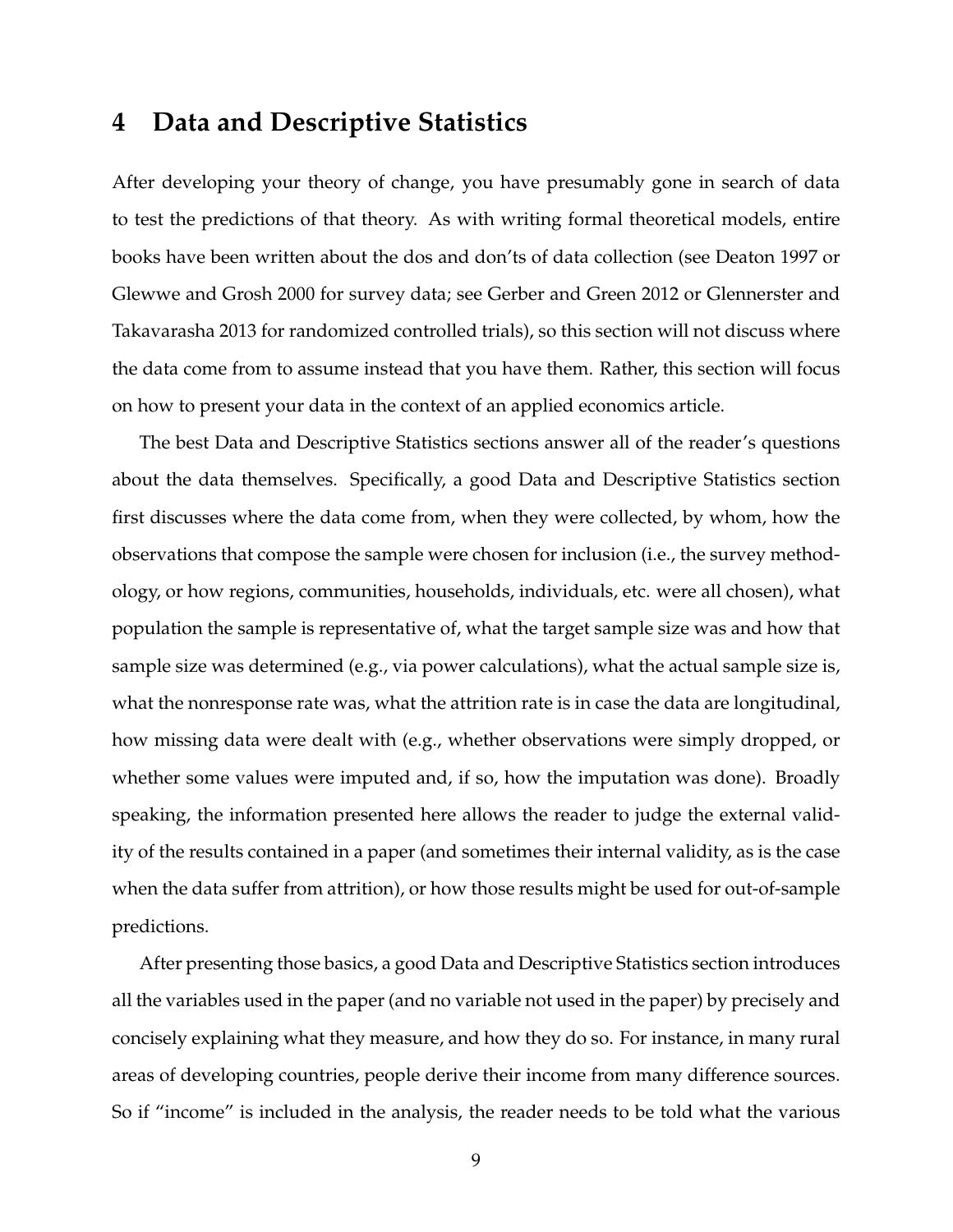# **4 Data and Descriptive Statistics**

After developing your theory of change, you have presumably gone in search of data to test the predictions of that theory. As with writing formal theoretical models, entire books have been written about the dos and don'ts of data collection (see Deaton 1997 or Glewwe and Grosh 2000 for survey data; see Gerber and Green 2012 or Glennerster and Takavarasha 2013 for randomized controlled trials), so this section will not discuss where the data come from to assume instead that you have them. Rather, this section will focus on how to present your data in the context of an applied economics article.

The best Data and Descriptive Statistics sections answer all of the reader's questions about the data themselves. Specifically, a good Data and Descriptive Statistics section first discusses where the data come from, when they were collected, by whom, how the observations that compose the sample were chosen for inclusion (i.e., the survey methodology, or how regions, communities, households, individuals, etc. were all chosen), what population the sample is representative of, what the target sample size was and how that sample size was determined (e.g., via power calculations), what the actual sample size is, what the nonresponse rate was, what the attrition rate is in case the data are longitudinal, how missing data were dealt with (e.g., whether observations were simply dropped, or whether some values were imputed and, if so, how the imputation was done). Broadly speaking, the information presented here allows the reader to judge the external validity of the results contained in a paper (and sometimes their internal validity, as is the case when the data suffer from attrition), or how those results might be used for out-of-sample predictions.

After presenting those basics, a good Data and Descriptive Statistics section introduces all the variables used in the paper (and no variable not used in the paper) by precisely and concisely explaining what they measure, and how they do so. For instance, in many rural areas of developing countries, people derive their income from many difference sources. So if "income" is included in the analysis, the reader needs to be told what the various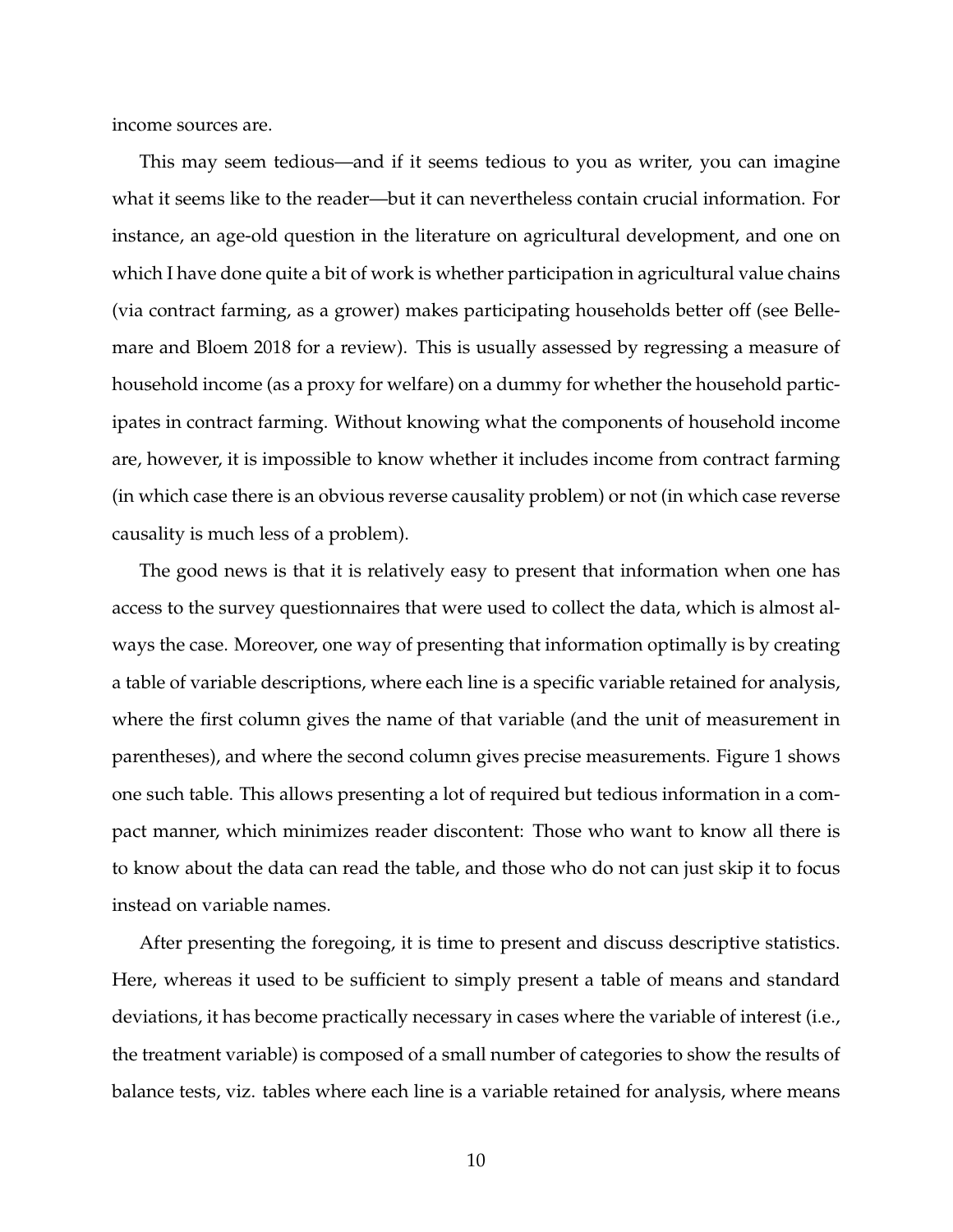income sources are.

This may seem tedious—and if it seems tedious to you as writer, you can imagine what it seems like to the reader—but it can nevertheless contain crucial information. For instance, an age-old question in the literature on agricultural development, and one on which I have done quite a bit of work is whether participation in agricultural value chains (via contract farming, as a grower) makes participating households better off (see Bellemare and Bloem 2018 for a review). This is usually assessed by regressing a measure of household income (as a proxy for welfare) on a dummy for whether the household participates in contract farming. Without knowing what the components of household income are, however, it is impossible to know whether it includes income from contract farming (in which case there is an obvious reverse causality problem) or not (in which case reverse causality is much less of a problem).

The good news is that it is relatively easy to present that information when one has access to the survey questionnaires that were used to collect the data, which is almost always the case. Moreover, one way of presenting that information optimally is by creating a table of variable descriptions, where each line is a specific variable retained for analysis, where the first column gives the name of that variable (and the unit of measurement in parentheses), and where the second column gives precise measurements. Figure 1 shows one such table. This allows presenting a lot of required but tedious information in a compact manner, which minimizes reader discontent: Those who want to know all there is to know about the data can read the table, and those who do not can just skip it to focus instead on variable names.

After presenting the foregoing, it is time to present and discuss descriptive statistics. Here, whereas it used to be sufficient to simply present a table of means and standard deviations, it has become practically necessary in cases where the variable of interest (i.e., the treatment variable) is composed of a small number of categories to show the results of balance tests, viz. tables where each line is a variable retained for analysis, where means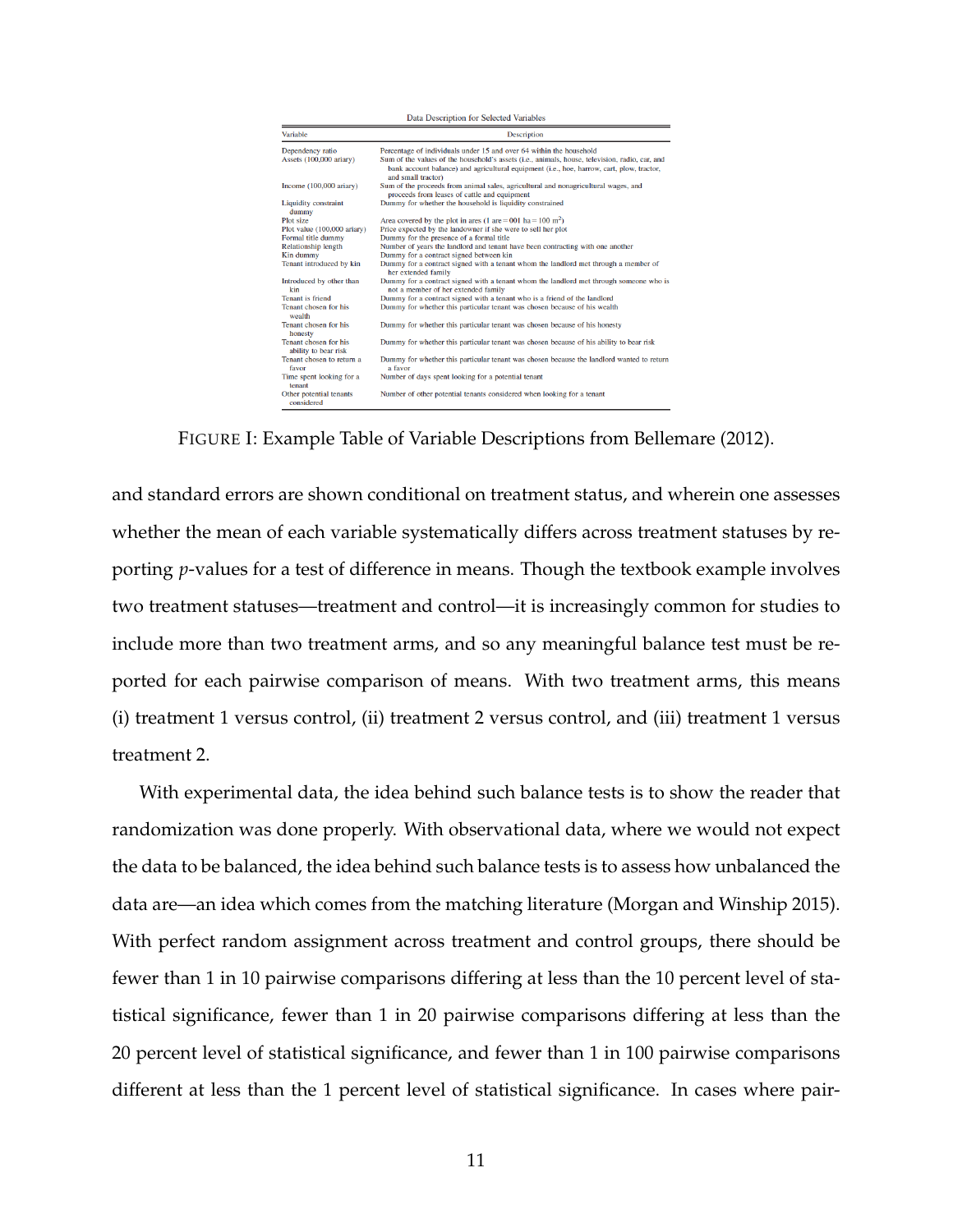| Data Description for Selected Variables       |                                                                                                                                                                                                                                                                                          |
|-----------------------------------------------|------------------------------------------------------------------------------------------------------------------------------------------------------------------------------------------------------------------------------------------------------------------------------------------|
| Variable                                      | <b>Description</b>                                                                                                                                                                                                                                                                       |
| Dependency ratio<br>Assets (100,000 ariary)   | Percentage of individuals under 15 and over 64 within the household<br>Sum of the values of the household's assets (i.e., animals, house, television, radio, car, and<br>bank account balance) and agricultural equipment (i.e., hoe, harrow, cart, plow, tractor,<br>and small tractor) |
| Income $(100,000 \text{ airary})$             | Sum of the proceeds from animal sales, agricultural and nonagricultural wages, and<br>proceeds from leases of cattle and equipment                                                                                                                                                       |
| <b>Liquidity constraint</b><br>dummy          | Dummy for whether the household is liquidity constrained                                                                                                                                                                                                                                 |
| Plot size                                     | Area covered by the plot in area (1 are = 001 ha = $100 \text{ m}^2$ )                                                                                                                                                                                                                   |
| Plot value (100,000 ariary)                   | Price expected by the landowner if she were to sell her plot                                                                                                                                                                                                                             |
| Formal title dummy                            | Dummy for the presence of a formal title                                                                                                                                                                                                                                                 |
| <b>Relationship length</b>                    | Number of years the landlord and tenant have been contracting with one another                                                                                                                                                                                                           |
| Kin dummy                                     | Dummy for a contract signed between kin                                                                                                                                                                                                                                                  |
| Tenant introduced by kin                      | Dummy for a contract signed with a tenant whom the landlord met through a member of<br>her extended family                                                                                                                                                                               |
| Introduced by other than<br>kin               | Dummy for a contract signed with a tenant whom the landlord met through someone who is<br>not a member of her extended family                                                                                                                                                            |
| <b>Tenant</b> is friend                       | Dummy for a contract signed with a tenant who is a friend of the landlord                                                                                                                                                                                                                |
| Tenant chosen for his<br>wealth               | Dummy for whether this particular tenant was chosen because of his wealth                                                                                                                                                                                                                |
| Tenant chosen for his<br>honesty              | Dummy for whether this particular tenant was chosen because of his honesty                                                                                                                                                                                                               |
| Tenant chosen for his<br>ability to bear risk | Dummy for whether this particular tenant was chosen because of his ability to bear risk                                                                                                                                                                                                  |
| Tenant chosen to return a<br>favor            | Dummy for whether this particular tenant was chosen because the landlord wanted to return<br>a favor                                                                                                                                                                                     |
| Time spent looking for a<br>tenant            | Number of days spent looking for a potential tenant                                                                                                                                                                                                                                      |
| Other potential tenants<br>considered         | Number of other potential tenants considered when looking for a tenant                                                                                                                                                                                                                   |

FIGURE I: Example Table of Variable Descriptions from Bellemare (2012).

and standard errors are shown conditional on treatment status, and wherein one assesses whether the mean of each variable systematically differs across treatment statuses by reporting *p*-values for a test of difference in means. Though the textbook example involves two treatment statuses—treatment and control—it is increasingly common for studies to include more than two treatment arms, and so any meaningful balance test must be reported for each pairwise comparison of means. With two treatment arms, this means (i) treatment 1 versus control, (ii) treatment 2 versus control, and (iii) treatment 1 versus treatment 2.

With experimental data, the idea behind such balance tests is to show the reader that randomization was done properly. With observational data, where we would not expect the data to be balanced, the idea behind such balance tests is to assess how unbalanced the data are—an idea which comes from the matching literature (Morgan and Winship 2015). With perfect random assignment across treatment and control groups, there should be fewer than 1 in 10 pairwise comparisons differing at less than the 10 percent level of statistical significance, fewer than 1 in 20 pairwise comparisons differing at less than the 20 percent level of statistical significance, and fewer than 1 in 100 pairwise comparisons different at less than the 1 percent level of statistical significance. In cases where pair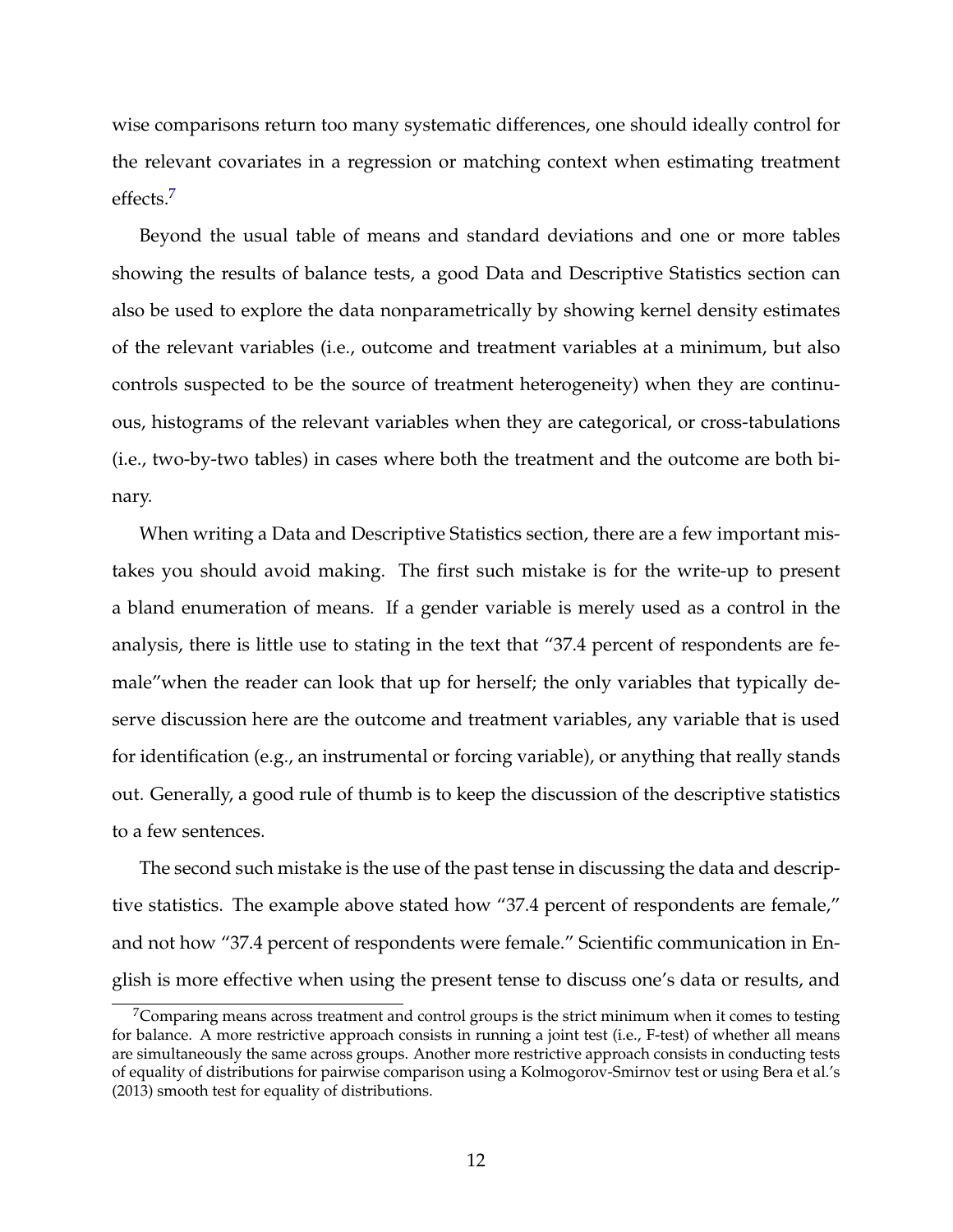wise comparisons return too many systematic differences, one should ideally control for the relevant covariates in a regression or matching context when estimating treatment effects.[7](#page-11-0)

Beyond the usual table of means and standard deviations and one or more tables showing the results of balance tests, a good Data and Descriptive Statistics section can also be used to explore the data nonparametrically by showing kernel density estimates of the relevant variables (i.e., outcome and treatment variables at a minimum, but also controls suspected to be the source of treatment heterogeneity) when they are continuous, histograms of the relevant variables when they are categorical, or cross-tabulations (i.e., two-by-two tables) in cases where both the treatment and the outcome are both binary.

When writing a Data and Descriptive Statistics section, there are a few important mistakes you should avoid making. The first such mistake is for the write-up to present a bland enumeration of means. If a gender variable is merely used as a control in the analysis, there is little use to stating in the text that "37.4 percent of respondents are female"when the reader can look that up for herself; the only variables that typically deserve discussion here are the outcome and treatment variables, any variable that is used for identification (e.g., an instrumental or forcing variable), or anything that really stands out. Generally, a good rule of thumb is to keep the discussion of the descriptive statistics to a few sentences.

The second such mistake is the use of the past tense in discussing the data and descriptive statistics. The example above stated how "37.4 percent of respondents are female," and not how "37.4 percent of respondents were female." Scientific communication in English is more effective when using the present tense to discuss one's data or results, and

<span id="page-11-0"></span> $7$ Comparing means across treatment and control groups is the strict minimum when it comes to testing for balance. A more restrictive approach consists in running a joint test (i.e., F-test) of whether all means are simultaneously the same across groups. Another more restrictive approach consists in conducting tests of equality of distributions for pairwise comparison using a Kolmogorov-Smirnov test or using Bera et al.'s (2013) smooth test for equality of distributions.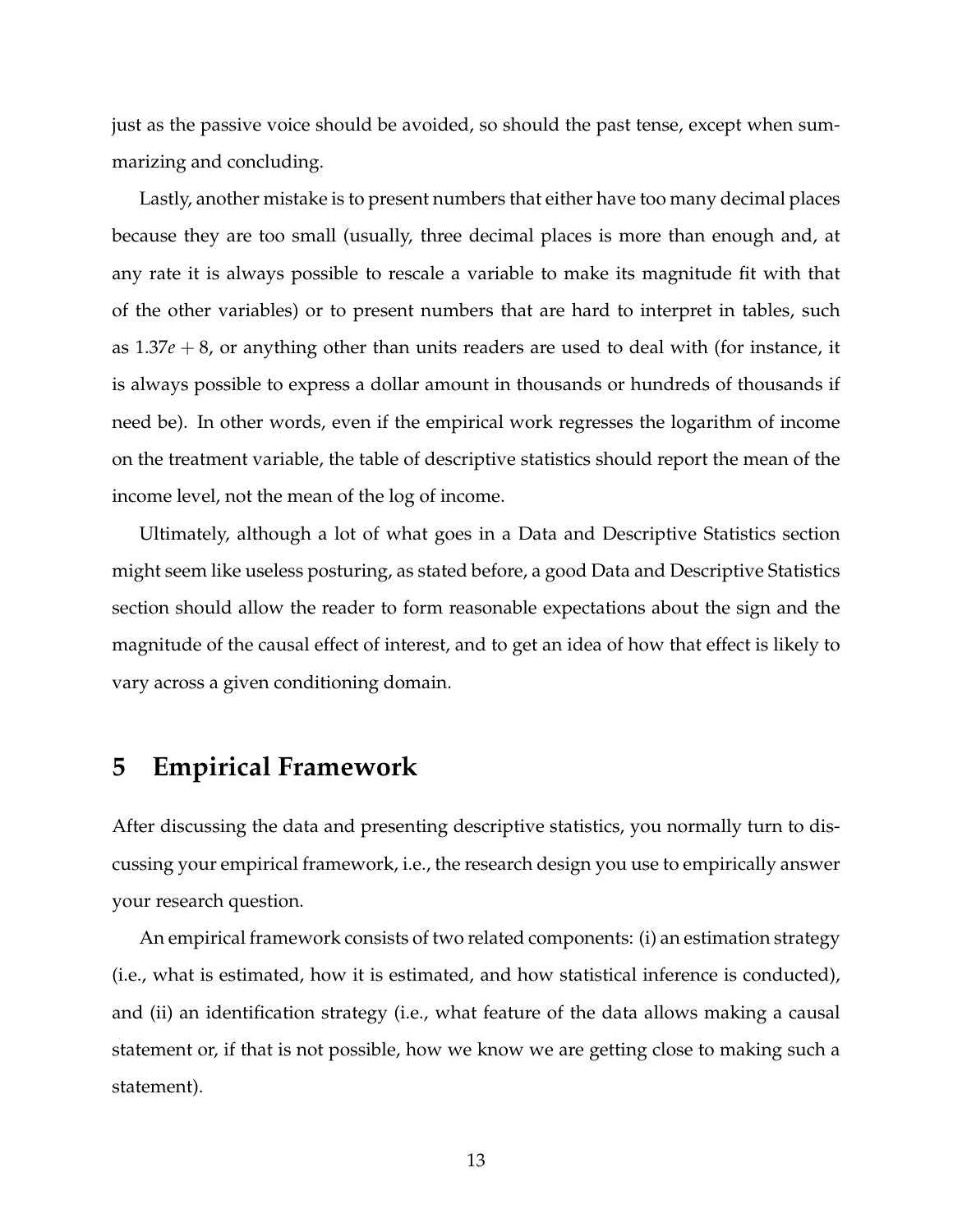just as the passive voice should be avoided, so should the past tense, except when summarizing and concluding.

Lastly, another mistake is to present numbers that either have too many decimal places because they are too small (usually, three decimal places is more than enough and, at any rate it is always possible to rescale a variable to make its magnitude fit with that of the other variables) or to present numbers that are hard to interpret in tables, such as 1.37*e* + 8, or anything other than units readers are used to deal with (for instance, it is always possible to express a dollar amount in thousands or hundreds of thousands if need be). In other words, even if the empirical work regresses the logarithm of income on the treatment variable, the table of descriptive statistics should report the mean of the income level, not the mean of the log of income.

Ultimately, although a lot of what goes in a Data and Descriptive Statistics section might seem like useless posturing, as stated before, a good Data and Descriptive Statistics section should allow the reader to form reasonable expectations about the sign and the magnitude of the causal effect of interest, and to get an idea of how that effect is likely to vary across a given conditioning domain.

# **5 Empirical Framework**

After discussing the data and presenting descriptive statistics, you normally turn to discussing your empirical framework, i.e., the research design you use to empirically answer your research question.

An empirical framework consists of two related components: (i) an estimation strategy (i.e., what is estimated, how it is estimated, and how statistical inference is conducted), and (ii) an identification strategy (i.e., what feature of the data allows making a causal statement or, if that is not possible, how we know we are getting close to making such a statement).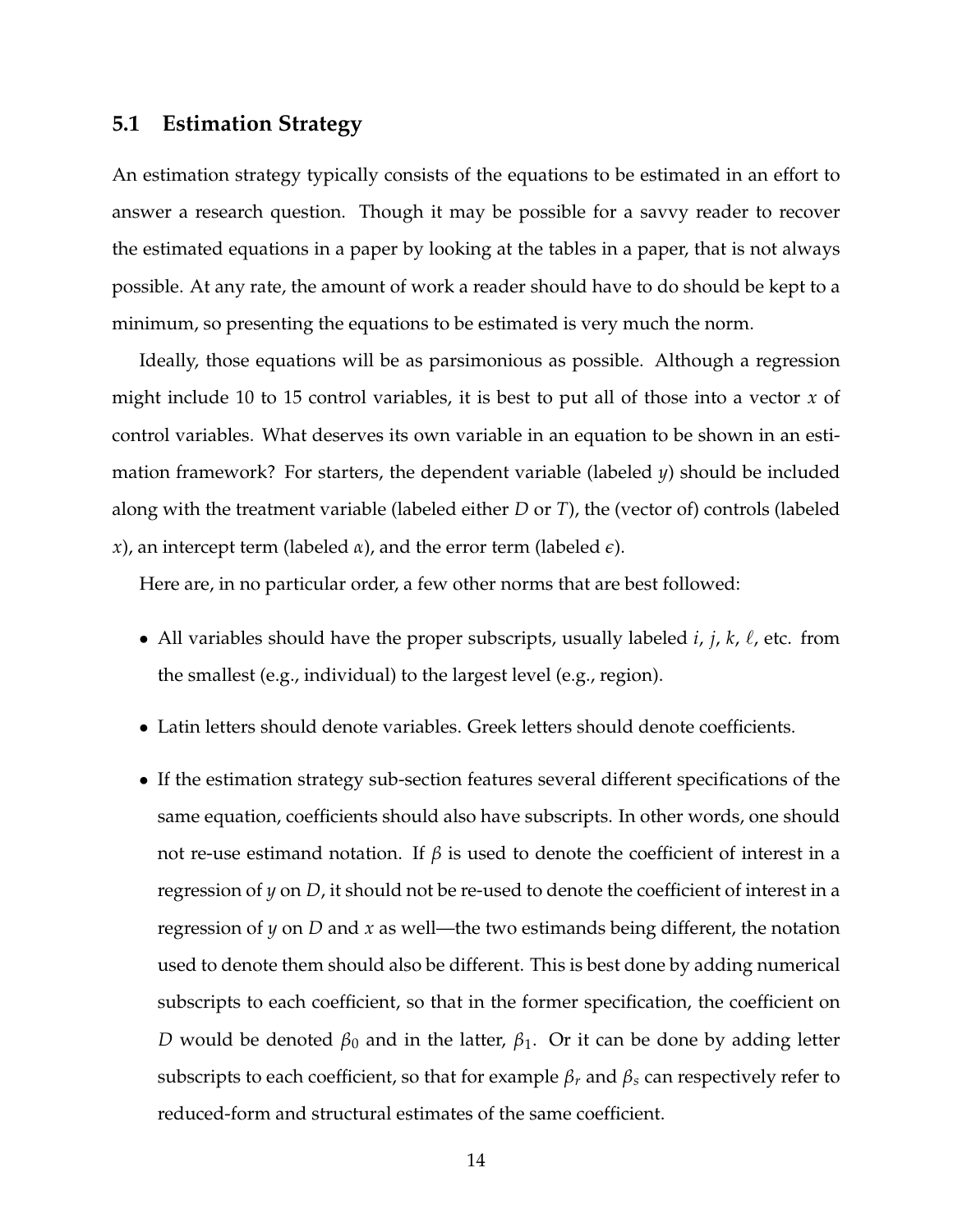### **5.1 Estimation Strategy**

An estimation strategy typically consists of the equations to be estimated in an effort to answer a research question. Though it may be possible for a savvy reader to recover the estimated equations in a paper by looking at the tables in a paper, that is not always possible. At any rate, the amount of work a reader should have to do should be kept to a minimum, so presenting the equations to be estimated is very much the norm.

Ideally, those equations will be as parsimonious as possible. Although a regression might include 10 to 15 control variables, it is best to put all of those into a vector *x* of control variables. What deserves its own variable in an equation to be shown in an estimation framework? For starters, the dependent variable (labeled *y*) should be included along with the treatment variable (labeled either *D* or *T*), the (vector of) controls (labeled *x*), an intercept term (labeled *α*), and the error term (labeled *e*).

Here are, in no particular order, a few other norms that are best followed:

- All variables should have the proper subscripts, usually labeled  $i$ ,  $j$ ,  $k$ ,  $\ell$ , etc. from the smallest (e.g., individual) to the largest level (e.g., region).
- Latin letters should denote variables. Greek letters should denote coefficients.
- If the estimation strategy sub-section features several different specifications of the same equation, coefficients should also have subscripts. In other words, one should not re-use estimand notation. If  $β$  is used to denote the coefficient of interest in a regression of *y* on *D*, it should not be re-used to denote the coefficient of interest in a regression of *y* on *D* and *x* as well—the two estimands being different, the notation used to denote them should also be different. This is best done by adding numerical subscripts to each coefficient, so that in the former specification, the coefficient on *D* would be denoted *β*<sup>0</sup> and in the latter, *β*1. Or it can be done by adding letter subscripts to each coefficient, so that for example  $\beta_r$  and  $\beta_s$  can respectively refer to reduced-form and structural estimates of the same coefficient.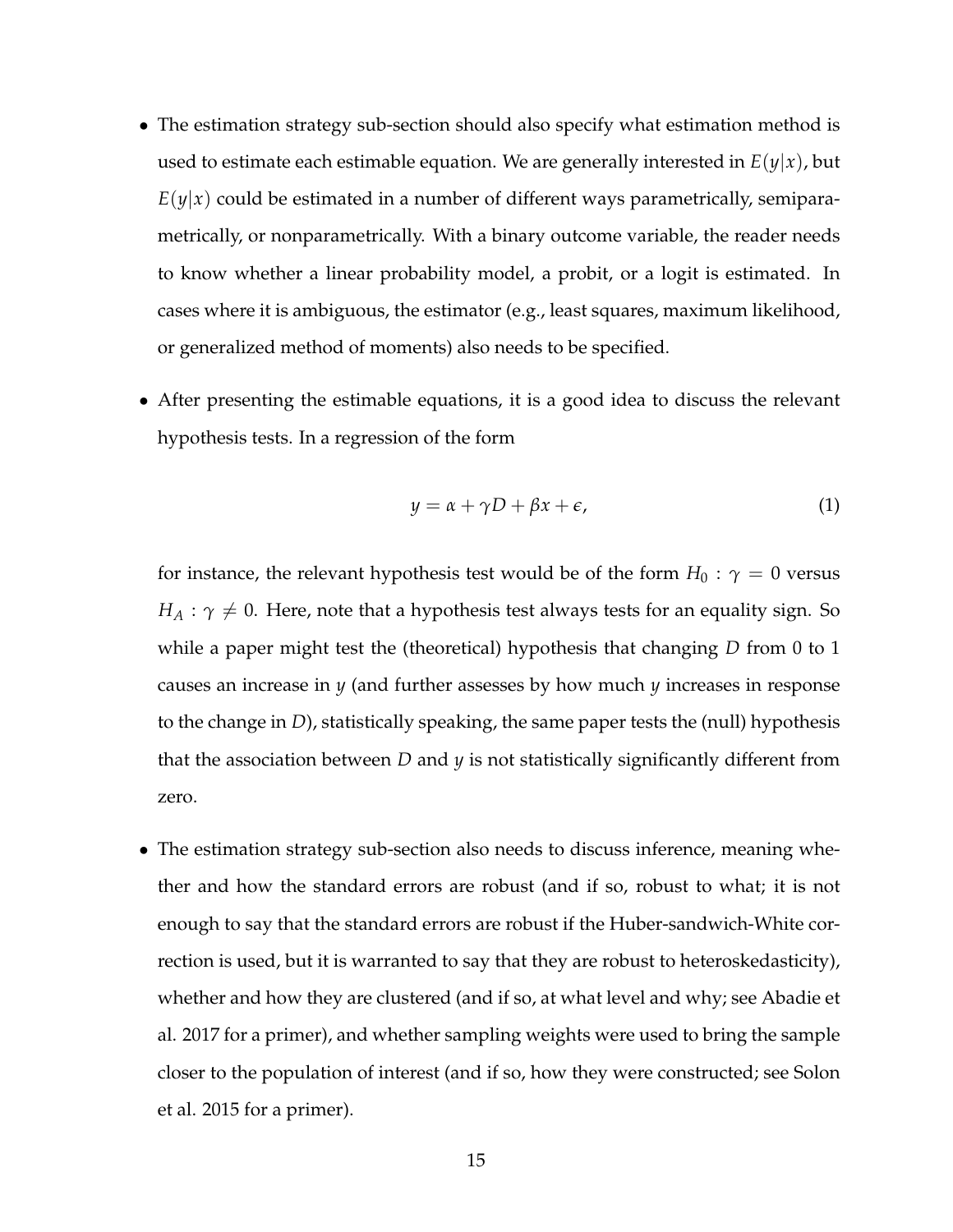- The estimation strategy sub-section should also specify what estimation method is used to estimate each estimable equation. We are generally interested in  $E(y|x)$ , but  $E(y|x)$  could be estimated in a number of different ways parametrically, semiparametrically, or nonparametrically. With a binary outcome variable, the reader needs to know whether a linear probability model, a probit, or a logit is estimated. In cases where it is ambiguous, the estimator (e.g., least squares, maximum likelihood, or generalized method of moments) also needs to be specified.
- After presenting the estimable equations, it is a good idea to discuss the relevant hypothesis tests. In a regression of the form

$$
y = \alpha + \gamma D + \beta x + \epsilon, \tag{1}
$$

for instance, the relevant hypothesis test would be of the form  $H_0$ :  $\gamma = 0$  versus  $H_A: \gamma \neq 0$ . Here, note that a hypothesis test always tests for an equality sign. So while a paper might test the (theoretical) hypothesis that changing *D* from 0 to 1 causes an increase in *y* (and further assesses by how much *y* increases in response to the change in *D*), statistically speaking, the same paper tests the (null) hypothesis that the association between *D* and *y* is not statistically significantly different from zero.

• The estimation strategy sub-section also needs to discuss inference, meaning whether and how the standard errors are robust (and if so, robust to what; it is not enough to say that the standard errors are robust if the Huber-sandwich-White correction is used, but it is warranted to say that they are robust to heteroskedasticity), whether and how they are clustered (and if so, at what level and why; see Abadie et al. 2017 for a primer), and whether sampling weights were used to bring the sample closer to the population of interest (and if so, how they were constructed; see Solon et al. 2015 for a primer).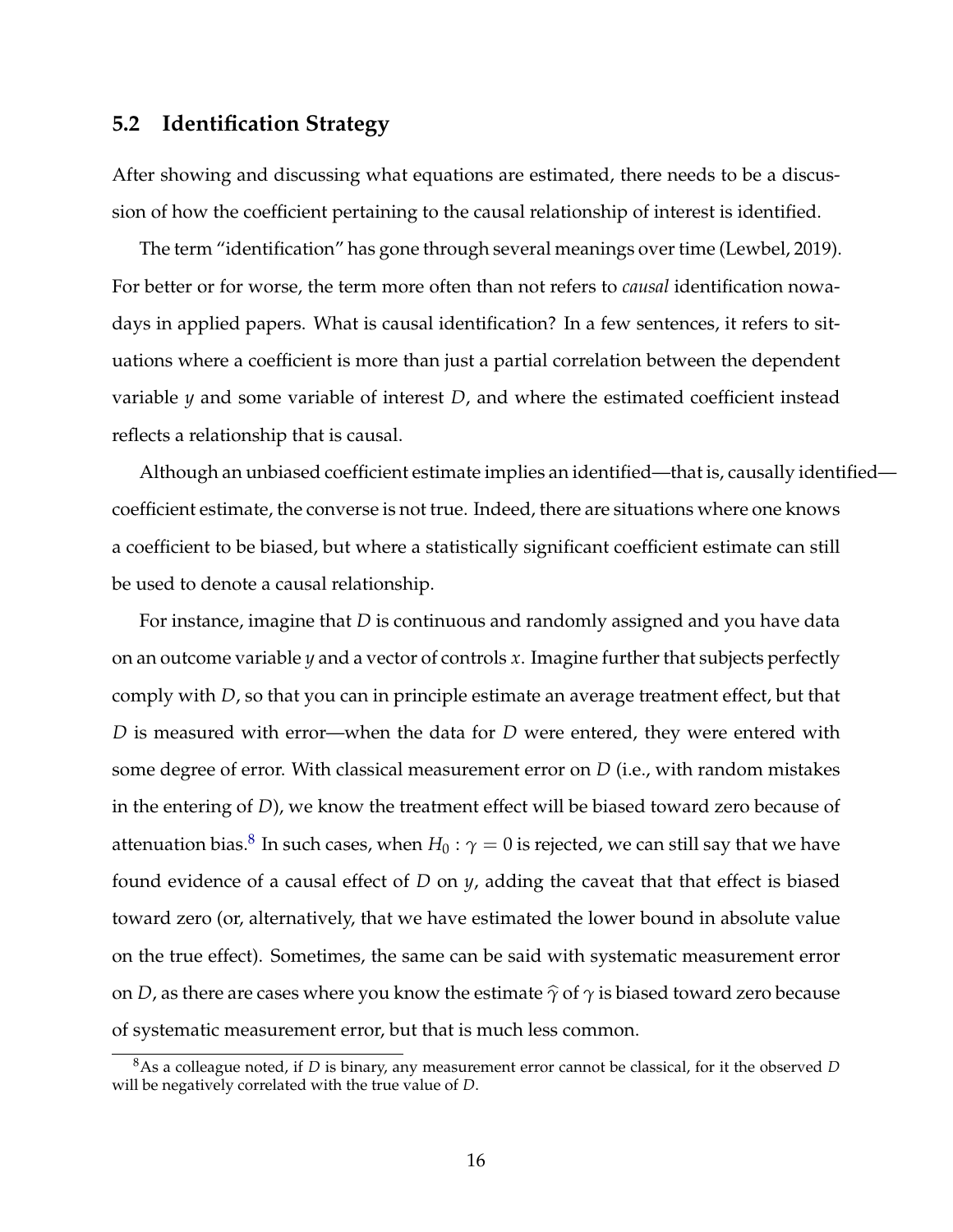### **5.2 Identification Strategy**

After showing and discussing what equations are estimated, there needs to be a discussion of how the coefficient pertaining to the causal relationship of interest is identified.

The term "identification" has gone through several meanings over time (Lewbel, 2019). For better or for worse, the term more often than not refers to *causal* identification nowadays in applied papers. What is causal identification? In a few sentences, it refers to situations where a coefficient is more than just a partial correlation between the dependent variable *y* and some variable of interest *D*, and where the estimated coefficient instead reflects a relationship that is causal.

Although an unbiased coefficient estimate implies an identified—that is, causally identified coefficient estimate, the converse is not true. Indeed, there are situations where one knows a coefficient to be biased, but where a statistically significant coefficient estimate can still be used to denote a causal relationship.

For instance, imagine that *D* is continuous and randomly assigned and you have data on an outcome variable *y* and a vector of controls *x*. Imagine further that subjects perfectly comply with *D*, so that you can in principle estimate an average treatment effect, but that *D* is measured with error—when the data for *D* were entered, they were entered with some degree of error. With classical measurement error on *D* (i.e., with random mistakes in the entering of *D*), we know the treatment effect will be biased toward zero because of attenuation bias. $^8$  $^8$  In such cases, when  $H_0: \gamma = 0$  is rejected, we can still say that we have found evidence of a causal effect of *D* on *y*, adding the caveat that that effect is biased toward zero (or, alternatively, that we have estimated the lower bound in absolute value on the true effect). Sometimes, the same can be said with systematic measurement error on *D*, as there are cases where you know the estimate  $\hat{\gamma}$  of  $\gamma$  is biased toward zero because of systematic measurement error, but that is much less common.

<span id="page-15-0"></span><sup>8</sup>As a colleague noted, if *D* is binary, any measurement error cannot be classical, for it the observed *D* will be negatively correlated with the true value of *D*.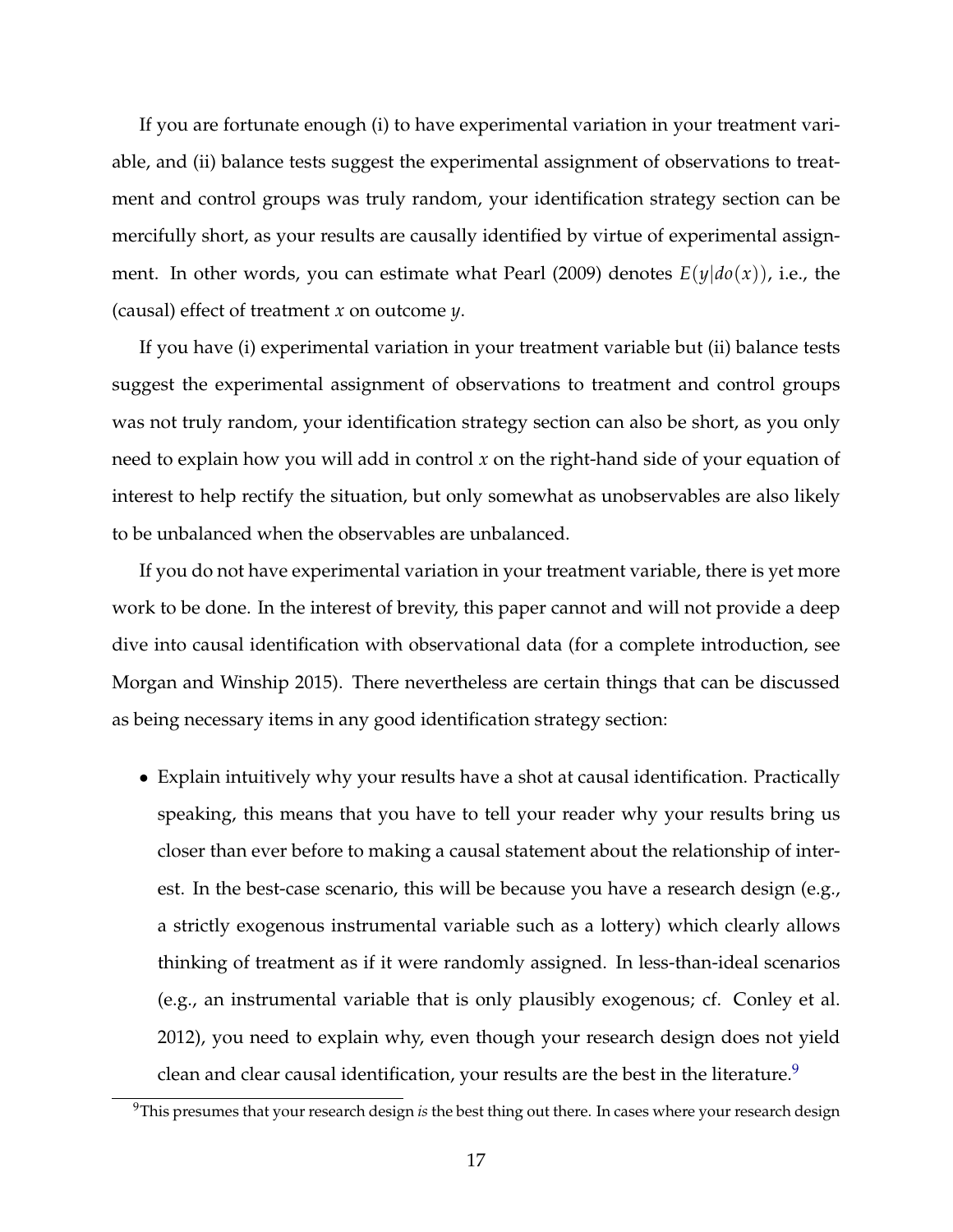If you are fortunate enough (i) to have experimental variation in your treatment variable, and (ii) balance tests suggest the experimental assignment of observations to treatment and control groups was truly random, your identification strategy section can be mercifully short, as your results are causally identified by virtue of experimental assignment. In other words, you can estimate what Pearl (2009) denotes  $E(y|do(x))$ , i.e., the (causal) effect of treatment *x* on outcome *y*.

If you have (i) experimental variation in your treatment variable but (ii) balance tests suggest the experimental assignment of observations to treatment and control groups was not truly random, your identification strategy section can also be short, as you only need to explain how you will add in control *x* on the right-hand side of your equation of interest to help rectify the situation, but only somewhat as unobservables are also likely to be unbalanced when the observables are unbalanced.

If you do not have experimental variation in your treatment variable, there is yet more work to be done. In the interest of brevity, this paper cannot and will not provide a deep dive into causal identification with observational data (for a complete introduction, see Morgan and Winship 2015). There nevertheless are certain things that can be discussed as being necessary items in any good identification strategy section:

• Explain intuitively why your results have a shot at causal identification. Practically speaking, this means that you have to tell your reader why your results bring us closer than ever before to making a causal statement about the relationship of interest. In the best-case scenario, this will be because you have a research design (e.g., a strictly exogenous instrumental variable such as a lottery) which clearly allows thinking of treatment as if it were randomly assigned. In less-than-ideal scenarios (e.g., an instrumental variable that is only plausibly exogenous; cf. Conley et al. 2012), you need to explain why, even though your research design does not yield clean and clear causal identification, your results are the best in the literature.<sup>[9](#page-16-0)</sup>

<span id="page-16-0"></span><sup>9</sup>This presumes that your research design *is* the best thing out there. In cases where your research design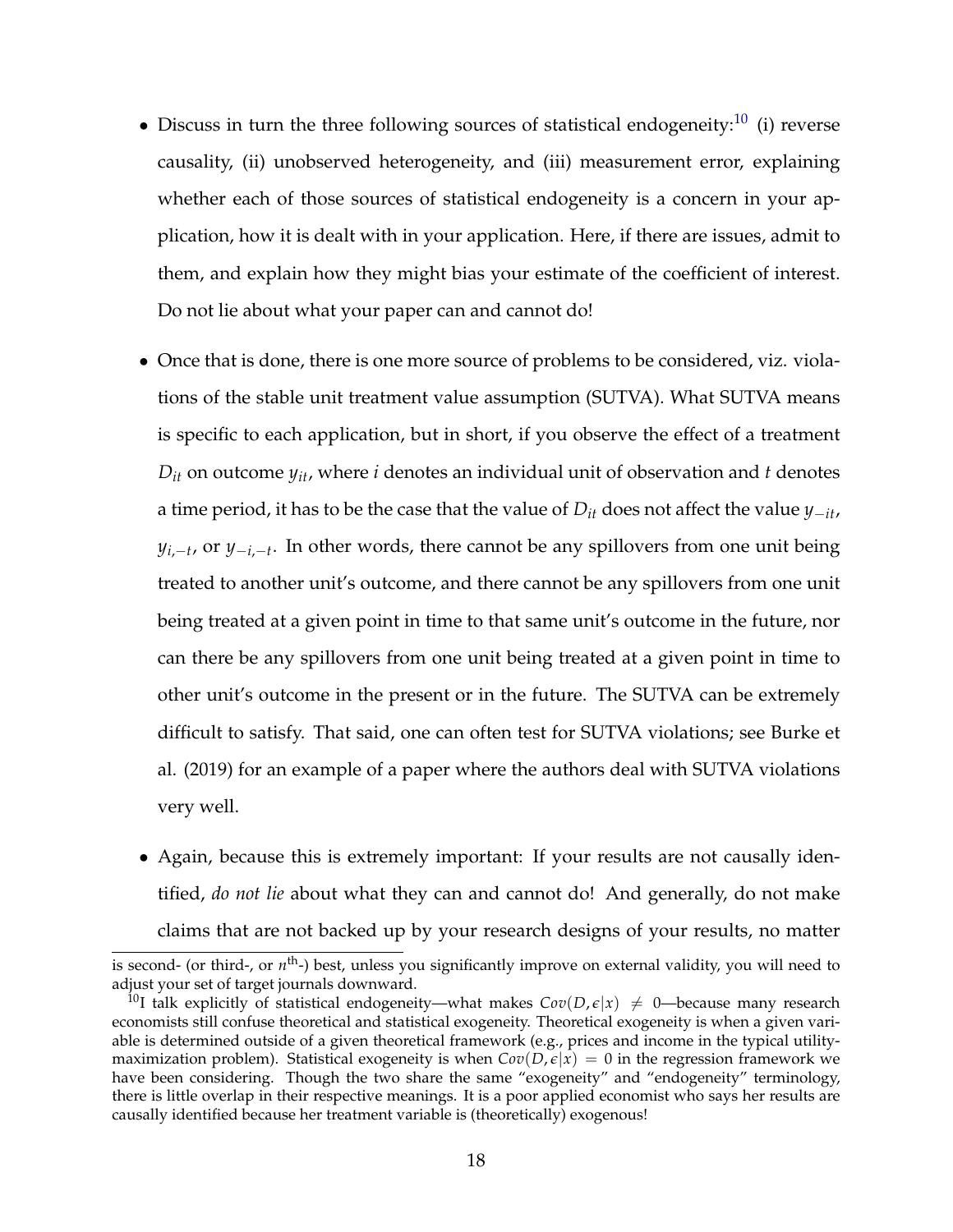- Discuss in turn the three following sources of statistical endogeneity: $10$  (i) reverse causality, (ii) unobserved heterogeneity, and (iii) measurement error, explaining whether each of those sources of statistical endogeneity is a concern in your application, how it is dealt with in your application. Here, if there are issues, admit to them, and explain how they might bias your estimate of the coefficient of interest. Do not lie about what your paper can and cannot do!
- Once that is done, there is one more source of problems to be considered, viz. violations of the stable unit treatment value assumption (SUTVA). What SUTVA means is specific to each application, but in short, if you observe the effect of a treatment  $D_{it}$  on outcome  $y_{it}$ , where *i* denotes an individual unit of observation and *t* denotes a time period, it has to be the case that the value of *Dit* does not affect the value *y*−*it*, *y*<sub>*i*,−*t*</sub>, or *y*<sub>−*i*,−*t*</sub>. In other words, there cannot be any spillovers from one unit being treated to another unit's outcome, and there cannot be any spillovers from one unit being treated at a given point in time to that same unit's outcome in the future, nor can there be any spillovers from one unit being treated at a given point in time to other unit's outcome in the present or in the future. The SUTVA can be extremely difficult to satisfy. That said, one can often test for SUTVA violations; see Burke et al. (2019) for an example of a paper where the authors deal with SUTVA violations very well.
- Again, because this is extremely important: If your results are not causally identified, *do not lie* about what they can and cannot do! And generally, do not make claims that are not backed up by your research designs of your results, no matter

is second- (or third-, or n<sup>th</sup>-) best, unless you significantly improve on external validity, you will need to adjust your set of target journals downward.

<span id="page-17-0"></span><sup>&</sup>lt;sup>10</sup>I talk explicitly of statistical endogeneity—what makes  $Cov(D, \epsilon | x) \neq 0$ —because many research economists still confuse theoretical and statistical exogeneity. Theoretical exogeneity is when a given variable is determined outside of a given theoretical framework (e.g., prices and income in the typical utilitymaximization problem). Statistical exogeneity is when  $Cov(D, \epsilon | x) = 0$  in the regression framework we have been considering. Though the two share the same "exogeneity" and "endogeneity" terminology, there is little overlap in their respective meanings. It is a poor applied economist who says her results are causally identified because her treatment variable is (theoretically) exogenous!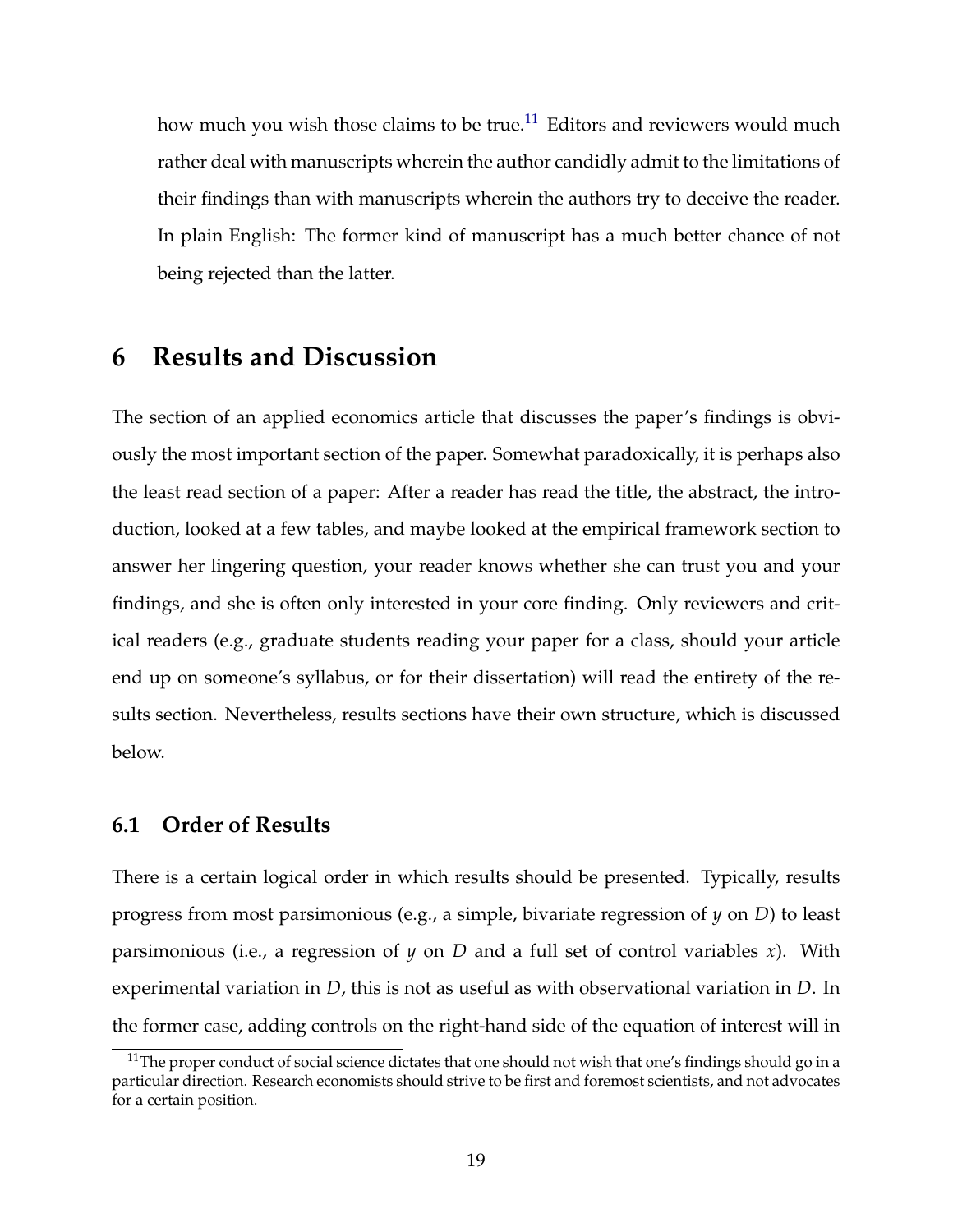how much you wish those claims to be true.<sup>[11](#page-18-0)</sup> Editors and reviewers would much rather deal with manuscripts wherein the author candidly admit to the limitations of their findings than with manuscripts wherein the authors try to deceive the reader. In plain English: The former kind of manuscript has a much better chance of not being rejected than the latter.

## **6 Results and Discussion**

The section of an applied economics article that discusses the paper's findings is obviously the most important section of the paper. Somewhat paradoxically, it is perhaps also the least read section of a paper: After a reader has read the title, the abstract, the introduction, looked at a few tables, and maybe looked at the empirical framework section to answer her lingering question, your reader knows whether she can trust you and your findings, and she is often only interested in your core finding. Only reviewers and critical readers (e.g., graduate students reading your paper for a class, should your article end up on someone's syllabus, or for their dissertation) will read the entirety of the results section. Nevertheless, results sections have their own structure, which is discussed below.

### **6.1 Order of Results**

There is a certain logical order in which results should be presented. Typically, results progress from most parsimonious (e.g., a simple, bivariate regression of *y* on *D*) to least parsimonious (i.e., a regression of *y* on *D* and a full set of control variables *x*). With experimental variation in *D*, this is not as useful as with observational variation in *D*. In the former case, adding controls on the right-hand side of the equation of interest will in

<span id="page-18-0"></span><sup>&</sup>lt;sup>11</sup>The proper conduct of social science dictates that one should not wish that one's findings should go in a particular direction. Research economists should strive to be first and foremost scientists, and not advocates for a certain position.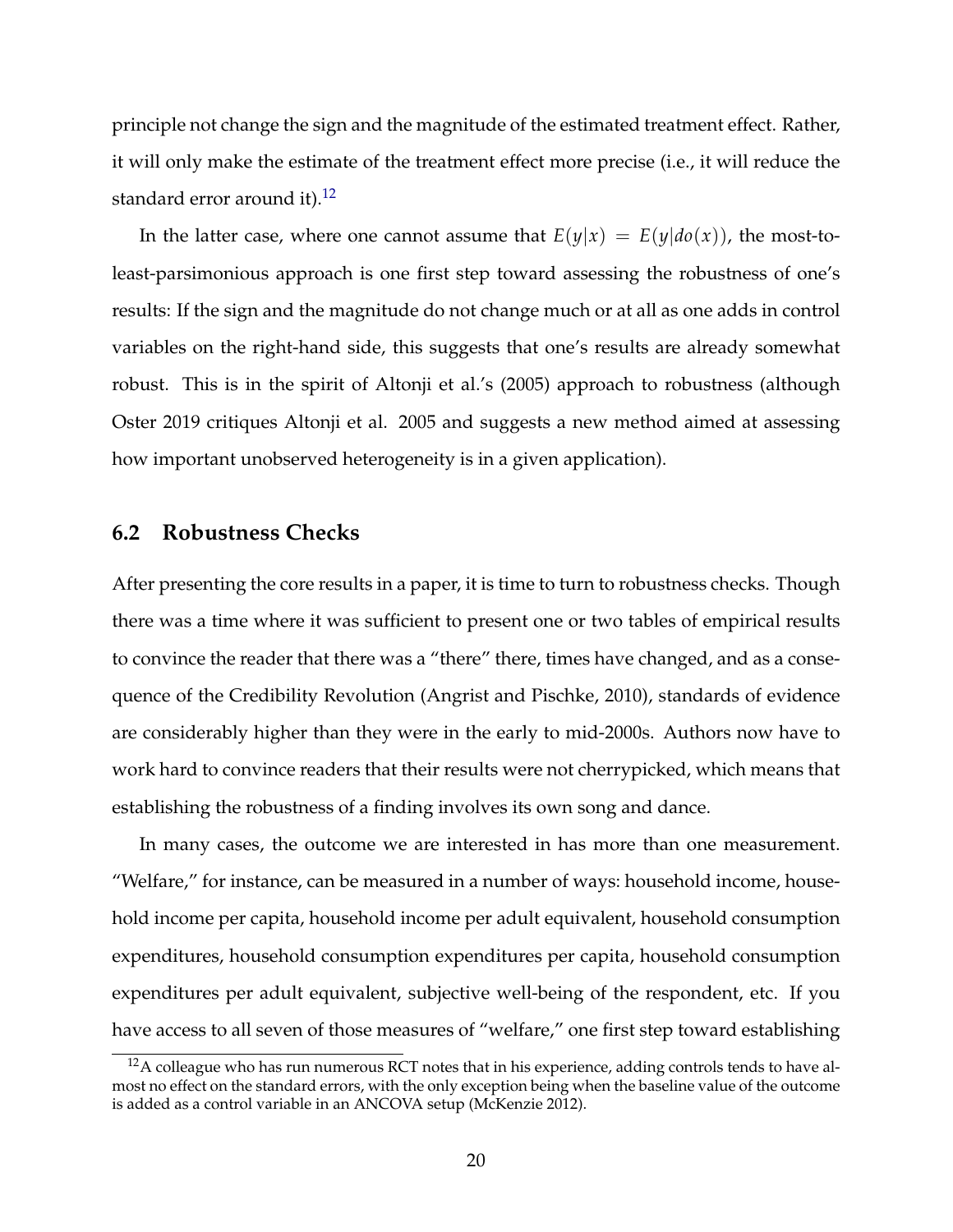principle not change the sign and the magnitude of the estimated treatment effect. Rather, it will only make the estimate of the treatment effect more precise (i.e., it will reduce the standard error around it).<sup>[12](#page-19-0)</sup>

In the latter case, where one cannot assume that  $E(y|x) = E(y|do(x))$ , the most-toleast-parsimonious approach is one first step toward assessing the robustness of one's results: If the sign and the magnitude do not change much or at all as one adds in control variables on the right-hand side, this suggests that one's results are already somewhat robust. This is in the spirit of Altonji et al.'s (2005) approach to robustness (although Oster 2019 critiques Altonji et al. 2005 and suggests a new method aimed at assessing how important unobserved heterogeneity is in a given application).

### **6.2 Robustness Checks**

After presenting the core results in a paper, it is time to turn to robustness checks. Though there was a time where it was sufficient to present one or two tables of empirical results to convince the reader that there was a "there" there, times have changed, and as a consequence of the Credibility Revolution (Angrist and Pischke, 2010), standards of evidence are considerably higher than they were in the early to mid-2000s. Authors now have to work hard to convince readers that their results were not cherrypicked, which means that establishing the robustness of a finding involves its own song and dance.

In many cases, the outcome we are interested in has more than one measurement. "Welfare," for instance, can be measured in a number of ways: household income, household income per capita, household income per adult equivalent, household consumption expenditures, household consumption expenditures per capita, household consumption expenditures per adult equivalent, subjective well-being of the respondent, etc. If you have access to all seven of those measures of "welfare," one first step toward establishing

<span id="page-19-0"></span> $12A$  colleague who has run numerous RCT notes that in his experience, adding controls tends to have almost no effect on the standard errors, with the only exception being when the baseline value of the outcome is added as a control variable in an ANCOVA setup (McKenzie 2012).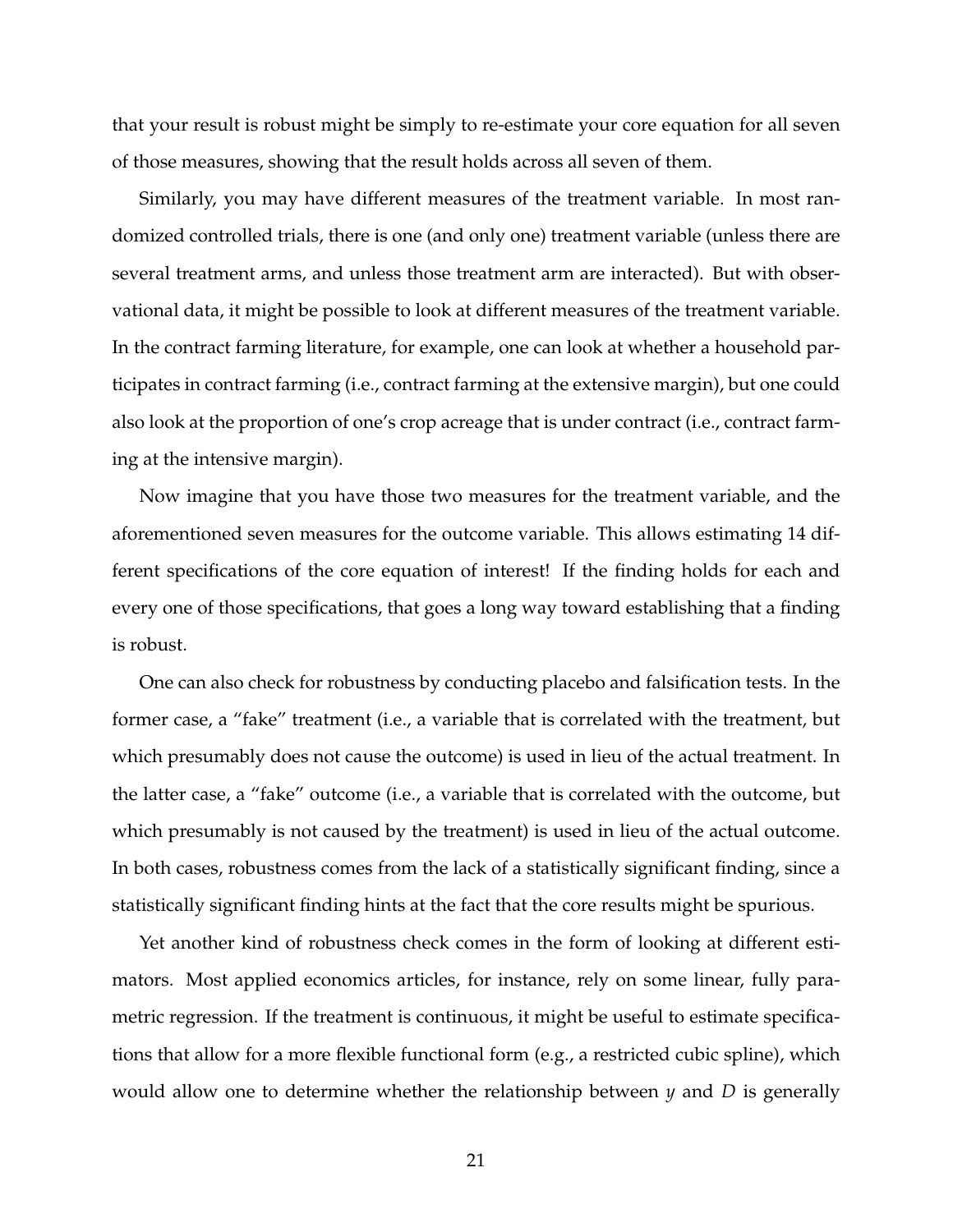that your result is robust might be simply to re-estimate your core equation for all seven of those measures, showing that the result holds across all seven of them.

Similarly, you may have different measures of the treatment variable. In most randomized controlled trials, there is one (and only one) treatment variable (unless there are several treatment arms, and unless those treatment arm are interacted). But with observational data, it might be possible to look at different measures of the treatment variable. In the contract farming literature, for example, one can look at whether a household participates in contract farming (i.e., contract farming at the extensive margin), but one could also look at the proportion of one's crop acreage that is under contract (i.e., contract farming at the intensive margin).

Now imagine that you have those two measures for the treatment variable, and the aforementioned seven measures for the outcome variable. This allows estimating 14 different specifications of the core equation of interest! If the finding holds for each and every one of those specifications, that goes a long way toward establishing that a finding is robust.

One can also check for robustness by conducting placebo and falsification tests. In the former case, a "fake" treatment (i.e., a variable that is correlated with the treatment, but which presumably does not cause the outcome) is used in lieu of the actual treatment. In the latter case, a "fake" outcome (i.e., a variable that is correlated with the outcome, but which presumably is not caused by the treatment) is used in lieu of the actual outcome. In both cases, robustness comes from the lack of a statistically significant finding, since a statistically significant finding hints at the fact that the core results might be spurious.

Yet another kind of robustness check comes in the form of looking at different estimators. Most applied economics articles, for instance, rely on some linear, fully parametric regression. If the treatment is continuous, it might be useful to estimate specifications that allow for a more flexible functional form (e.g., a restricted cubic spline), which would allow one to determine whether the relationship between *y* and *D* is generally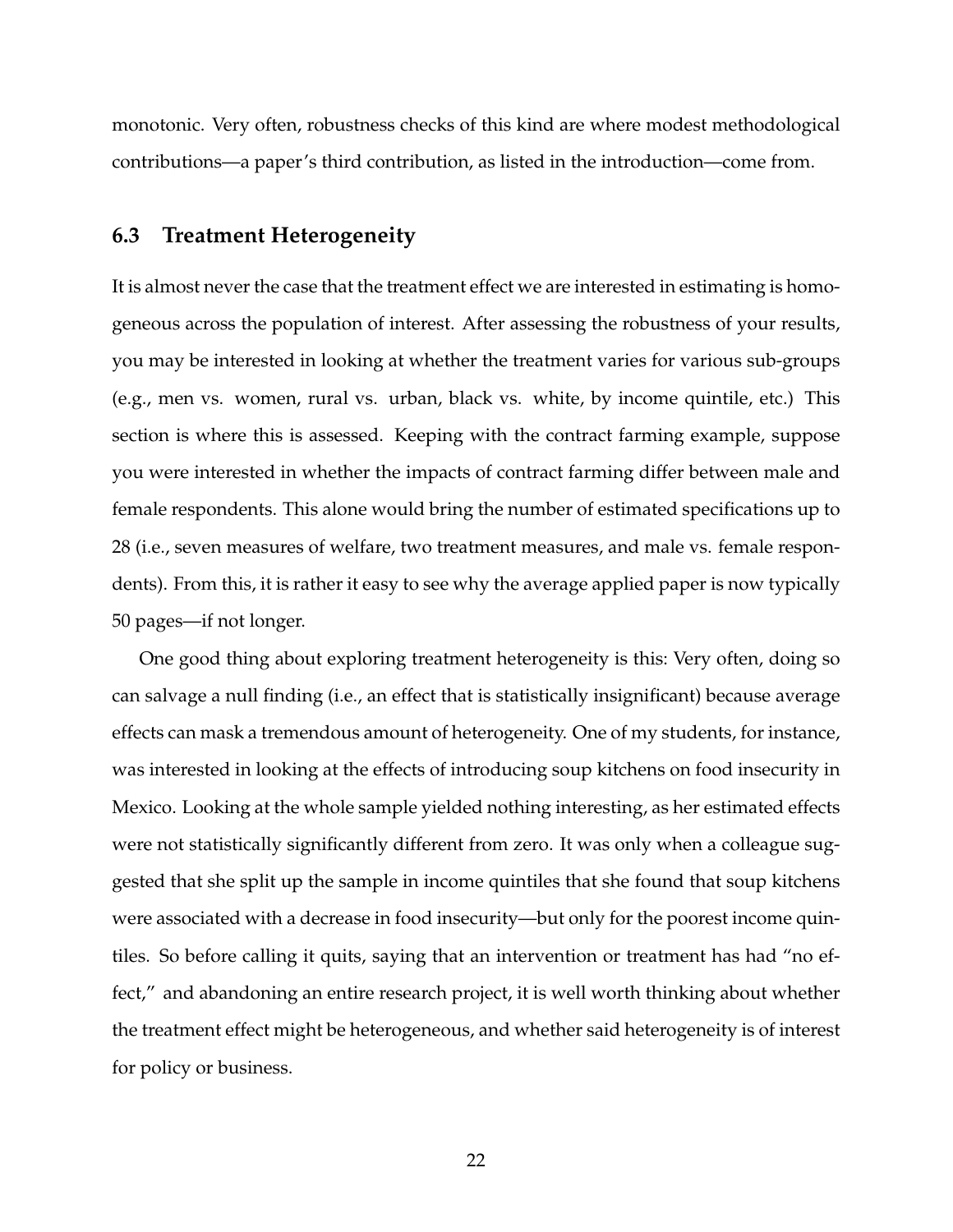monotonic. Very often, robustness checks of this kind are where modest methodological contributions—a paper's third contribution, as listed in the introduction—come from.

### **6.3 Treatment Heterogeneity**

It is almost never the case that the treatment effect we are interested in estimating is homogeneous across the population of interest. After assessing the robustness of your results, you may be interested in looking at whether the treatment varies for various sub-groups (e.g., men vs. women, rural vs. urban, black vs. white, by income quintile, etc.) This section is where this is assessed. Keeping with the contract farming example, suppose you were interested in whether the impacts of contract farming differ between male and female respondents. This alone would bring the number of estimated specifications up to 28 (i.e., seven measures of welfare, two treatment measures, and male vs. female respondents). From this, it is rather it easy to see why the average applied paper is now typically 50 pages—if not longer.

One good thing about exploring treatment heterogeneity is this: Very often, doing so can salvage a null finding (i.e., an effect that is statistically insignificant) because average effects can mask a tremendous amount of heterogeneity. One of my students, for instance, was interested in looking at the effects of introducing soup kitchens on food insecurity in Mexico. Looking at the whole sample yielded nothing interesting, as her estimated effects were not statistically significantly different from zero. It was only when a colleague suggested that she split up the sample in income quintiles that she found that soup kitchens were associated with a decrease in food insecurity—but only for the poorest income quintiles. So before calling it quits, saying that an intervention or treatment has had "no effect," and abandoning an entire research project, it is well worth thinking about whether the treatment effect might be heterogeneous, and whether said heterogeneity is of interest for policy or business.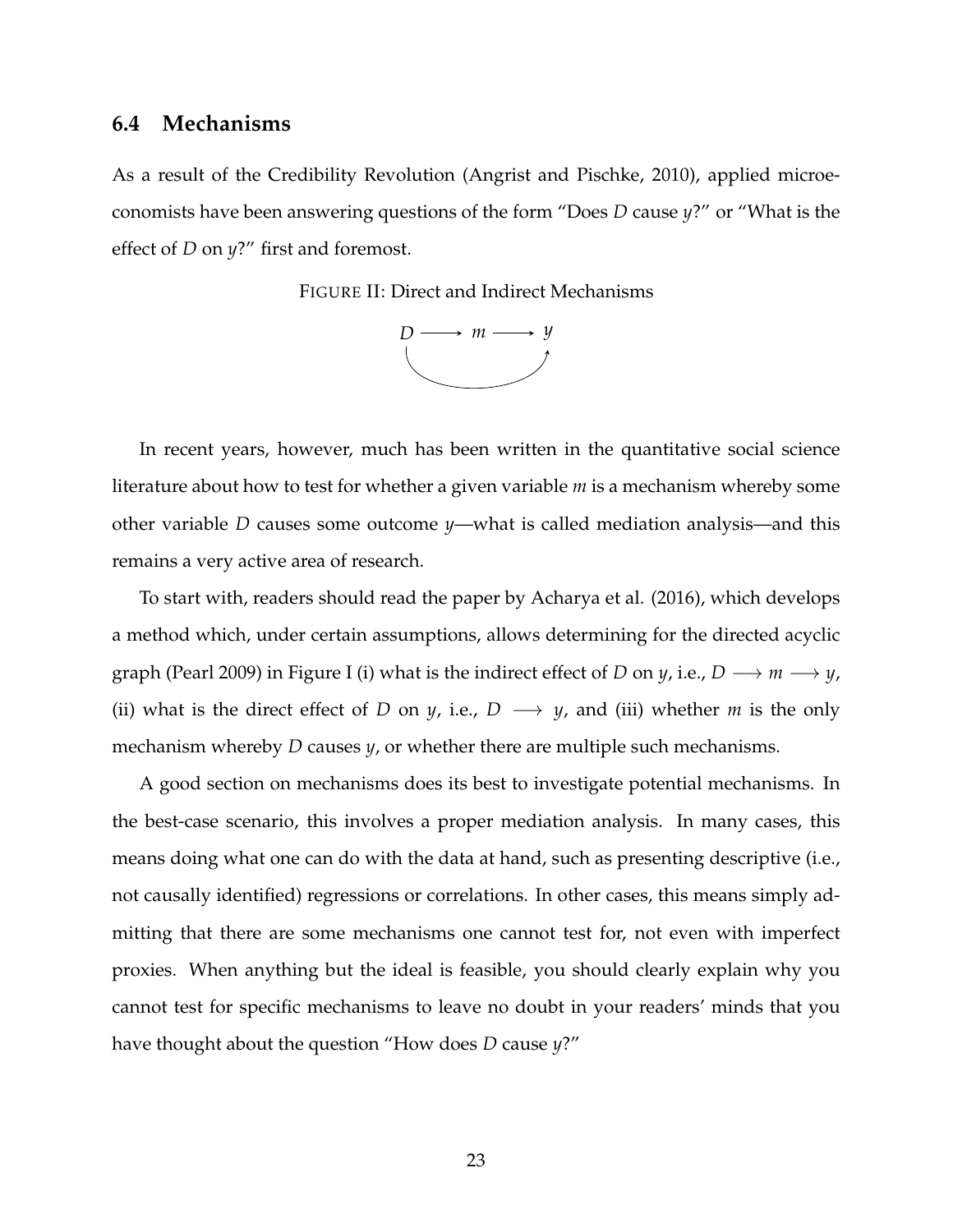#### **6.4 Mechanisms**

As a result of the Credibility Revolution (Angrist and Pischke, 2010), applied microeconomists have been answering questions of the form "Does *D* cause *y*?" or "What is the effect of *D* on *y*?" first and foremost.

FIGURE II: Direct and Indirect Mechanisms



In recent years, however, much has been written in the quantitative social science literature about how to test for whether a given variable *m* is a mechanism whereby some other variable *D* causes some outcome *y*—what is called mediation analysis—and this remains a very active area of research.

To start with, readers should read the paper by Acharya et al. (2016), which develops a method which, under certain assumptions, allows determining for the directed acyclic graph (Pearl 2009) in Figure I (i) what is the indirect effect of *D* on *y*, i.e., *D*  $\longrightarrow$  *m*  $\longrightarrow$  *y*, (ii) what is the direct effect of *D* on *y*, i.e., *D*  $\rightarrow$  *y*, and (iii) whether *m* is the only mechanism whereby *D* causes *y*, or whether there are multiple such mechanisms.

A good section on mechanisms does its best to investigate potential mechanisms. In the best-case scenario, this involves a proper mediation analysis. In many cases, this means doing what one can do with the data at hand, such as presenting descriptive (i.e., not causally identified) regressions or correlations. In other cases, this means simply admitting that there are some mechanisms one cannot test for, not even with imperfect proxies. When anything but the ideal is feasible, you should clearly explain why you cannot test for specific mechanisms to leave no doubt in your readers' minds that you have thought about the question "How does *D* cause *y*?"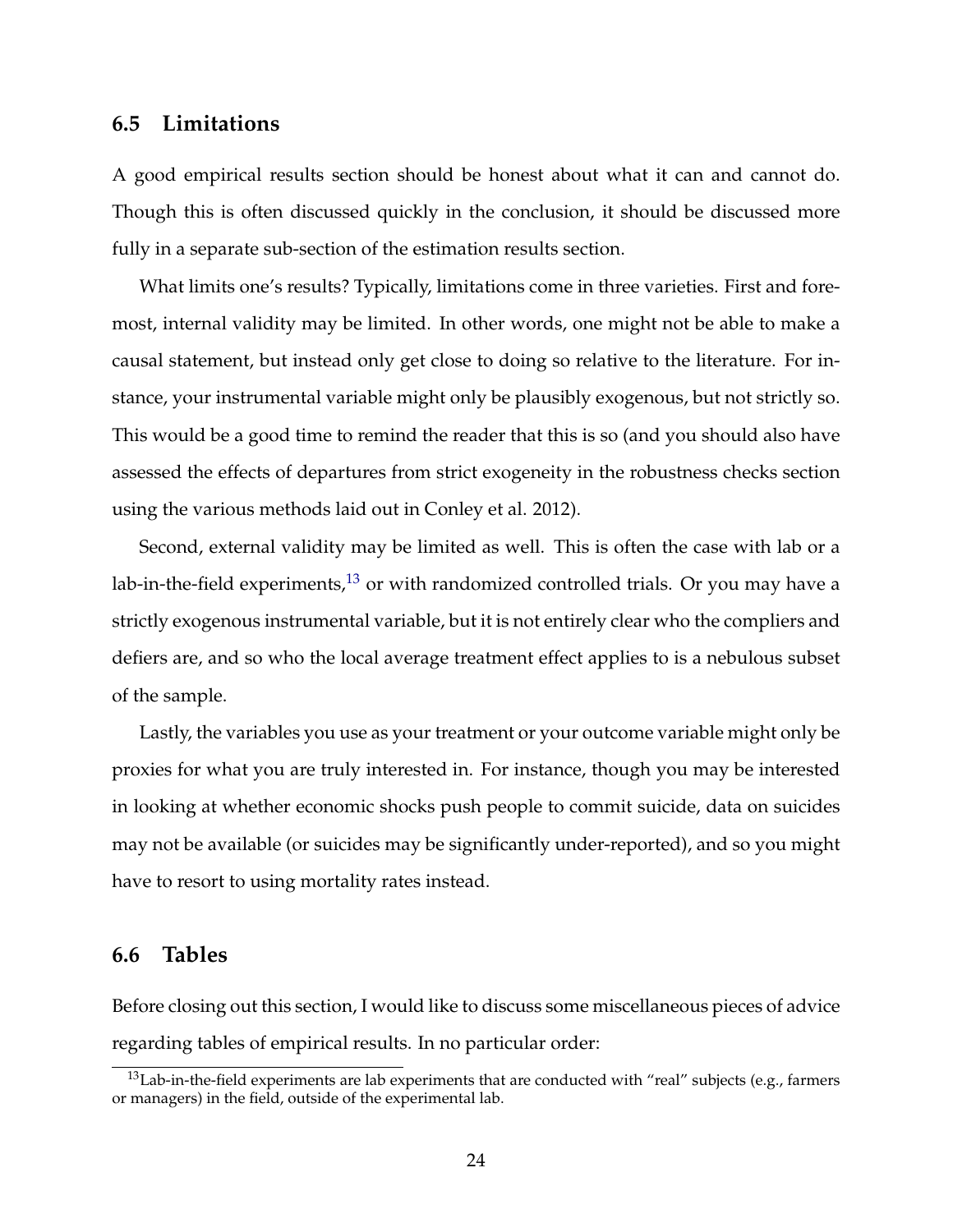#### **6.5 Limitations**

A good empirical results section should be honest about what it can and cannot do. Though this is often discussed quickly in the conclusion, it should be discussed more fully in a separate sub-section of the estimation results section.

What limits one's results? Typically, limitations come in three varieties. First and foremost, internal validity may be limited. In other words, one might not be able to make a causal statement, but instead only get close to doing so relative to the literature. For instance, your instrumental variable might only be plausibly exogenous, but not strictly so. This would be a good time to remind the reader that this is so (and you should also have assessed the effects of departures from strict exogeneity in the robustness checks section using the various methods laid out in Conley et al. 2012).

Second, external validity may be limited as well. This is often the case with lab or a lab-in-the-field experiments, $13$  or with randomized controlled trials. Or you may have a strictly exogenous instrumental variable, but it is not entirely clear who the compliers and defiers are, and so who the local average treatment effect applies to is a nebulous subset of the sample.

Lastly, the variables you use as your treatment or your outcome variable might only be proxies for what you are truly interested in. For instance, though you may be interested in looking at whether economic shocks push people to commit suicide, data on suicides may not be available (or suicides may be significantly under-reported), and so you might have to resort to using mortality rates instead.

#### **6.6 Tables**

Before closing out this section, I would like to discuss some miscellaneous pieces of advice regarding tables of empirical results. In no particular order:

<span id="page-23-0"></span> $13$ Lab-in-the-field experiments are lab experiments that are conducted with "real" subjects (e.g., farmers or managers) in the field, outside of the experimental lab.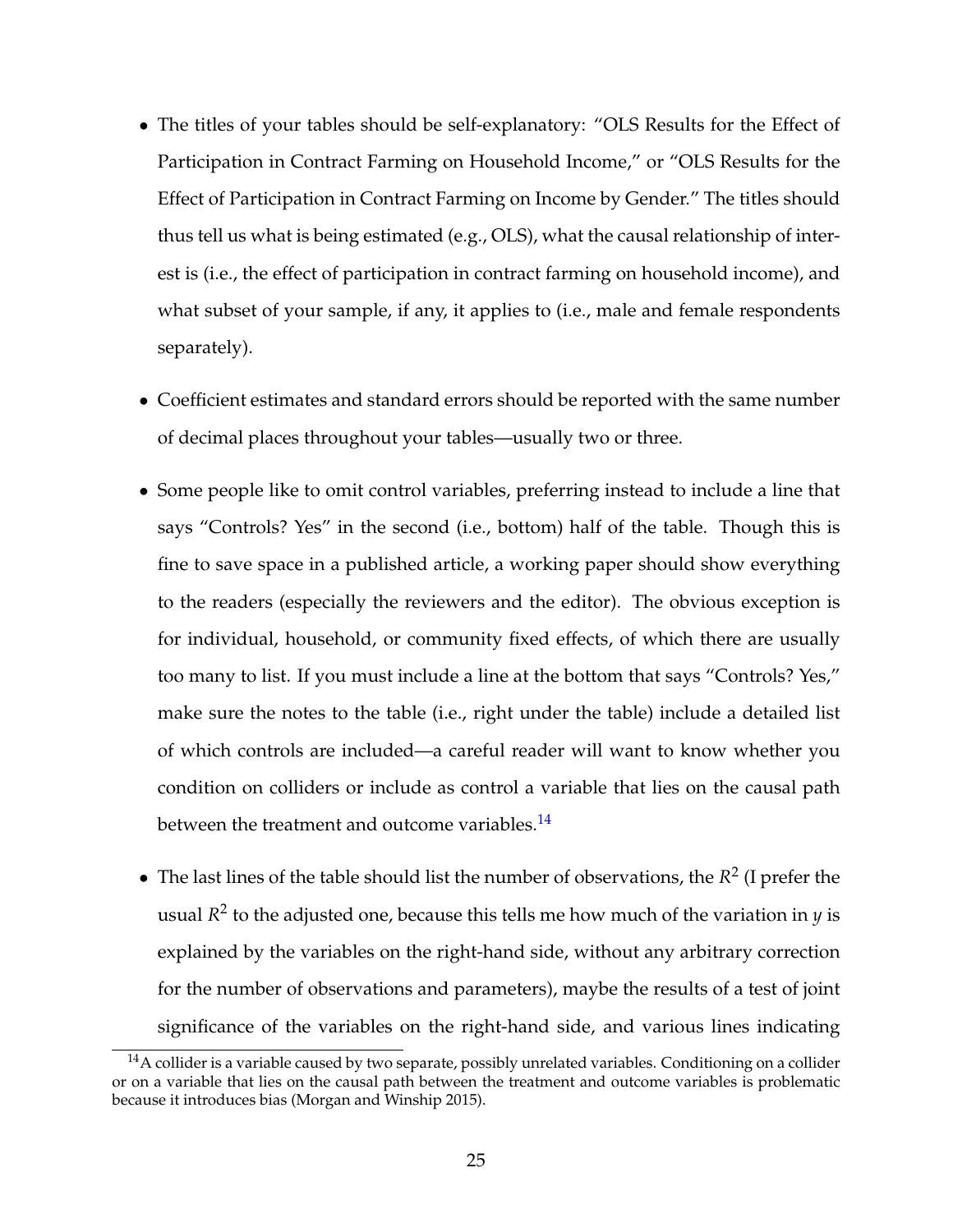- The titles of your tables should be self-explanatory: "OLS Results for the Effect of Participation in Contract Farming on Household Income," or "OLS Results for the Effect of Participation in Contract Farming on Income by Gender." The titles should thus tell us what is being estimated (e.g., OLS), what the causal relationship of interest is (i.e., the effect of participation in contract farming on household income), and what subset of your sample, if any, it applies to (i.e., male and female respondents separately).
- Coefficient estimates and standard errors should be reported with the same number of decimal places throughout your tables—usually two or three.
- Some people like to omit control variables, preferring instead to include a line that says "Controls? Yes" in the second (i.e., bottom) half of the table. Though this is fine to save space in a published article, a working paper should show everything to the readers (especially the reviewers and the editor). The obvious exception is for individual, household, or community fixed effects, of which there are usually too many to list. If you must include a line at the bottom that says "Controls? Yes," make sure the notes to the table (i.e., right under the table) include a detailed list of which controls are included—a careful reader will want to know whether you condition on colliders or include as control a variable that lies on the causal path between the treatment and outcome variables.<sup>[14](#page-24-0)</sup>
- The last lines of the table should list the number of observations, the  $R^2$  (I prefer the usual *R* 2 to the adjusted one, because this tells me how much of the variation in *y* is explained by the variables on the right-hand side, without any arbitrary correction for the number of observations and parameters), maybe the results of a test of joint significance of the variables on the right-hand side, and various lines indicating

<span id="page-24-0"></span><sup>&</sup>lt;sup>14</sup>A collider is a variable caused by two separate, possibly unrelated variables. Conditioning on a collider or on a variable that lies on the causal path between the treatment and outcome variables is problematic because it introduces bias (Morgan and Winship 2015).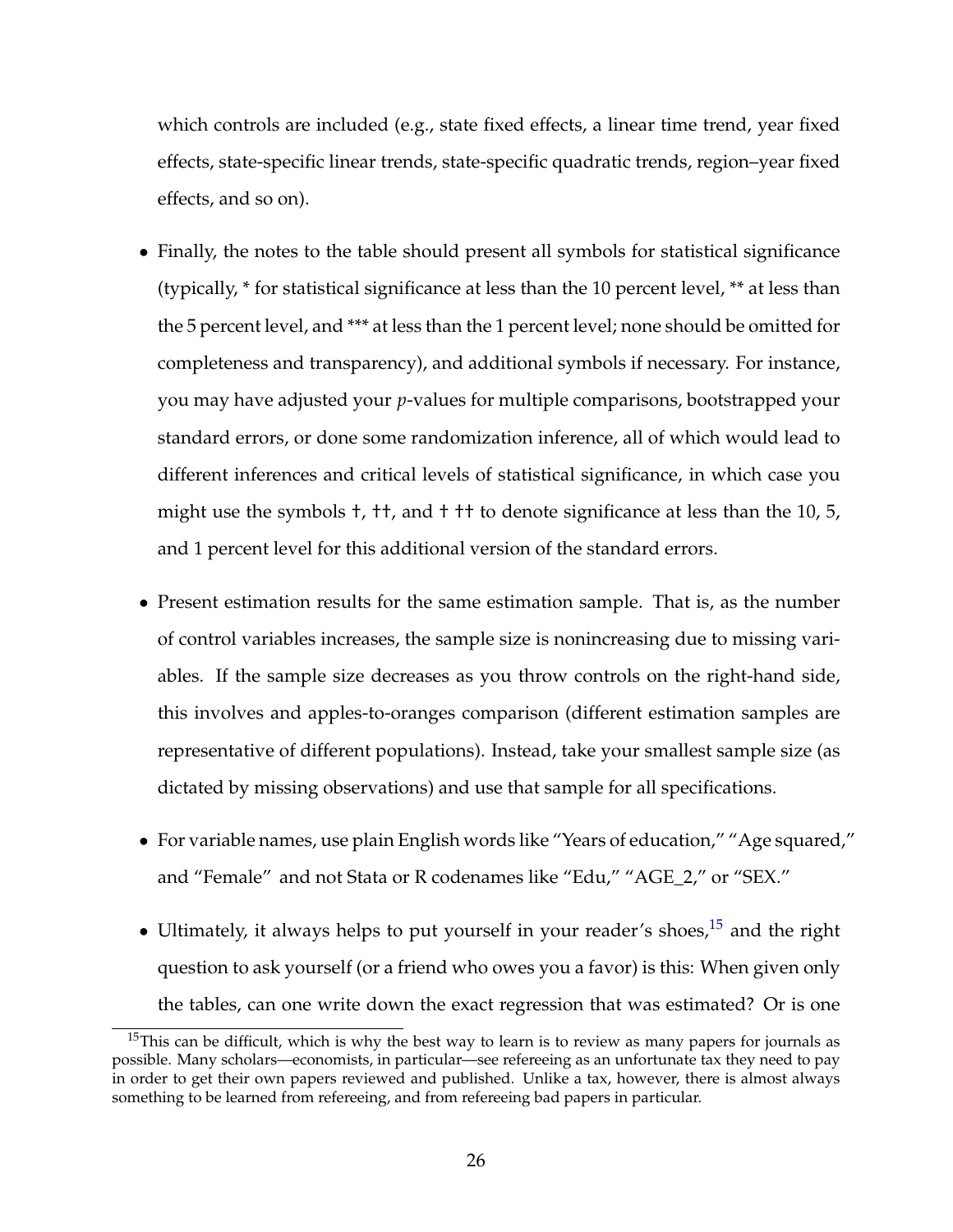which controls are included (e.g., state fixed effects, a linear time trend, year fixed effects, state-specific linear trends, state-specific quadratic trends, region–year fixed effects, and so on).

- Finally, the notes to the table should present all symbols for statistical significance (typically, \* for statistical significance at less than the 10 percent level, \*\* at less than the 5 percent level, and \*\*\* at less than the 1 percent level; none should be omitted for completeness and transparency), and additional symbols if necessary. For instance, you may have adjusted your *p*-values for multiple comparisons, bootstrapped your standard errors, or done some randomization inference, all of which would lead to different inferences and critical levels of statistical significance, in which case you might use the symbols †, ††, and † †† to denote significance at less than the 10, 5, and 1 percent level for this additional version of the standard errors.
- Present estimation results for the same estimation sample. That is, as the number of control variables increases, the sample size is nonincreasing due to missing variables. If the sample size decreases as you throw controls on the right-hand side, this involves and apples-to-oranges comparison (different estimation samples are representative of different populations). Instead, take your smallest sample size (as dictated by missing observations) and use that sample for all specifications.
- For variable names, use plain English words like "Years of education," "Age squared," and "Female" and not Stata or R codenames like "Edu," "AGE\_2," or "SEX."
- Ultimately, it always helps to put yourself in your reader's shoes, $15$  and the right question to ask yourself (or a friend who owes you a favor) is this: When given only the tables, can one write down the exact regression that was estimated? Or is one

<span id="page-25-0"></span><sup>&</sup>lt;sup>15</sup>This can be difficult, which is why the best way to learn is to review as many papers for journals as possible. Many scholars—economists, in particular—see refereeing as an unfortunate tax they need to pay in order to get their own papers reviewed and published. Unlike a tax, however, there is almost always something to be learned from refereeing, and from refereeing bad papers in particular.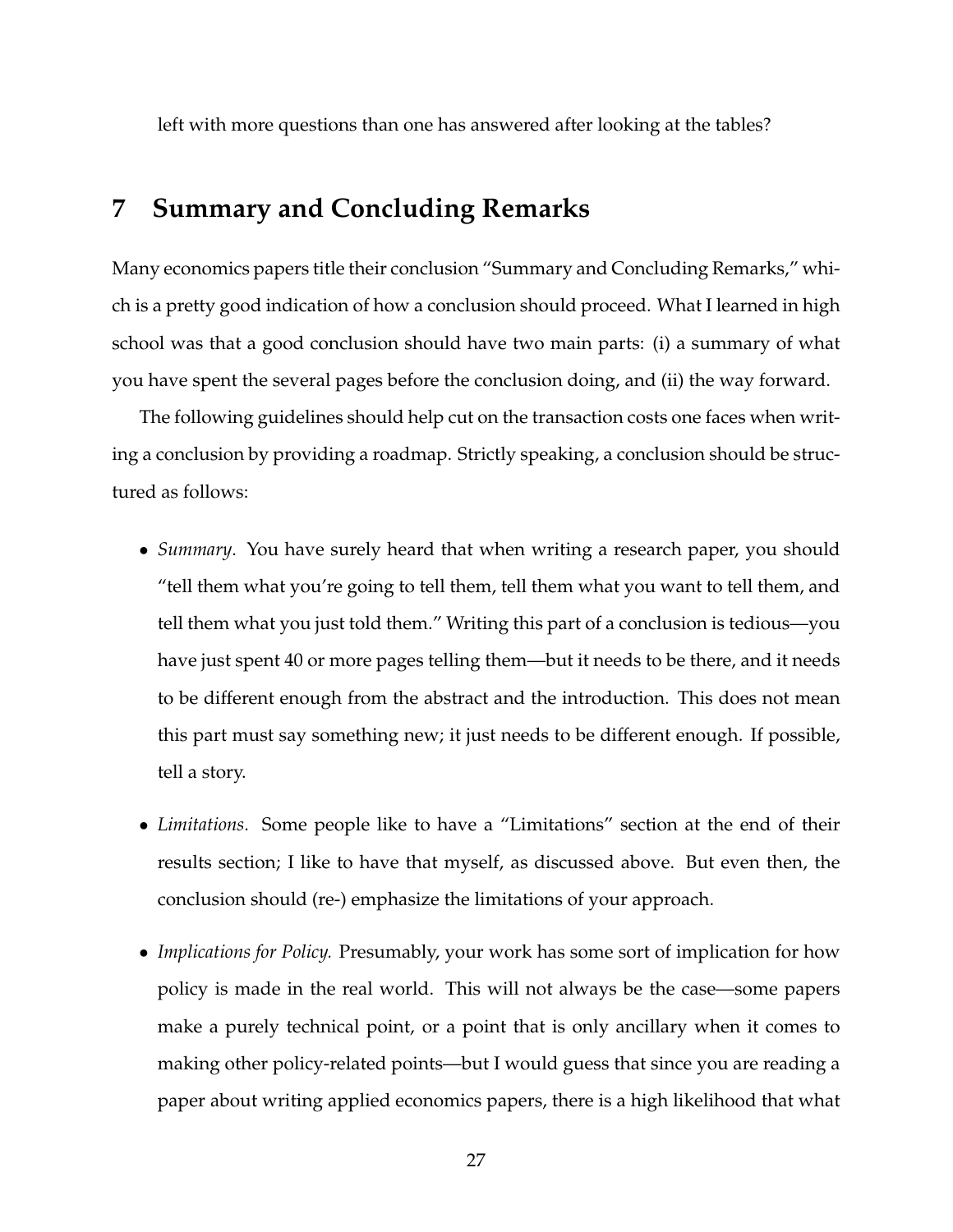left with more questions than one has answered after looking at the tables?

# **7 Summary and Concluding Remarks**

Many economics papers title their conclusion "Summary and Concluding Remarks," which is a pretty good indication of how a conclusion should proceed. What I learned in high school was that a good conclusion should have two main parts: (i) a summary of what you have spent the several pages before the conclusion doing, and (ii) the way forward.

The following guidelines should help cut on the transaction costs one faces when writing a conclusion by providing a roadmap. Strictly speaking, a conclusion should be structured as follows:

- *Summary*. You have surely heard that when writing a research paper, you should "tell them what you're going to tell them, tell them what you want to tell them, and tell them what you just told them." Writing this part of a conclusion is tedious—you have just spent 40 or more pages telling them—but it needs to be there, and it needs to be different enough from the abstract and the introduction. This does not mean this part must say something new; it just needs to be different enough. If possible, tell a story.
- *Limitations*. Some people like to have a "Limitations" section at the end of their results section; I like to have that myself, as discussed above. But even then, the conclusion should (re-) emphasize the limitations of your approach.
- *Implications for Policy.* Presumably, your work has some sort of implication for how policy is made in the real world. This will not always be the case—some papers make a purely technical point, or a point that is only ancillary when it comes to making other policy-related points—but I would guess that since you are reading a paper about writing applied economics papers, there is a high likelihood that what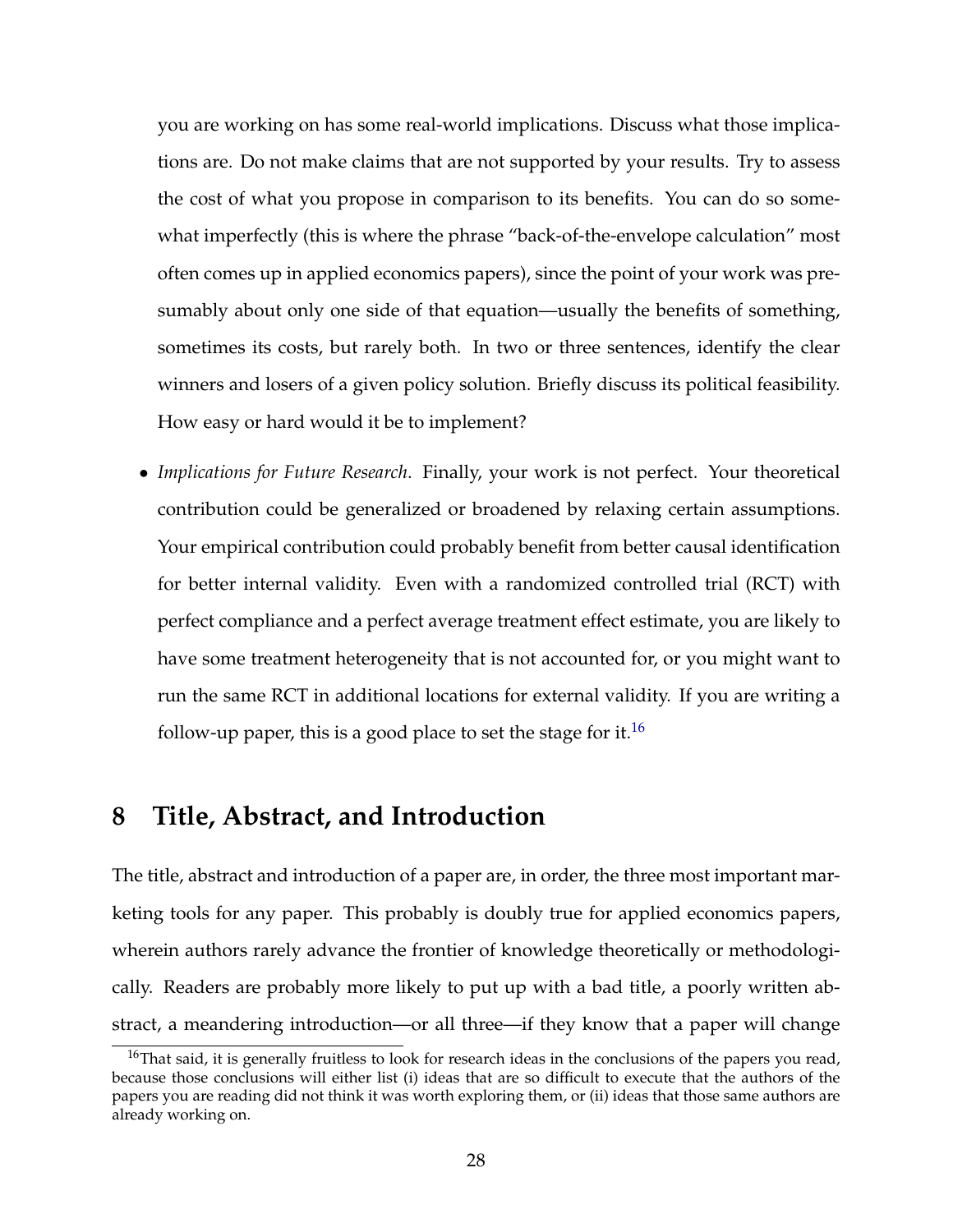you are working on has some real-world implications. Discuss what those implications are. Do not make claims that are not supported by your results. Try to assess the cost of what you propose in comparison to its benefits. You can do so somewhat imperfectly (this is where the phrase "back-of-the-envelope calculation" most often comes up in applied economics papers), since the point of your work was presumably about only one side of that equation—usually the benefits of something, sometimes its costs, but rarely both. In two or three sentences, identify the clear winners and losers of a given policy solution. Briefly discuss its political feasibility. How easy or hard would it be to implement?

• *Implications for Future Research*. Finally, your work is not perfect. Your theoretical contribution could be generalized or broadened by relaxing certain assumptions. Your empirical contribution could probably benefit from better causal identification for better internal validity. Even with a randomized controlled trial (RCT) with perfect compliance and a perfect average treatment effect estimate, you are likely to have some treatment heterogeneity that is not accounted for, or you might want to run the same RCT in additional locations for external validity. If you are writing a follow-up paper, this is a good place to set the stage for it.<sup>[16](#page-27-0)</sup>

## **8 Title, Abstract, and Introduction**

The title, abstract and introduction of a paper are, in order, the three most important marketing tools for any paper. This probably is doubly true for applied economics papers, wherein authors rarely advance the frontier of knowledge theoretically or methodologically. Readers are probably more likely to put up with a bad title, a poorly written abstract, a meandering introduction—or all three—if they know that a paper will change

<span id="page-27-0"></span><sup>&</sup>lt;sup>16</sup>That said, it is generally fruitless to look for research ideas in the conclusions of the papers you read, because those conclusions will either list (i) ideas that are so difficult to execute that the authors of the papers you are reading did not think it was worth exploring them, or (ii) ideas that those same authors are already working on.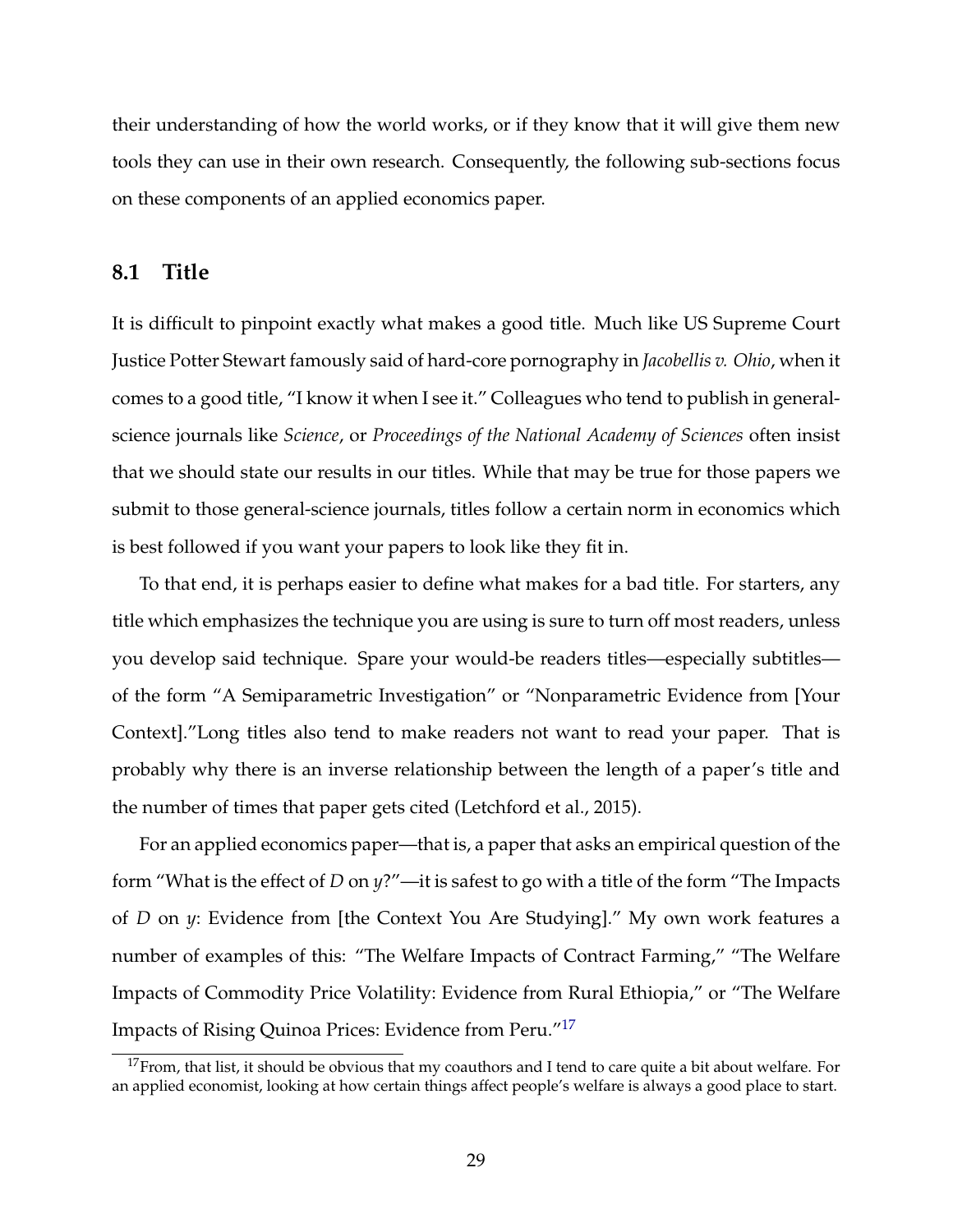their understanding of how the world works, or if they know that it will give them new tools they can use in their own research. Consequently, the following sub-sections focus on these components of an applied economics paper.

#### **8.1 Title**

It is difficult to pinpoint exactly what makes a good title. Much like US Supreme Court Justice Potter Stewart famously said of hard-core pornography in *Jacobellis v. Ohio*, when it comes to a good title, "I know it when I see it." Colleagues who tend to publish in generalscience journals like *Science*, or *Proceedings of the National Academy of Sciences* often insist that we should state our results in our titles. While that may be true for those papers we submit to those general-science journals, titles follow a certain norm in economics which is best followed if you want your papers to look like they fit in.

To that end, it is perhaps easier to define what makes for a bad title. For starters, any title which emphasizes the technique you are using is sure to turn off most readers, unless you develop said technique. Spare your would-be readers titles—especially subtitles of the form "A Semiparametric Investigation" or "Nonparametric Evidence from [Your Context]."Long titles also tend to make readers not want to read your paper. That is probably why there is an inverse relationship between the length of a paper's title and the number of times that paper gets cited (Letchford et al., 2015).

For an applied economics paper—that is, a paper that asks an empirical question of the form "What is the effect of *D* on *y*?"—it is safest to go with a title of the form "The Impacts of *D* on *y*: Evidence from [the Context You Are Studying]." My own work features a number of examples of this: "The Welfare Impacts of Contract Farming," "The Welfare Impacts of Commodity Price Volatility: Evidence from Rural Ethiopia," or "The Welfare Impacts of Rising Quinoa Prices: Evidence from Peru."[17](#page-28-0)

<span id="page-28-0"></span> $17$ From, that list, it should be obvious that my coauthors and I tend to care quite a bit about welfare. For an applied economist, looking at how certain things affect people's welfare is always a good place to start.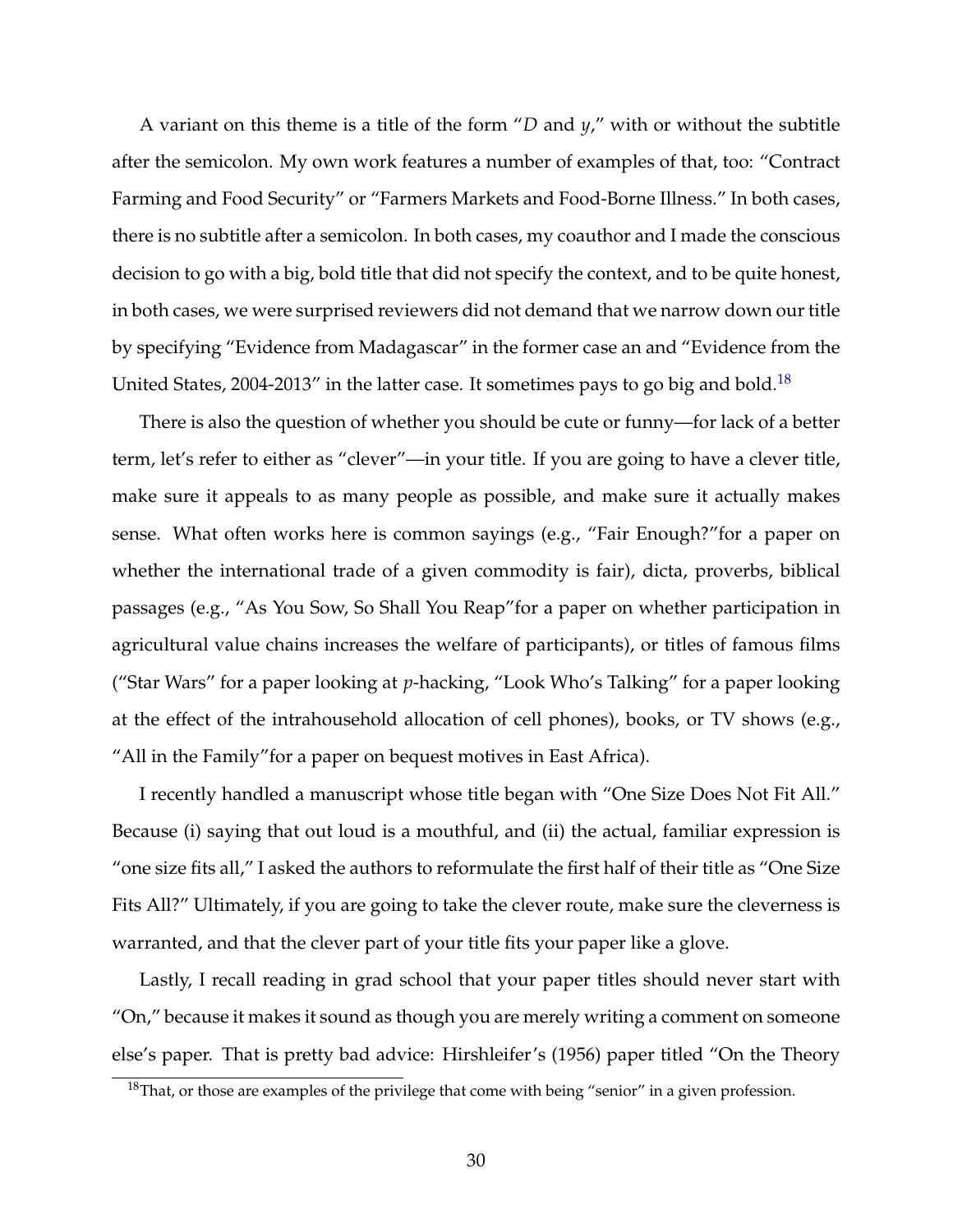A variant on this theme is a title of the form "*D* and *y*," with or without the subtitle after the semicolon. My own work features a number of examples of that, too: "Contract Farming and Food Security" or "Farmers Markets and Food-Borne Illness." In both cases, there is no subtitle after a semicolon. In both cases, my coauthor and I made the conscious decision to go with a big, bold title that did not specify the context, and to be quite honest, in both cases, we were surprised reviewers did not demand that we narrow down our title by specifying "Evidence from Madagascar" in the former case an and "Evidence from the United States, 2004-2013" in the latter case. It sometimes pays to go big and bold.<sup>[18](#page-29-0)</sup>

There is also the question of whether you should be cute or funny—for lack of a better term, let's refer to either as "clever"—in your title. If you are going to have a clever title, make sure it appeals to as many people as possible, and make sure it actually makes sense. What often works here is common sayings (e.g., "Fair Enough?"for a paper on whether the international trade of a given commodity is fair), dicta, proverbs, biblical passages (e.g., "As You Sow, So Shall You Reap"for a paper on whether participation in agricultural value chains increases the welfare of participants), or titles of famous films ("Star Wars" for a paper looking at *p*-hacking, "Look Who's Talking" for a paper looking at the effect of the intrahousehold allocation of cell phones), books, or TV shows (e.g., "All in the Family"for a paper on bequest motives in East Africa).

I recently handled a manuscript whose title began with "One Size Does Not Fit All." Because (i) saying that out loud is a mouthful, and (ii) the actual, familiar expression is "one size fits all," I asked the authors to reformulate the first half of their title as "One Size Fits All?" Ultimately, if you are going to take the clever route, make sure the cleverness is warranted, and that the clever part of your title fits your paper like a glove.

Lastly, I recall reading in grad school that your paper titles should never start with "On," because it makes it sound as though you are merely writing a comment on someone else's paper. That is pretty bad advice: Hirshleifer's (1956) paper titled "On the Theory

<span id="page-29-0"></span> $18$ That, or those are examples of the privilege that come with being "senior" in a given profession.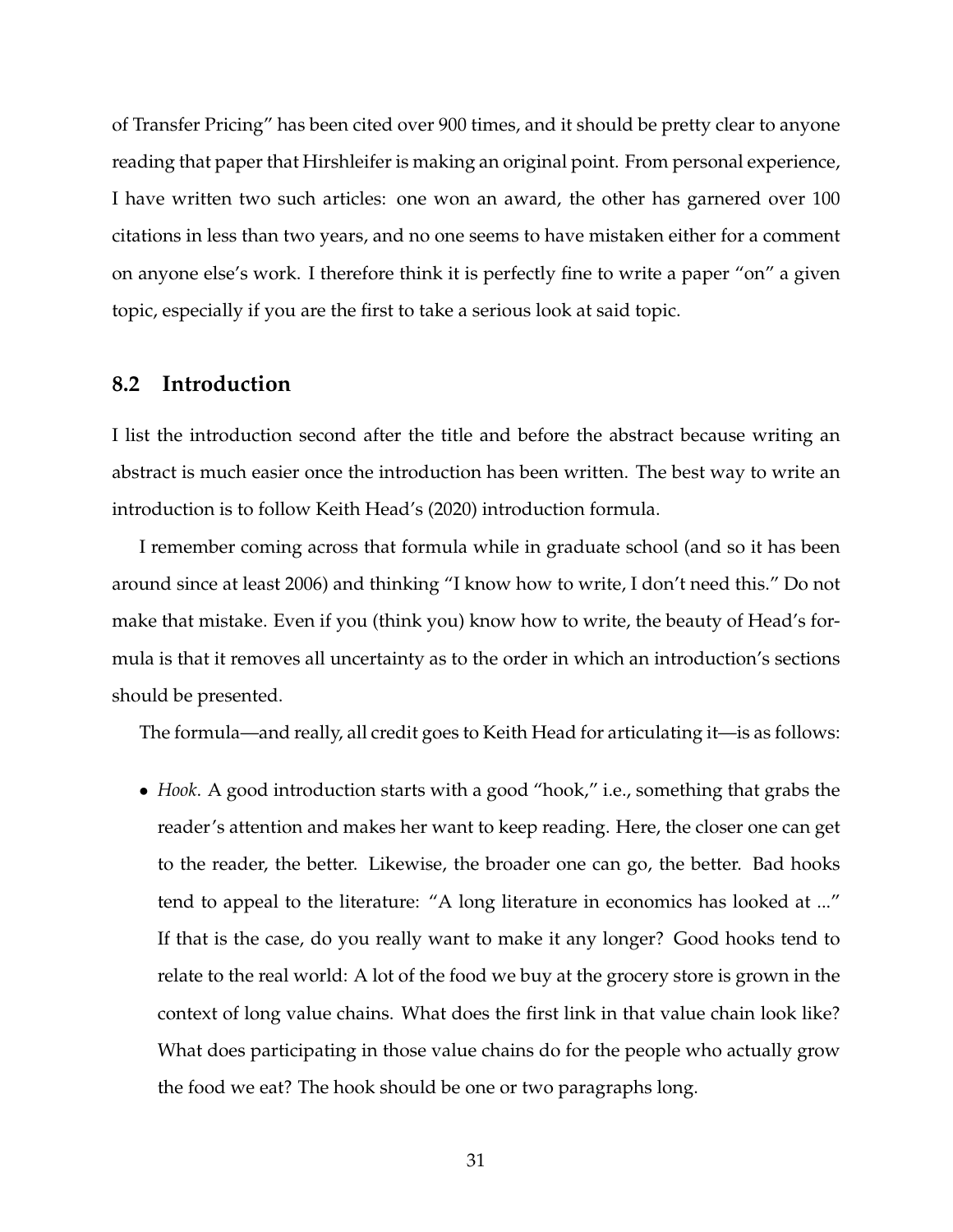of Transfer Pricing" has been cited over 900 times, and it should be pretty clear to anyone reading that paper that Hirshleifer is making an original point. From personal experience, I have written two such articles: one won an award, the other has garnered over 100 citations in less than two years, and no one seems to have mistaken either for a comment on anyone else's work. I therefore think it is perfectly fine to write a paper "on" a given topic, especially if you are the first to take a serious look at said topic.

### **8.2 Introduction**

I list the introduction second after the title and before the abstract because writing an abstract is much easier once the introduction has been written. The best way to write an introduction is to follow Keith Head's (2020) introduction formula.

I remember coming across that formula while in graduate school (and so it has been around since at least 2006) and thinking "I know how to write, I don't need this." Do not make that mistake. Even if you (think you) know how to write, the beauty of Head's formula is that it removes all uncertainty as to the order in which an introduction's sections should be presented.

The formula—and really, all credit goes to Keith Head for articulating it—is as follows:

• *Hook*. A good introduction starts with a good "hook," i.e., something that grabs the reader's attention and makes her want to keep reading. Here, the closer one can get to the reader, the better. Likewise, the broader one can go, the better. Bad hooks tend to appeal to the literature: "A long literature in economics has looked at ..." If that is the case, do you really want to make it any longer? Good hooks tend to relate to the real world: A lot of the food we buy at the grocery store is grown in the context of long value chains. What does the first link in that value chain look like? What does participating in those value chains do for the people who actually grow the food we eat? The hook should be one or two paragraphs long.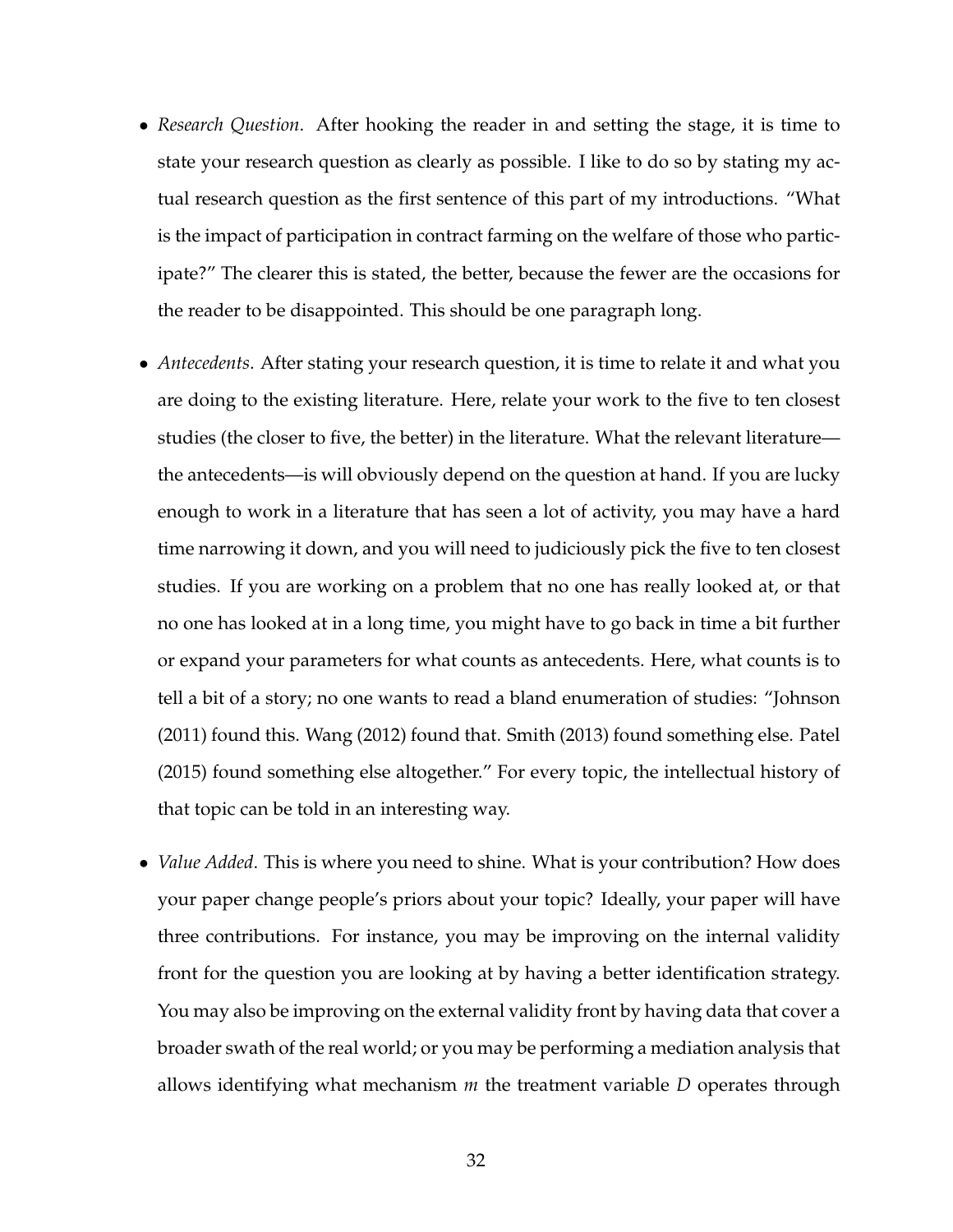- *Research Question*. After hooking the reader in and setting the stage, it is time to state your research question as clearly as possible. I like to do so by stating my actual research question as the first sentence of this part of my introductions. "What is the impact of participation in contract farming on the welfare of those who participate?" The clearer this is stated, the better, because the fewer are the occasions for the reader to be disappointed. This should be one paragraph long.
- *Antecedents*. After stating your research question, it is time to relate it and what you are doing to the existing literature. Here, relate your work to the five to ten closest studies (the closer to five, the better) in the literature. What the relevant literature the antecedents—is will obviously depend on the question at hand. If you are lucky enough to work in a literature that has seen a lot of activity, you may have a hard time narrowing it down, and you will need to judiciously pick the five to ten closest studies. If you are working on a problem that no one has really looked at, or that no one has looked at in a long time, you might have to go back in time a bit further or expand your parameters for what counts as antecedents. Here, what counts is to tell a bit of a story; no one wants to read a bland enumeration of studies: "Johnson (2011) found this. Wang (2012) found that. Smith (2013) found something else. Patel (2015) found something else altogether." For every topic, the intellectual history of that topic can be told in an interesting way.
- *Value Added*. This is where you need to shine. What is your contribution? How does your paper change people's priors about your topic? Ideally, your paper will have three contributions. For instance, you may be improving on the internal validity front for the question you are looking at by having a better identification strategy. You may also be improving on the external validity front by having data that cover a broader swath of the real world; or you may be performing a mediation analysis that allows identifying what mechanism *m* the treatment variable *D* operates through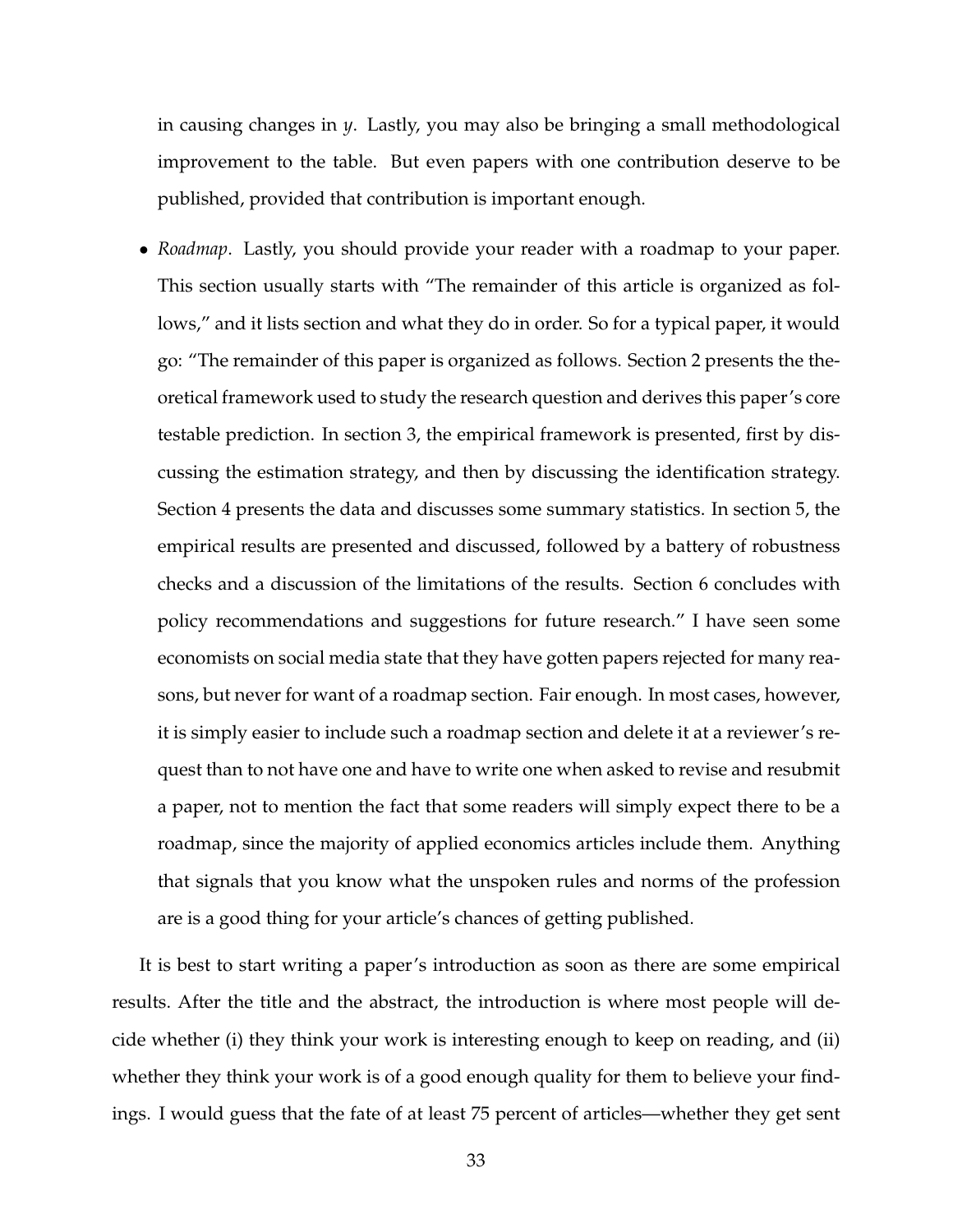in causing changes in *y*. Lastly, you may also be bringing a small methodological improvement to the table. But even papers with one contribution deserve to be published, provided that contribution is important enough.

• *Roadmap*. Lastly, you should provide your reader with a roadmap to your paper. This section usually starts with "The remainder of this article is organized as follows," and it lists section and what they do in order. So for a typical paper, it would go: "The remainder of this paper is organized as follows. Section 2 presents the theoretical framework used to study the research question and derives this paper's core testable prediction. In section 3, the empirical framework is presented, first by discussing the estimation strategy, and then by discussing the identification strategy. Section 4 presents the data and discusses some summary statistics. In section 5, the empirical results are presented and discussed, followed by a battery of robustness checks and a discussion of the limitations of the results. Section 6 concludes with policy recommendations and suggestions for future research." I have seen some economists on social media state that they have gotten papers rejected for many reasons, but never for want of a roadmap section. Fair enough. In most cases, however, it is simply easier to include such a roadmap section and delete it at a reviewer's request than to not have one and have to write one when asked to revise and resubmit a paper, not to mention the fact that some readers will simply expect there to be a roadmap, since the majority of applied economics articles include them. Anything that signals that you know what the unspoken rules and norms of the profession are is a good thing for your article's chances of getting published.

It is best to start writing a paper's introduction as soon as there are some empirical results. After the title and the abstract, the introduction is where most people will decide whether (i) they think your work is interesting enough to keep on reading, and (ii) whether they think your work is of a good enough quality for them to believe your findings. I would guess that the fate of at least 75 percent of articles—whether they get sent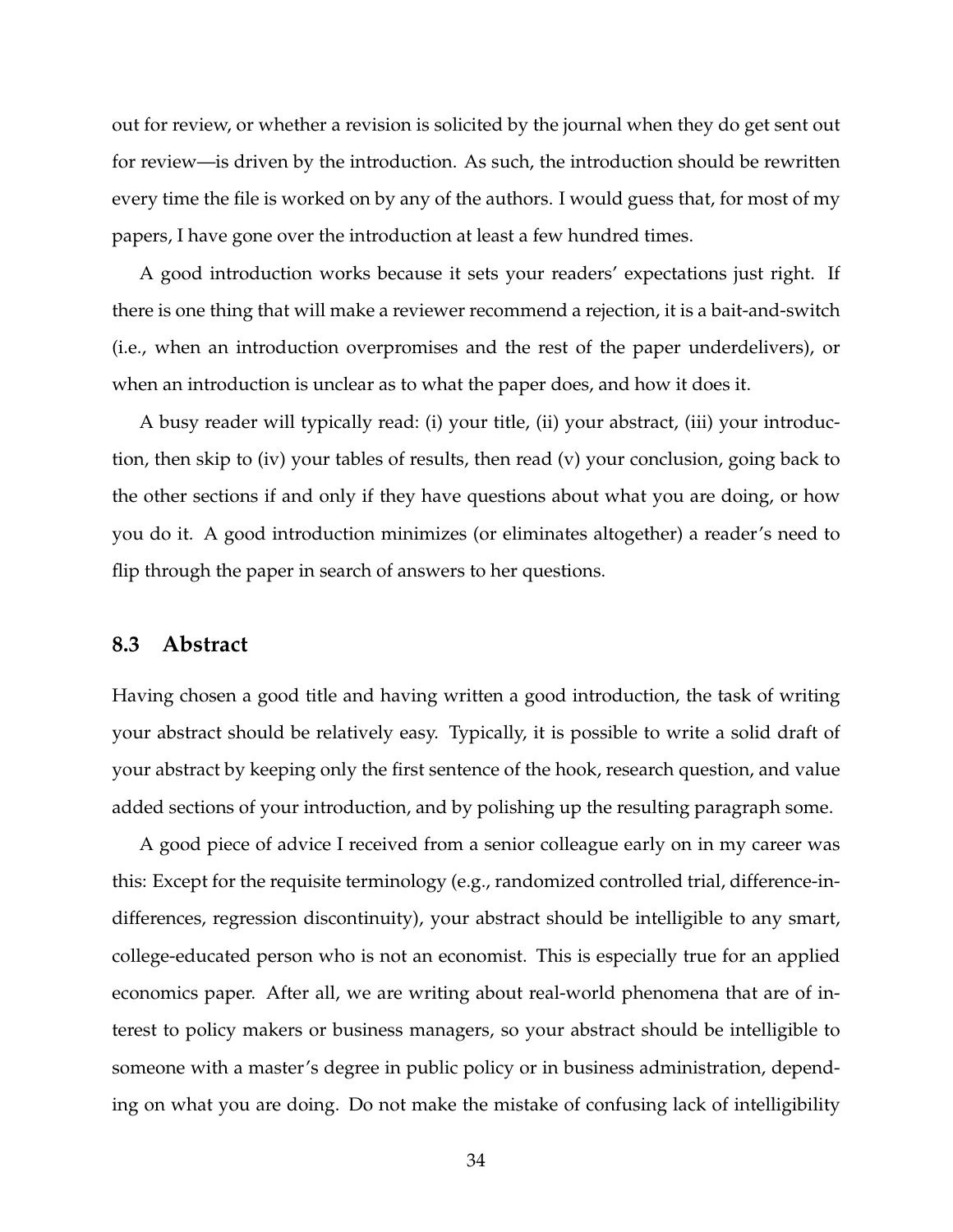out for review, or whether a revision is solicited by the journal when they do get sent out for review—is driven by the introduction. As such, the introduction should be rewritten every time the file is worked on by any of the authors. I would guess that, for most of my papers, I have gone over the introduction at least a few hundred times.

A good introduction works because it sets your readers' expectations just right. If there is one thing that will make a reviewer recommend a rejection, it is a bait-and-switch (i.e., when an introduction overpromises and the rest of the paper underdelivers), or when an introduction is unclear as to what the paper does, and how it does it.

A busy reader will typically read: (i) your title, (ii) your abstract, (iii) your introduction, then skip to (iv) your tables of results, then read (v) your conclusion, going back to the other sections if and only if they have questions about what you are doing, or how you do it. A good introduction minimizes (or eliminates altogether) a reader's need to flip through the paper in search of answers to her questions.

#### **8.3 Abstract**

Having chosen a good title and having written a good introduction, the task of writing your abstract should be relatively easy. Typically, it is possible to write a solid draft of your abstract by keeping only the first sentence of the hook, research question, and value added sections of your introduction, and by polishing up the resulting paragraph some.

A good piece of advice I received from a senior colleague early on in my career was this: Except for the requisite terminology (e.g., randomized controlled trial, difference-indifferences, regression discontinuity), your abstract should be intelligible to any smart, college-educated person who is not an economist. This is especially true for an applied economics paper. After all, we are writing about real-world phenomena that are of interest to policy makers or business managers, so your abstract should be intelligible to someone with a master's degree in public policy or in business administration, depending on what you are doing. Do not make the mistake of confusing lack of intelligibility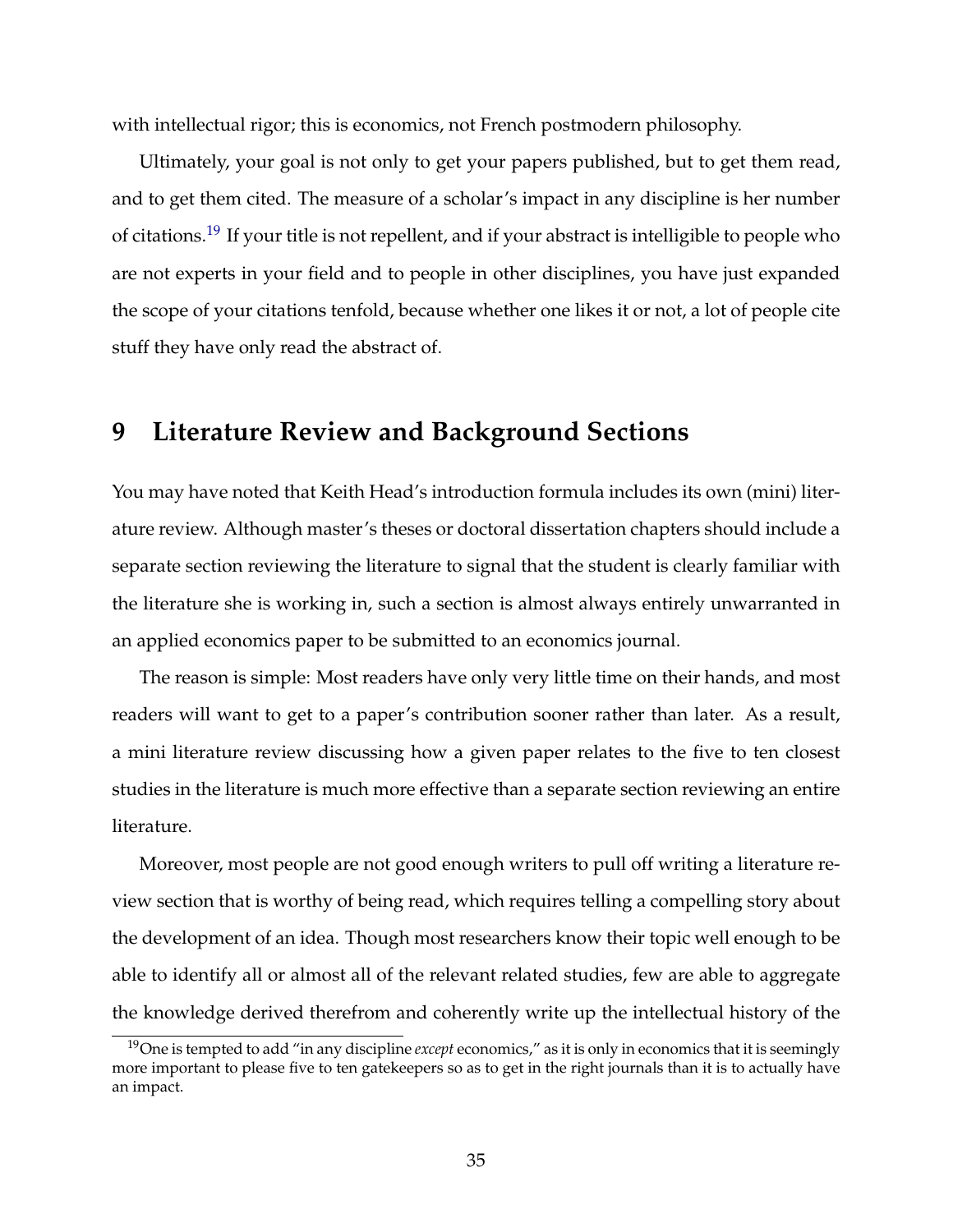with intellectual rigor; this is economics, not French postmodern philosophy.

Ultimately, your goal is not only to get your papers published, but to get them read, and to get them cited. The measure of a scholar's impact in any discipline is her number of citations.<sup>[19](#page-34-0)</sup> If your title is not repellent, and if your abstract is intelligible to people who are not experts in your field and to people in other disciplines, you have just expanded the scope of your citations tenfold, because whether one likes it or not, a lot of people cite stuff they have only read the abstract of.

## **9 Literature Review and Background Sections**

You may have noted that Keith Head's introduction formula includes its own (mini) literature review. Although master's theses or doctoral dissertation chapters should include a separate section reviewing the literature to signal that the student is clearly familiar with the literature she is working in, such a section is almost always entirely unwarranted in an applied economics paper to be submitted to an economics journal.

The reason is simple: Most readers have only very little time on their hands, and most readers will want to get to a paper's contribution sooner rather than later. As a result, a mini literature review discussing how a given paper relates to the five to ten closest studies in the literature is much more effective than a separate section reviewing an entire literature.

Moreover, most people are not good enough writers to pull off writing a literature review section that is worthy of being read, which requires telling a compelling story about the development of an idea. Though most researchers know their topic well enough to be able to identify all or almost all of the relevant related studies, few are able to aggregate the knowledge derived therefrom and coherently write up the intellectual history of the

<span id="page-34-0"></span><sup>19</sup>One is tempted to add "in any discipline *except* economics," as it is only in economics that it is seemingly more important to please five to ten gatekeepers so as to get in the right journals than it is to actually have an impact.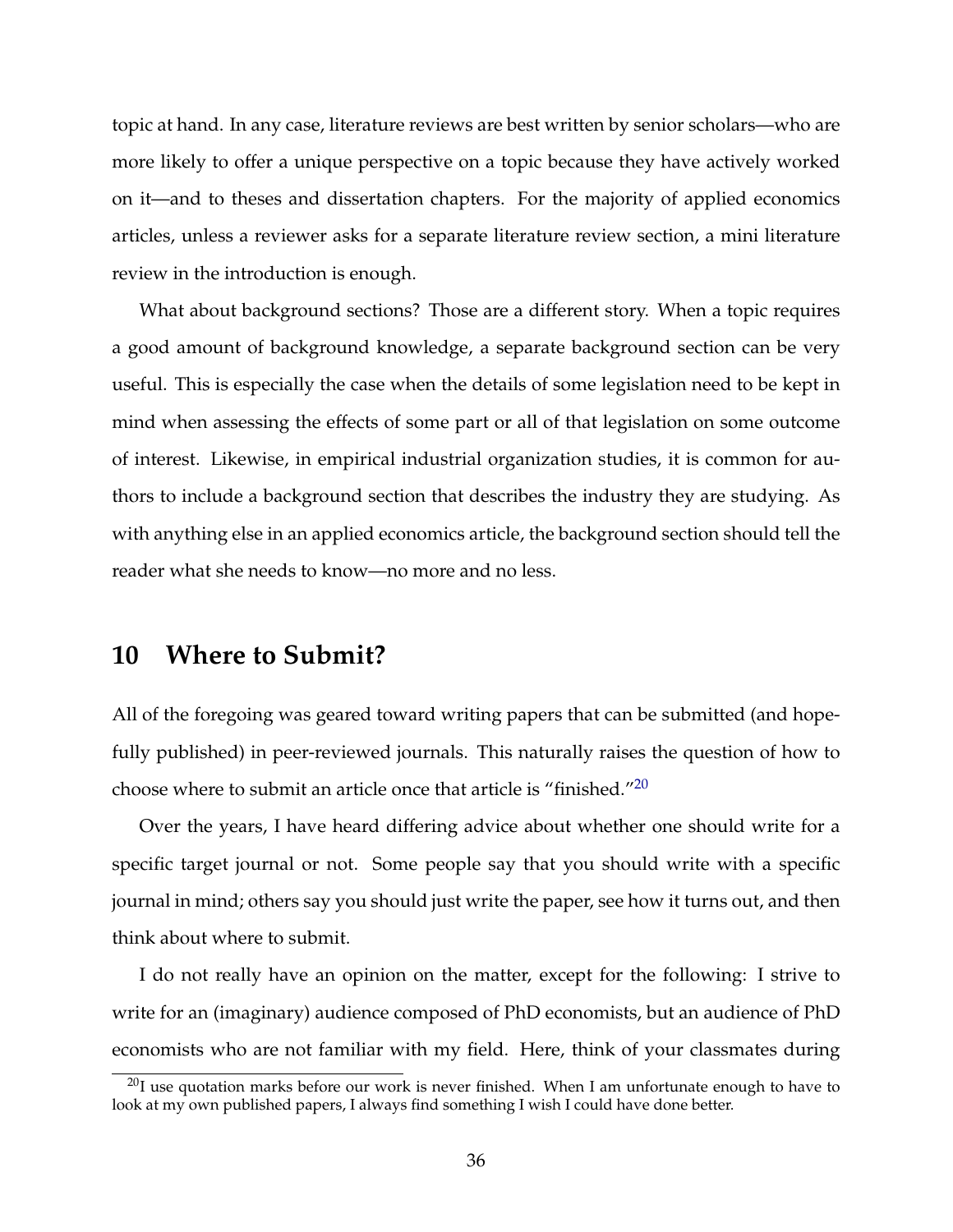topic at hand. In any case, literature reviews are best written by senior scholars—who are more likely to offer a unique perspective on a topic because they have actively worked on it—and to theses and dissertation chapters. For the majority of applied economics articles, unless a reviewer asks for a separate literature review section, a mini literature review in the introduction is enough.

What about background sections? Those are a different story. When a topic requires a good amount of background knowledge, a separate background section can be very useful. This is especially the case when the details of some legislation need to be kept in mind when assessing the effects of some part or all of that legislation on some outcome of interest. Likewise, in empirical industrial organization studies, it is common for authors to include a background section that describes the industry they are studying. As with anything else in an applied economics article, the background section should tell the reader what she needs to know—no more and no less.

## **10 Where to Submit?**

All of the foregoing was geared toward writing papers that can be submitted (and hopefully published) in peer-reviewed journals. This naturally raises the question of how to choose where to submit an article once that article is "finished."[20](#page-35-0)

Over the years, I have heard differing advice about whether one should write for a specific target journal or not. Some people say that you should write with a specific journal in mind; others say you should just write the paper, see how it turns out, and then think about where to submit.

I do not really have an opinion on the matter, except for the following: I strive to write for an (imaginary) audience composed of PhD economists, but an audience of PhD economists who are not familiar with my field. Here, think of your classmates during

<span id="page-35-0"></span> $^{20}$ I use quotation marks before our work is never finished. When I am unfortunate enough to have to look at my own published papers, I always find something I wish I could have done better.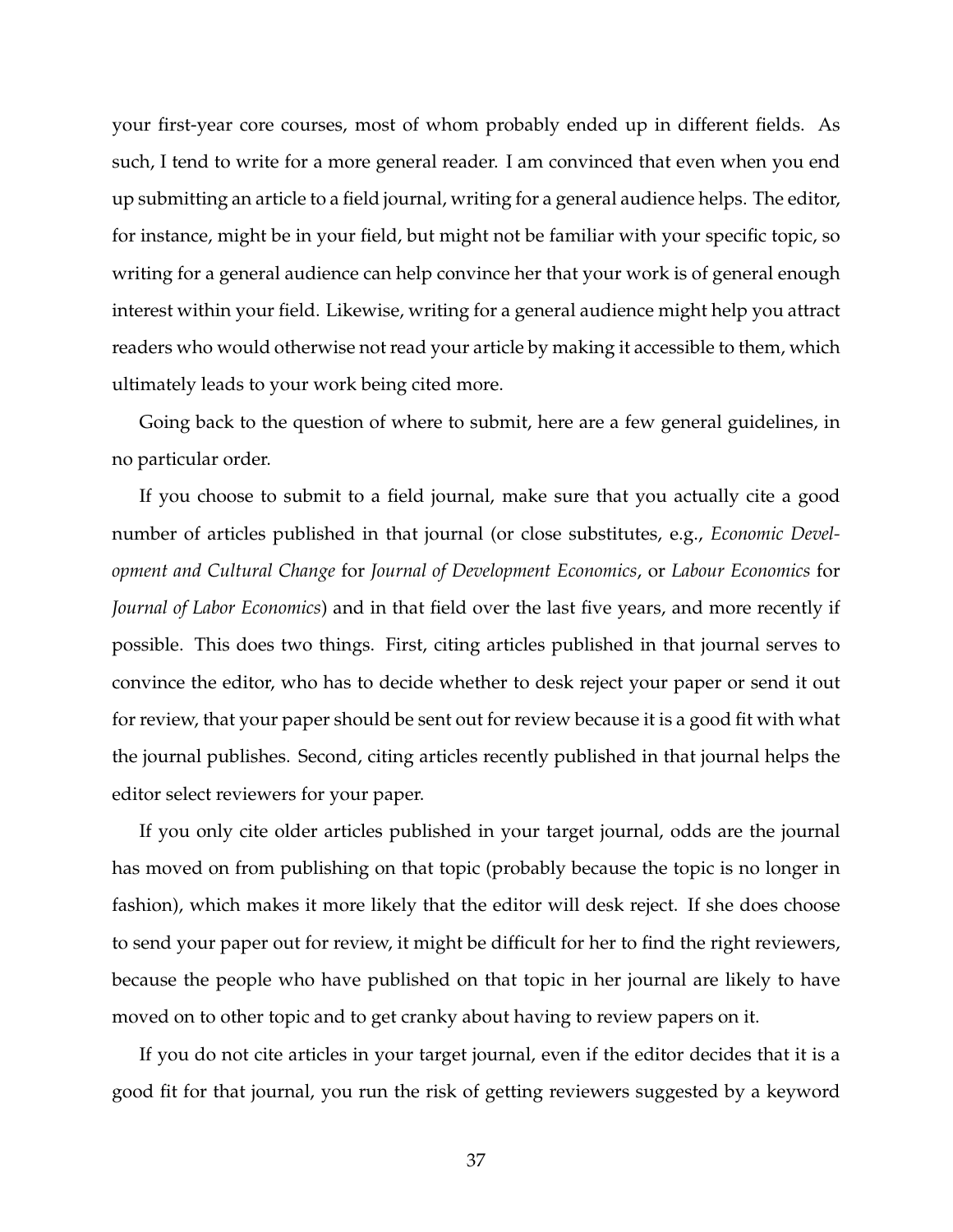your first-year core courses, most of whom probably ended up in different fields. As such, I tend to write for a more general reader. I am convinced that even when you end up submitting an article to a field journal, writing for a general audience helps. The editor, for instance, might be in your field, but might not be familiar with your specific topic, so writing for a general audience can help convince her that your work is of general enough interest within your field. Likewise, writing for a general audience might help you attract readers who would otherwise not read your article by making it accessible to them, which ultimately leads to your work being cited more.

Going back to the question of where to submit, here are a few general guidelines, in no particular order.

If you choose to submit to a field journal, make sure that you actually cite a good number of articles published in that journal (or close substitutes, e.g., *Economic Development and Cultural Change* for *Journal of Development Economics*, or *Labour Economics* for *Journal of Labor Economics*) and in that field over the last five years, and more recently if possible. This does two things. First, citing articles published in that journal serves to convince the editor, who has to decide whether to desk reject your paper or send it out for review, that your paper should be sent out for review because it is a good fit with what the journal publishes. Second, citing articles recently published in that journal helps the editor select reviewers for your paper.

If you only cite older articles published in your target journal, odds are the journal has moved on from publishing on that topic (probably because the topic is no longer in fashion), which makes it more likely that the editor will desk reject. If she does choose to send your paper out for review, it might be difficult for her to find the right reviewers, because the people who have published on that topic in her journal are likely to have moved on to other topic and to get cranky about having to review papers on it.

If you do not cite articles in your target journal, even if the editor decides that it is a good fit for that journal, you run the risk of getting reviewers suggested by a keyword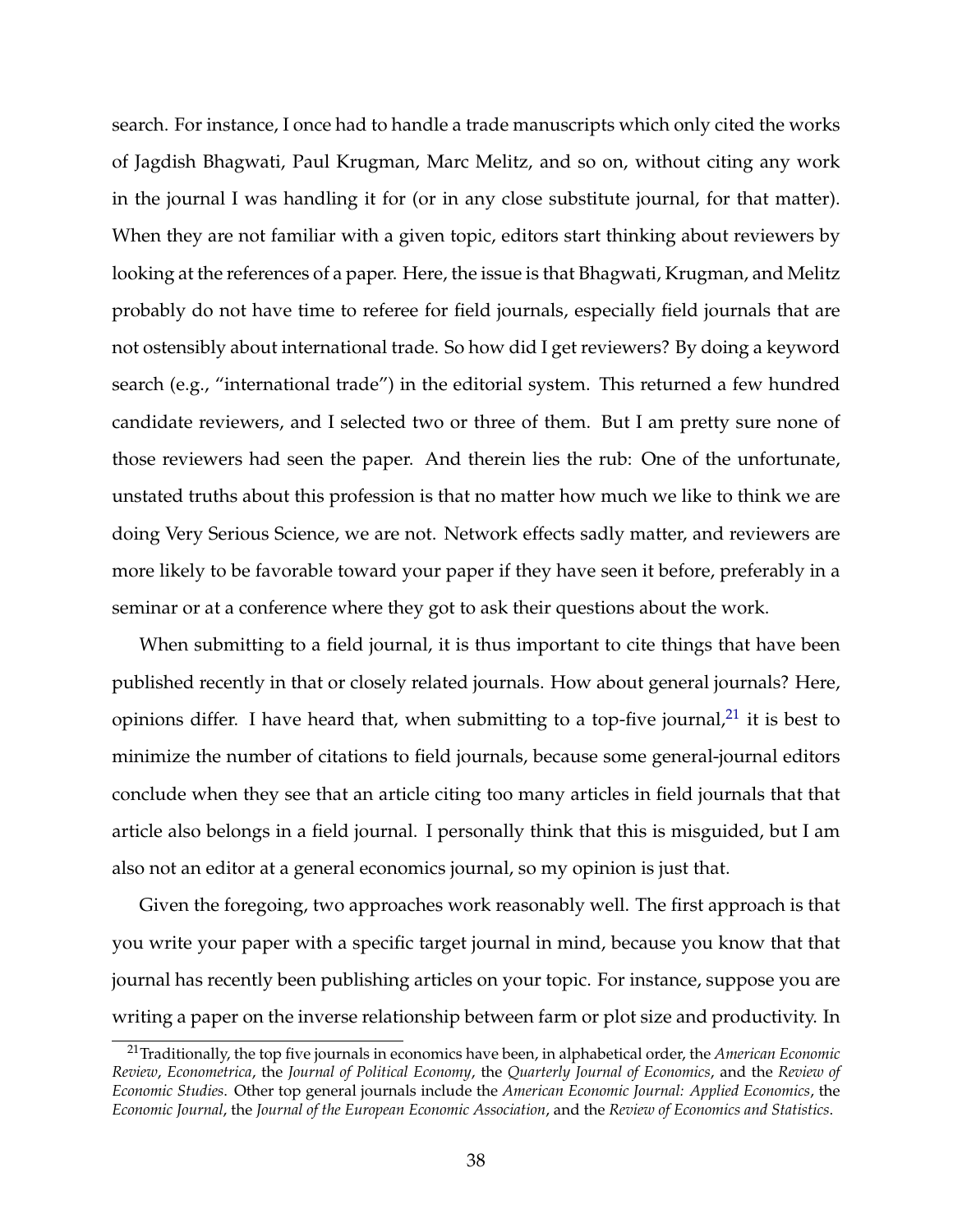search. For instance, I once had to handle a trade manuscripts which only cited the works of Jagdish Bhagwati, Paul Krugman, Marc Melitz, and so on, without citing any work in the journal I was handling it for (or in any close substitute journal, for that matter). When they are not familiar with a given topic, editors start thinking about reviewers by looking at the references of a paper. Here, the issue is that Bhagwati, Krugman, and Melitz probably do not have time to referee for field journals, especially field journals that are not ostensibly about international trade. So how did I get reviewers? By doing a keyword search (e.g., "international trade") in the editorial system. This returned a few hundred candidate reviewers, and I selected two or three of them. But I am pretty sure none of those reviewers had seen the paper. And therein lies the rub: One of the unfortunate, unstated truths about this profession is that no matter how much we like to think we are doing Very Serious Science, we are not. Network effects sadly matter, and reviewers are more likely to be favorable toward your paper if they have seen it before, preferably in a seminar or at a conference where they got to ask their questions about the work.

When submitting to a field journal, it is thus important to cite things that have been published recently in that or closely related journals. How about general journals? Here, opinions differ. I have heard that, when submitting to a top-five journal, $^{21}$  $^{21}$  $^{21}$  it is best to minimize the number of citations to field journals, because some general-journal editors conclude when they see that an article citing too many articles in field journals that that article also belongs in a field journal. I personally think that this is misguided, but I am also not an editor at a general economics journal, so my opinion is just that.

Given the foregoing, two approaches work reasonably well. The first approach is that you write your paper with a specific target journal in mind, because you know that that journal has recently been publishing articles on your topic. For instance, suppose you are writing a paper on the inverse relationship between farm or plot size and productivity. In

<span id="page-37-0"></span><sup>21</sup>Traditionally, the top five journals in economics have been, in alphabetical order, the *American Economic Review*, *Econometrica*, the *Journal of Political Economy*, the *Quarterly Journal of Economics*, and the *Review of Economic Studies*. Other top general journals include the *American Economic Journal: Applied Economics*, the *Economic Journal*, the *Journal of the European Economic Association*, and the *Review of Economics and Statistics*.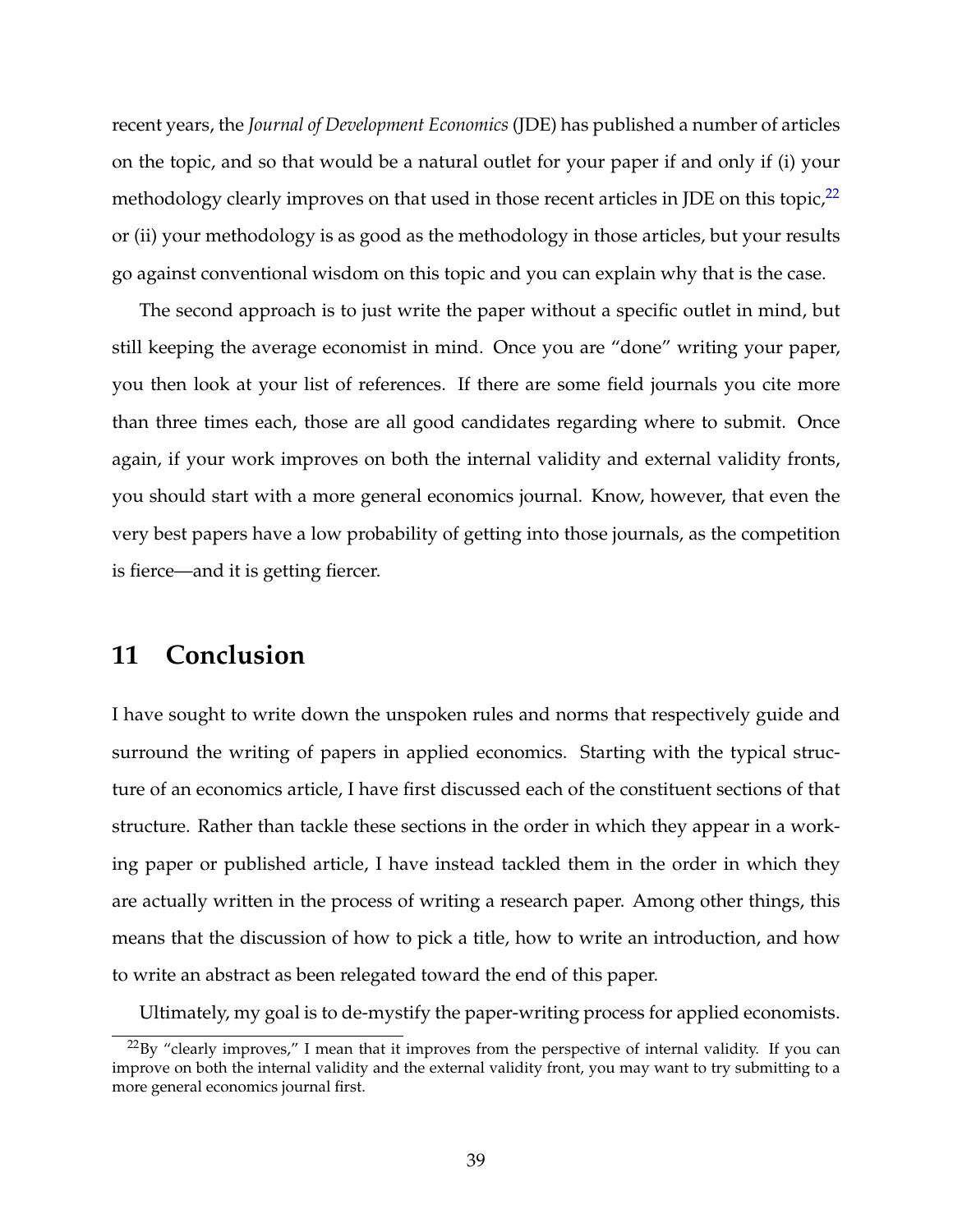recent years, the *Journal of Development Economics* (JDE) has published a number of articles on the topic, and so that would be a natural outlet for your paper if and only if (i) your methodology clearly improves on that used in those recent articles in JDE on this topic, $^{22}$  $^{22}$  $^{22}$ or (ii) your methodology is as good as the methodology in those articles, but your results go against conventional wisdom on this topic and you can explain why that is the case.

The second approach is to just write the paper without a specific outlet in mind, but still keeping the average economist in mind. Once you are "done" writing your paper, you then look at your list of references. If there are some field journals you cite more than three times each, those are all good candidates regarding where to submit. Once again, if your work improves on both the internal validity and external validity fronts, you should start with a more general economics journal. Know, however, that even the very best papers have a low probability of getting into those journals, as the competition is fierce—and it is getting fiercer.

## **11 Conclusion**

I have sought to write down the unspoken rules and norms that respectively guide and surround the writing of papers in applied economics. Starting with the typical structure of an economics article, I have first discussed each of the constituent sections of that structure. Rather than tackle these sections in the order in which they appear in a working paper or published article, I have instead tackled them in the order in which they are actually written in the process of writing a research paper. Among other things, this means that the discussion of how to pick a title, how to write an introduction, and how to write an abstract as been relegated toward the end of this paper.

Ultimately, my goal is to de-mystify the paper-writing process for applied economists.

<span id="page-38-0"></span> $^{22}$ By "clearly improves," I mean that it improves from the perspective of internal validity. If you can improve on both the internal validity and the external validity front, you may want to try submitting to a more general economics journal first.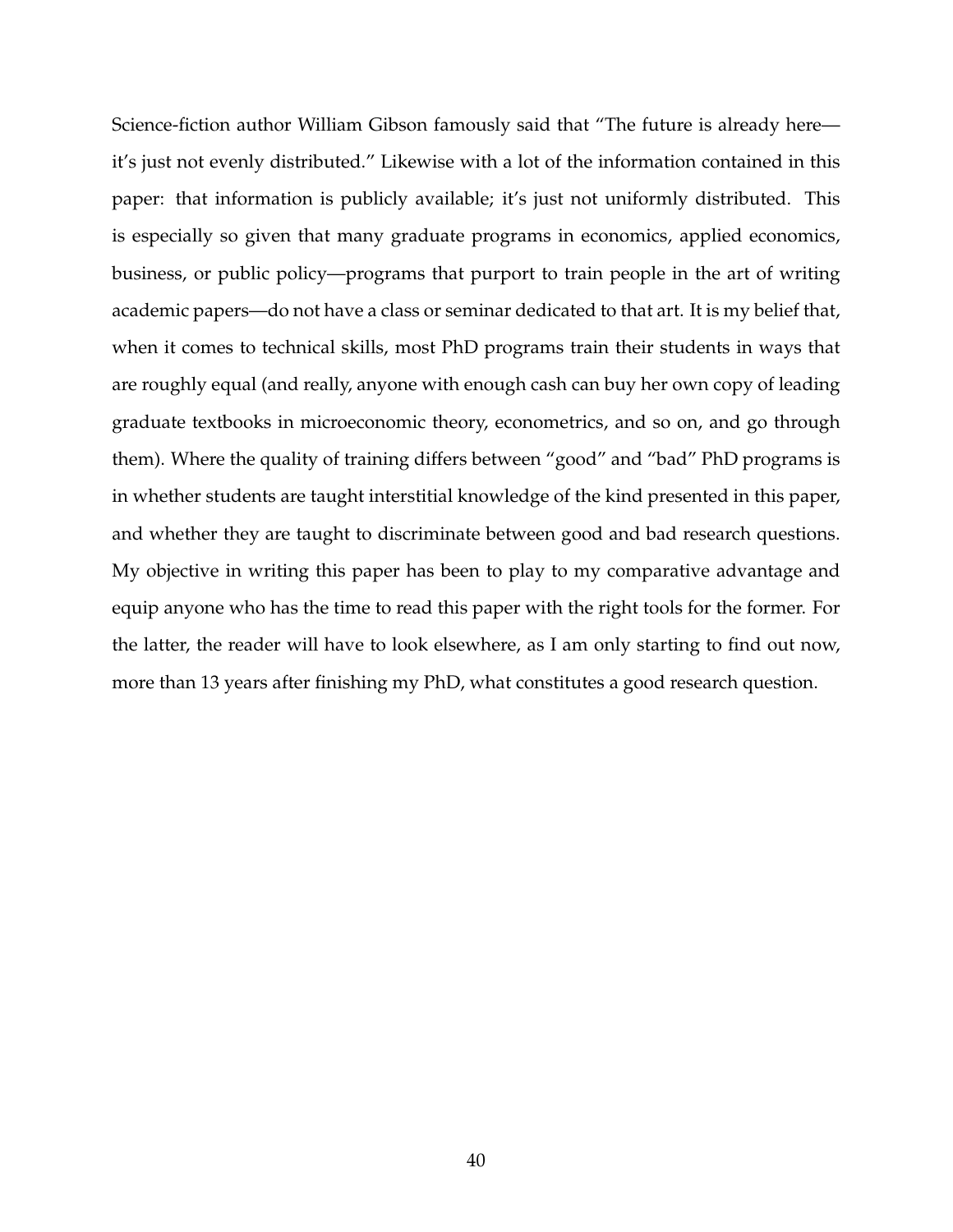Science-fiction author William Gibson famously said that "The future is already here it's just not evenly distributed." Likewise with a lot of the information contained in this paper: that information is publicly available; it's just not uniformly distributed. This is especially so given that many graduate programs in economics, applied economics, business, or public policy—programs that purport to train people in the art of writing academic papers—do not have a class or seminar dedicated to that art. It is my belief that, when it comes to technical skills, most PhD programs train their students in ways that are roughly equal (and really, anyone with enough cash can buy her own copy of leading graduate textbooks in microeconomic theory, econometrics, and so on, and go through them). Where the quality of training differs between "good" and "bad" PhD programs is in whether students are taught interstitial knowledge of the kind presented in this paper, and whether they are taught to discriminate between good and bad research questions. My objective in writing this paper has been to play to my comparative advantage and equip anyone who has the time to read this paper with the right tools for the former. For the latter, the reader will have to look elsewhere, as I am only starting to find out now, more than 13 years after finishing my PhD, what constitutes a good research question.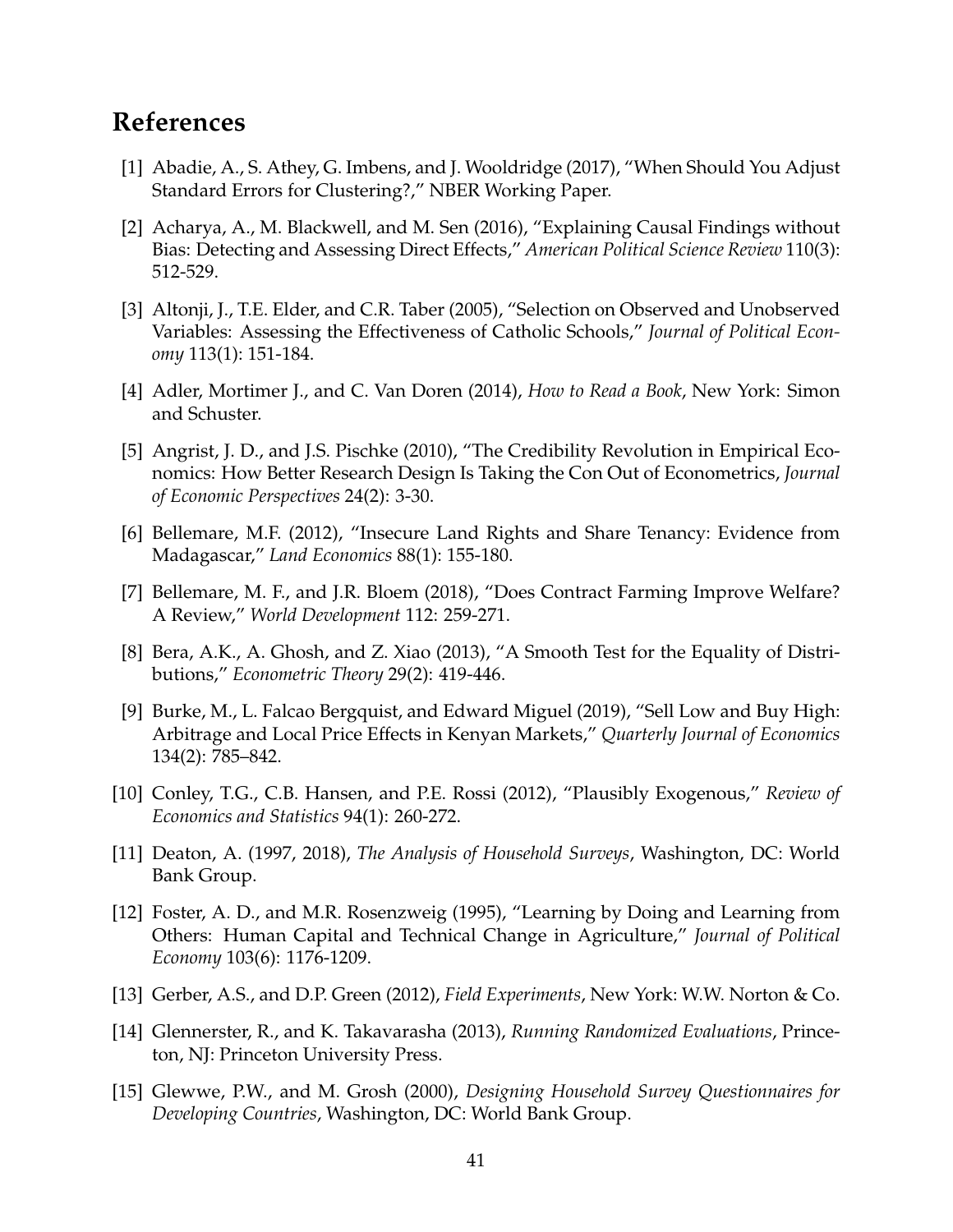# **References**

- [1] Abadie, A., S. Athey, G. Imbens, and J. Wooldridge (2017), "When Should You Adjust Standard Errors for Clustering?," NBER Working Paper.
- [2] Acharya, A., M. Blackwell, and M. Sen (2016), "Explaining Causal Findings without Bias: Detecting and Assessing Direct Effects," *American Political Science Review* 110(3): 512-529.
- [3] Altonji, J., T.E. Elder, and C.R. Taber (2005), "Selection on Observed and Unobserved Variables: Assessing the Effectiveness of Catholic Schools," *Journal of Political Economy* 113(1): 151-184.
- [4] Adler, Mortimer J., and C. Van Doren (2014), *How to Read a Book*, New York: Simon and Schuster.
- [5] Angrist, J. D., and J.S. Pischke (2010), "The Credibility Revolution in Empirical Economics: How Better Research Design Is Taking the Con Out of Econometrics, *Journal of Economic Perspectives* 24(2): 3-30.
- [6] Bellemare, M.F. (2012), "Insecure Land Rights and Share Tenancy: Evidence from Madagascar," *Land Economics* 88(1): 155-180.
- [7] Bellemare, M. F., and J.R. Bloem (2018), "Does Contract Farming Improve Welfare? A Review," *World Development* 112: 259-271.
- [8] Bera, A.K., A. Ghosh, and Z. Xiao (2013), "A Smooth Test for the Equality of Distributions," *Econometric Theory* 29(2): 419-446.
- [9] Burke, M., L. Falcao Bergquist, and Edward Miguel (2019), "Sell Low and Buy High: Arbitrage and Local Price Effects in Kenyan Markets," *Quarterly Journal of Economics* 134(2): 785–842.
- [10] Conley, T.G., C.B. Hansen, and P.E. Rossi (2012), "Plausibly Exogenous," *Review of Economics and Statistics* 94(1): 260-272.
- [11] Deaton, A. (1997, 2018), *The Analysis of Household Surveys*, Washington, DC: World Bank Group.
- [12] Foster, A. D., and M.R. Rosenzweig (1995), "Learning by Doing and Learning from Others: Human Capital and Technical Change in Agriculture," *Journal of Political Economy* 103(6): 1176-1209.
- [13] Gerber, A.S., and D.P. Green (2012), *Field Experiments*, New York: W.W. Norton & Co.
- [14] Glennerster, R., and K. Takavarasha (2013), *Running Randomized Evaluations*, Princeton, NJ: Princeton University Press.
- [15] Glewwe, P.W., and M. Grosh (2000), *Designing Household Survey Questionnaires for Developing Countries*, Washington, DC: World Bank Group.